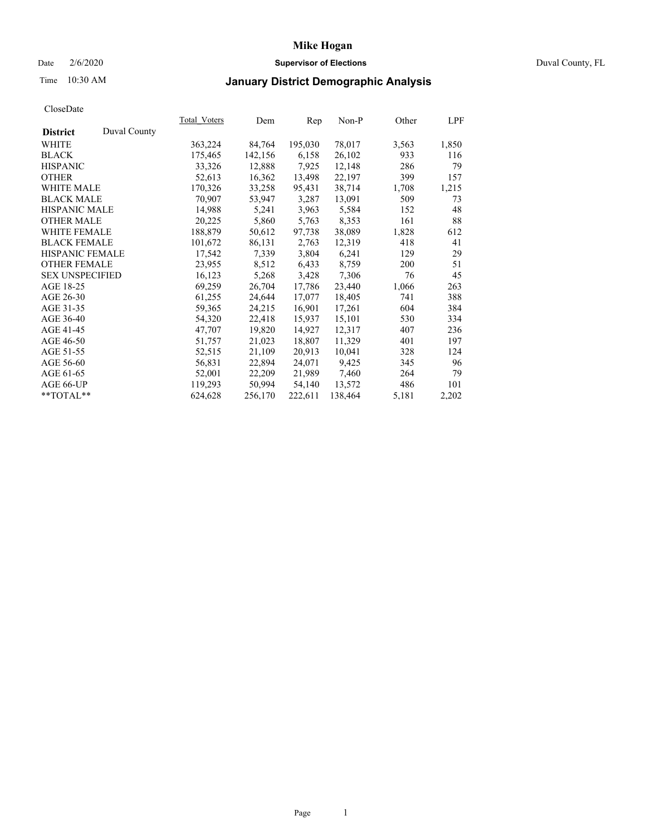## Date 2/6/2020 **Supervisor of Elections** Duval County, FL

# Time 10:30 AM **January District Demographic Analysis**

|                        |              | Total Voters | Dem     | Rep     | Non-P   | Other | LPF   |
|------------------------|--------------|--------------|---------|---------|---------|-------|-------|
| <b>District</b>        | Duval County |              |         |         |         |       |       |
| WHITE                  |              | 363,224      | 84,764  | 195,030 | 78,017  | 3,563 | 1,850 |
| <b>BLACK</b>           |              | 175,465      | 142,156 | 6,158   | 26,102  | 933   | 116   |
| <b>HISPANIC</b>        |              | 33,326       | 12,888  | 7,925   | 12,148  | 286   | 79    |
| <b>OTHER</b>           |              | 52,613       | 16,362  | 13,498  | 22,197  | 399   | 157   |
| WHITE MALE             |              | 170,326      | 33,258  | 95,431  | 38,714  | 1,708 | 1,215 |
| <b>BLACK MALE</b>      |              | 70,907       | 53,947  | 3,287   | 13,091  | 509   | 73    |
| <b>HISPANIC MALE</b>   |              | 14,988       | 5,241   | 3,963   | 5,584   | 152   | 48    |
| <b>OTHER MALE</b>      |              | 20,225       | 5,860   | 5,763   | 8,353   | 161   | 88    |
| <b>WHITE FEMALE</b>    |              | 188,879      | 50,612  | 97,738  | 38,089  | 1,828 | 612   |
| <b>BLACK FEMALE</b>    |              | 101,672      | 86,131  | 2,763   | 12,319  | 418   | 41    |
| HISPANIC FEMALE        |              | 17,542       | 7,339   | 3,804   | 6,241   | 129   | 29    |
| <b>OTHER FEMALE</b>    |              | 23,955       | 8,512   | 6,433   | 8,759   | 200   | 51    |
| <b>SEX UNSPECIFIED</b> |              | 16,123       | 5,268   | 3,428   | 7,306   | 76    | 45    |
| AGE 18-25              |              | 69,259       | 26,704  | 17,786  | 23,440  | 1,066 | 263   |
| AGE 26-30              |              | 61,255       | 24,644  | 17,077  | 18,405  | 741   | 388   |
| AGE 31-35              |              | 59,365       | 24,215  | 16,901  | 17,261  | 604   | 384   |
| AGE 36-40              |              | 54,320       | 22,418  | 15,937  | 15,101  | 530   | 334   |
| AGE 41-45              |              | 47,707       | 19,820  | 14,927  | 12,317  | 407   | 236   |
| AGE 46-50              |              | 51,757       | 21,023  | 18,807  | 11,329  | 401   | 197   |
| AGE 51-55              |              | 52,515       | 21,109  | 20,913  | 10,041  | 328   | 124   |
| AGE 56-60              |              | 56,831       | 22,894  | 24,071  | 9,425   | 345   | 96    |
| AGE 61-65              |              | 52,001       | 22,209  | 21,989  | 7,460   | 264   | 79    |
| AGE 66-UP              |              | 119,293      | 50,994  | 54,140  | 13,572  | 486   | 101   |
| $*$ TOTAL $*$          |              | 624,628      | 256,170 | 222,611 | 138,464 | 5,181 | 2,202 |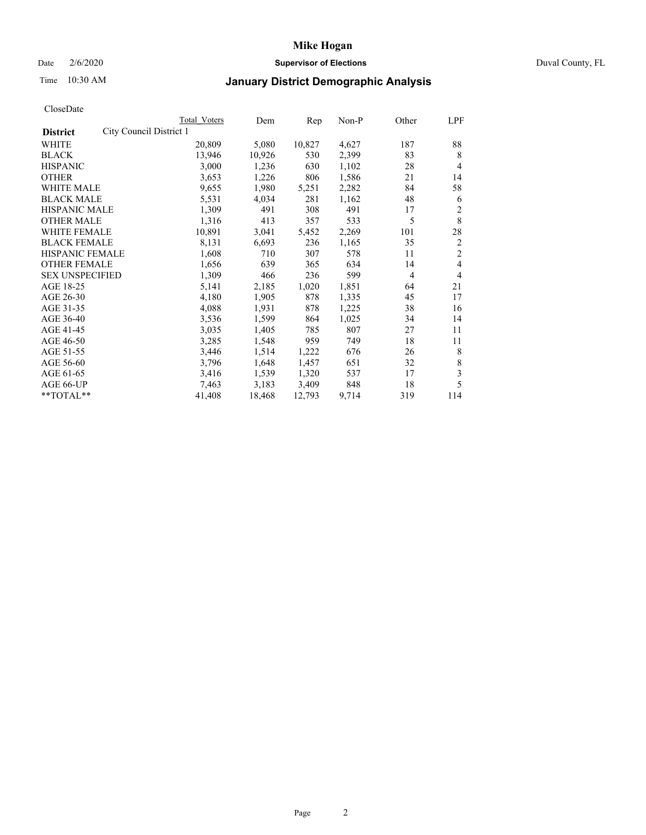## Date 2/6/2020 **Supervisor of Elections** Duval County, FL

# Time 10:30 AM **January District Demographic Analysis**

|                                            | Total Voters | Dem    | Rep    | Non-P | Other          | LPF            |
|--------------------------------------------|--------------|--------|--------|-------|----------------|----------------|
| City Council District 1<br><b>District</b> |              |        |        |       |                |                |
| <b>WHITE</b>                               | 20,809       | 5,080  | 10,827 | 4,627 | 187            | 88             |
| <b>BLACK</b>                               | 13,946       | 10,926 | 530    | 2,399 | 83             | 8              |
| <b>HISPANIC</b>                            | 3,000        | 1,236  | 630    | 1,102 | 28             | $\overline{4}$ |
| <b>OTHER</b>                               | 3,653        | 1,226  | 806    | 1,586 | 21             | 14             |
| <b>WHITE MALE</b>                          | 9,655        | 1,980  | 5,251  | 2,282 | 84             | 58             |
| <b>BLACK MALE</b>                          | 5,531        | 4,034  | 281    | 1,162 | 48             | 6              |
| HISPANIC MALE                              | 1,309        | 491    | 308    | 491   | 17             | 2              |
| <b>OTHER MALE</b>                          | 1,316        | 413    | 357    | 533   | 5              | 8              |
| <b>WHITE FEMALE</b>                        | 10,891       | 3,041  | 5,452  | 2,269 | 101            | 28             |
| <b>BLACK FEMALE</b>                        | 8,131        | 6,693  | 236    | 1,165 | 35             | $\overline{2}$ |
| HISPANIC FEMALE                            | 1,608        | 710    | 307    | 578   | 11             | $\overline{2}$ |
| <b>OTHER FEMALE</b>                        | 1,656        | 639    | 365    | 634   | 14             | $\overline{4}$ |
| <b>SEX UNSPECIFIED</b>                     | 1,309        | 466    | 236    | 599   | $\overline{4}$ | $\overline{4}$ |
| AGE 18-25                                  | 5,141        | 2,185  | 1,020  | 1,851 | 64             | 21             |
| AGE 26-30                                  | 4,180        | 1,905  | 878    | 1,335 | 45             | 17             |
| AGE 31-35                                  | 4,088        | 1,931  | 878    | 1,225 | 38             | 16             |
| AGE 36-40                                  | 3,536        | 1,599  | 864    | 1,025 | 34             | 14             |
| AGE 41-45                                  | 3,035        | 1,405  | 785    | 807   | 27             | 11             |
| AGE 46-50                                  | 3,285        | 1,548  | 959    | 749   | 18             | 11             |
| AGE 51-55                                  | 3,446        | 1,514  | 1,222  | 676   | 26             | 8              |
| AGE 56-60                                  | 3,796        | 1,648  | 1,457  | 651   | 32             | 8              |
| AGE 61-65                                  | 3,416        | 1,539  | 1,320  | 537   | 17             | 3              |
| AGE 66-UP                                  | 7,463        | 3,183  | 3,409  | 848   | 18             | 5              |
| **TOTAL**                                  | 41,408       | 18,468 | 12,793 | 9,714 | 319            | 114            |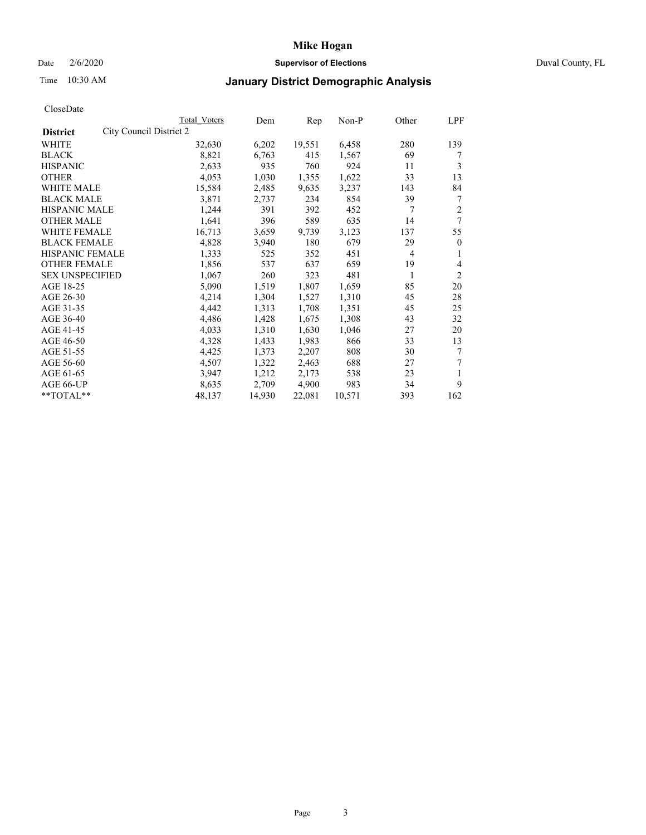## Date 2/6/2020 **Supervisor of Elections** Duval County, FL

# Time 10:30 AM **January District Demographic Analysis**

|                                            | Total Voters | Dem    | Rep    | Non-P  | Other          | LPF            |
|--------------------------------------------|--------------|--------|--------|--------|----------------|----------------|
| City Council District 2<br><b>District</b> |              |        |        |        |                |                |
| <b>WHITE</b>                               | 32,630       | 6,202  | 19,551 | 6,458  | 280            | 139            |
| <b>BLACK</b>                               | 8,821        | 6,763  | 415    | 1,567  | 69             | 7              |
| <b>HISPANIC</b>                            | 2,633        | 935    | 760    | 924    | 11             | 3              |
| <b>OTHER</b>                               | 4,053        | 1,030  | 1,355  | 1,622  | 33             | 13             |
| WHITE MALE                                 | 15,584       | 2,485  | 9,635  | 3,237  | 143            | 84             |
| <b>BLACK MALE</b>                          | 3,871        | 2,737  | 234    | 854    | 39             | 7              |
| HISPANIC MALE                              | 1,244        | 391    | 392    | 452    | 7              | 2              |
| <b>OTHER MALE</b>                          | 1,641        | 396    | 589    | 635    | 14             | 7              |
| <b>WHITE FEMALE</b>                        | 16,713       | 3,659  | 9,739  | 3,123  | 137            | 55             |
| <b>BLACK FEMALE</b>                        | 4,828        | 3,940  | 180    | 679    | 29             | $\theta$       |
| HISPANIC FEMALE                            | 1,333        | 525    | 352    | 451    | $\overline{4}$ | 1              |
| <b>OTHER FEMALE</b>                        | 1,856        | 537    | 637    | 659    | 19             | 4              |
| <b>SEX UNSPECIFIED</b>                     | 1,067        | 260    | 323    | 481    | 1              | $\overline{2}$ |
| AGE 18-25                                  | 5,090        | 1,519  | 1,807  | 1,659  | 85             | 20             |
| AGE 26-30                                  | 4,214        | 1,304  | 1,527  | 1,310  | 45             | 28             |
| AGE 31-35                                  | 4,442        | 1,313  | 1,708  | 1,351  | 45             | 25             |
| AGE 36-40                                  | 4,486        | 1,428  | 1,675  | 1,308  | 43             | 32             |
| AGE 41-45                                  | 4,033        | 1,310  | 1,630  | 1,046  | 27             | 20             |
| AGE 46-50                                  | 4,328        | 1,433  | 1,983  | 866    | 33             | 13             |
| AGE 51-55                                  | 4,425        | 1,373  | 2,207  | 808    | 30             | 7              |
| AGE 56-60                                  | 4,507        | 1,322  | 2,463  | 688    | 27             | 7              |
| AGE 61-65                                  | 3,947        | 1,212  | 2,173  | 538    | 23             | 1              |
| AGE 66-UP                                  | 8,635        | 2,709  | 4,900  | 983    | 34             | 9              |
| **TOTAL**                                  | 48,137       | 14,930 | 22,081 | 10,571 | 393            | 162            |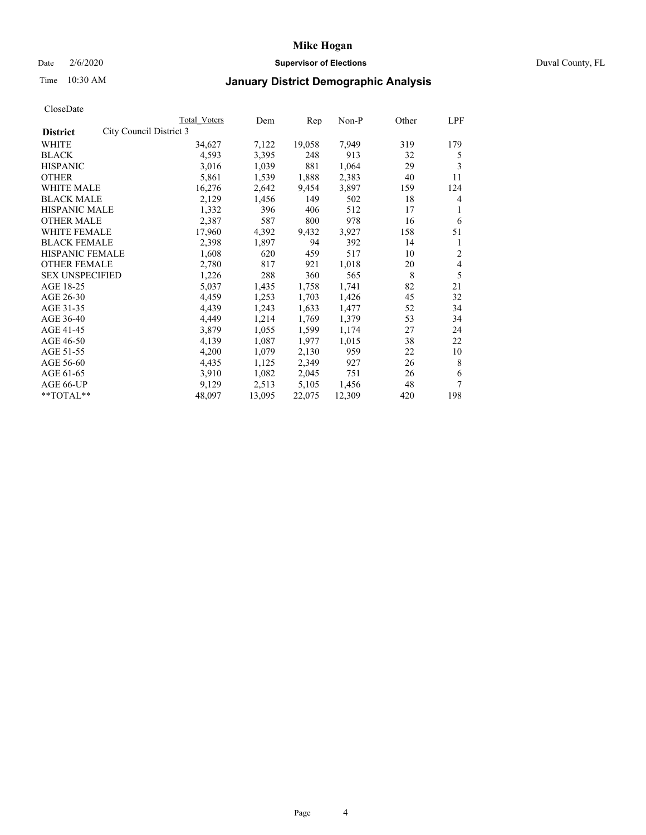## Date 2/6/2020 **Supervisor of Elections** Duval County, FL

# Time 10:30 AM **January District Demographic Analysis**

|                                            | Total Voters | Dem    | Rep    | Non-P  | Other | LPF |
|--------------------------------------------|--------------|--------|--------|--------|-------|-----|
| City Council District 3<br><b>District</b> |              |        |        |        |       |     |
| <b>WHITE</b>                               | 34,627       | 7,122  | 19,058 | 7,949  | 319   | 179 |
| <b>BLACK</b>                               | 4,593        | 3,395  | 248    | 913    | 32    | 5   |
| <b>HISPANIC</b>                            | 3,016        | 1,039  | 881    | 1,064  | 29    | 3   |
| <b>OTHER</b>                               | 5,861        | 1,539  | 1,888  | 2,383  | 40    | 11  |
| WHITE MALE                                 | 16,276       | 2,642  | 9,454  | 3,897  | 159   | 124 |
| <b>BLACK MALE</b>                          | 2,129        | 1,456  | 149    | 502    | 18    | 4   |
| HISPANIC MALE                              | 1,332        | 396    | 406    | 512    | 17    | 1   |
| <b>OTHER MALE</b>                          | 2,387        | 587    | 800    | 978    | 16    | 6   |
| <b>WHITE FEMALE</b>                        | 17,960       | 4,392  | 9,432  | 3,927  | 158   | 51  |
| <b>BLACK FEMALE</b>                        | 2,398        | 1,897  | 94     | 392    | 14    | 1   |
| <b>HISPANIC FEMALE</b>                     | 1,608        | 620    | 459    | 517    | 10    | 2   |
| <b>OTHER FEMALE</b>                        | 2,780        | 817    | 921    | 1,018  | 20    | 4   |
| <b>SEX UNSPECIFIED</b>                     | 1,226        | 288    | 360    | 565    | 8     | 5   |
| AGE 18-25                                  | 5,037        | 1,435  | 1,758  | 1,741  | 82    | 21  |
| AGE 26-30                                  | 4,459        | 1,253  | 1,703  | 1,426  | 45    | 32  |
| AGE 31-35                                  | 4,439        | 1,243  | 1,633  | 1,477  | 52    | 34  |
| AGE 36-40                                  | 4,449        | 1,214  | 1,769  | 1,379  | 53    | 34  |
| AGE 41-45                                  | 3,879        | 1,055  | 1,599  | 1,174  | 27    | 24  |
| AGE 46-50                                  | 4,139        | 1,087  | 1,977  | 1,015  | 38    | 22  |
| AGE 51-55                                  | 4,200        | 1,079  | 2,130  | 959    | 22    | 10  |
| AGE 56-60                                  | 4,435        | 1,125  | 2,349  | 927    | 26    | 8   |
| AGE 61-65                                  | 3,910        | 1,082  | 2,045  | 751    | 26    | 6   |
| AGE 66-UP                                  | 9,129        | 2,513  | 5,105  | 1,456  | 48    | 7   |
| **TOTAL**                                  | 48,097       | 13,095 | 22,075 | 12,309 | 420   | 198 |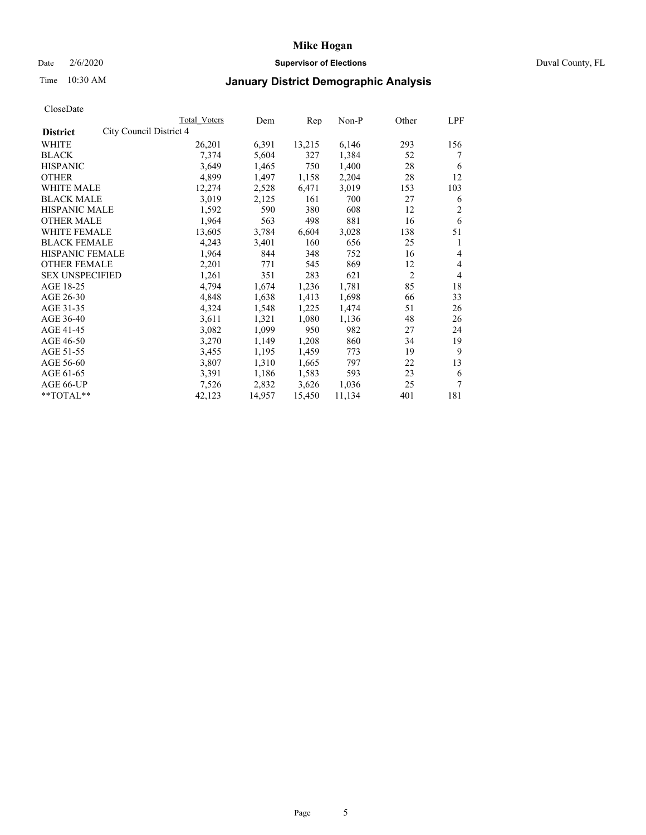## Date 2/6/2020 **Supervisor of Elections** Duval County, FL

## Time 10:30 AM **January District Demographic Analysis**

|                                            | Total Voters | Dem    | Rep    | Non-P  | Other          | LPF |
|--------------------------------------------|--------------|--------|--------|--------|----------------|-----|
| City Council District 4<br><b>District</b> |              |        |        |        |                |     |
| WHITE                                      | 26,201       | 6,391  | 13,215 | 6,146  | 293            | 156 |
| <b>BLACK</b>                               | 7,374        | 5,604  | 327    | 1,384  | 52             | 7   |
| <b>HISPANIC</b>                            | 3,649        | 1,465  | 750    | 1,400  | 28             | 6   |
| <b>OTHER</b>                               | 4,899        | 1,497  | 1,158  | 2,204  | 28             | 12  |
| WHITE MALE                                 | 12,274       | 2,528  | 6,471  | 3,019  | 153            | 103 |
| <b>BLACK MALE</b>                          | 3,019        | 2,125  | 161    | 700    | 27             | 6   |
| HISPANIC MALE                              | 1,592        | 590    | 380    | 608    | 12             | 2   |
| <b>OTHER MALE</b>                          | 1,964        | 563    | 498    | 881    | 16             | 6   |
| <b>WHITE FEMALE</b>                        | 13,605       | 3,784  | 6,604  | 3,028  | 138            | 51  |
| <b>BLACK FEMALE</b>                        | 4,243        | 3,401  | 160    | 656    | 25             | 1   |
| HISPANIC FEMALE                            | 1,964        | 844    | 348    | 752    | 16             | 4   |
| <b>OTHER FEMALE</b>                        | 2,201        | 771    | 545    | 869    | 12             | 4   |
| <b>SEX UNSPECIFIED</b>                     | 1,261        | 351    | 283    | 621    | $\overline{2}$ | 4   |
| AGE 18-25                                  | 4,794        | 1,674  | 1,236  | 1,781  | 85             | 18  |
| AGE 26-30                                  | 4,848        | 1,638  | 1,413  | 1,698  | 66             | 33  |
| AGE 31-35                                  | 4,324        | 1,548  | 1,225  | 1,474  | 51             | 26  |
| AGE 36-40                                  | 3,611        | 1,321  | 1,080  | 1,136  | 48             | 26  |
| AGE 41-45                                  | 3,082        | 1,099  | 950    | 982    | 27             | 24  |
| AGE 46-50                                  | 3,270        | 1,149  | 1,208  | 860    | 34             | 19  |
| AGE 51-55                                  | 3,455        | 1,195  | 1,459  | 773    | 19             | 9   |
| AGE 56-60                                  | 3,807        | 1,310  | 1,665  | 797    | 22             | 13  |
| AGE 61-65                                  | 3,391        | 1,186  | 1,583  | 593    | 23             | 6   |
| AGE 66-UP                                  | 7,526        | 2,832  | 3,626  | 1,036  | 25             | 7   |
| **TOTAL**                                  | 42,123       | 14,957 | 15,450 | 11,134 | 401            | 181 |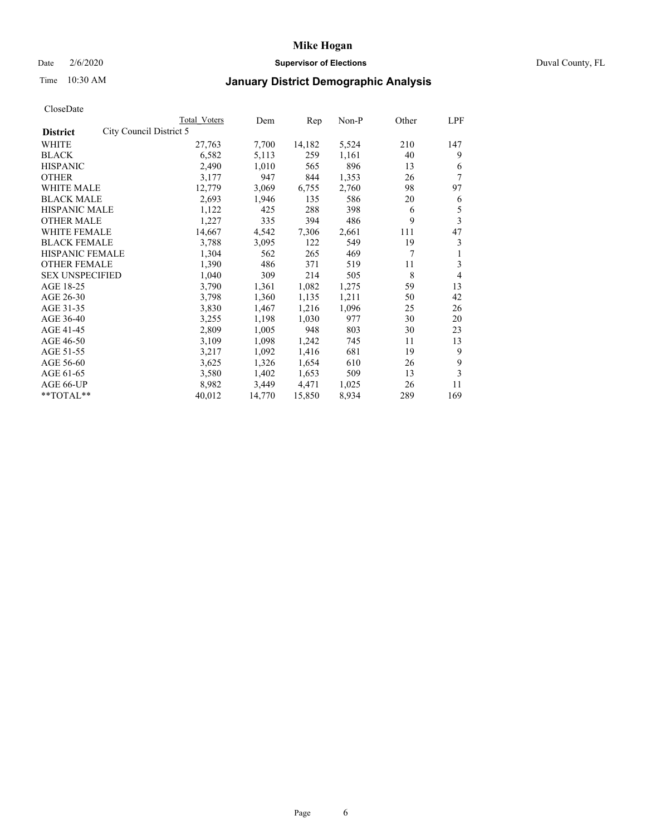## Date 2/6/2020 **Supervisor of Elections** Duval County, FL

## Time 10:30 AM **January District Demographic Analysis**

|                                            | Total Voters | Dem    | Rep    | Non-P | Other | LPF            |
|--------------------------------------------|--------------|--------|--------|-------|-------|----------------|
| City Council District 5<br><b>District</b> |              |        |        |       |       |                |
| WHITE                                      | 27,763       | 7,700  | 14,182 | 5,524 | 210   | 147            |
| <b>BLACK</b>                               | 6,582        | 5,113  | 259    | 1,161 | 40    | 9              |
| <b>HISPANIC</b>                            | 2,490        | 1,010  | 565    | 896   | 13    | 6              |
| <b>OTHER</b>                               | 3,177        | 947    | 844    | 1,353 | 26    | 7              |
| WHITE MALE                                 | 12,779       | 3,069  | 6,755  | 2,760 | 98    | 97             |
| <b>BLACK MALE</b>                          | 2,693        | 1,946  | 135    | 586   | 20    | 6              |
| HISPANIC MALE                              | 1,122        | 425    | 288    | 398   | 6     | 5              |
| <b>OTHER MALE</b>                          | 1,227        | 335    | 394    | 486   | 9     | 3              |
| <b>WHITE FEMALE</b>                        | 14,667       | 4,542  | 7,306  | 2,661 | 111   | 47             |
| <b>BLACK FEMALE</b>                        | 3,788        | 3,095  | 122    | 549   | 19    | 3              |
| HISPANIC FEMALE                            | 1,304        | 562    | 265    | 469   | 7     | 1              |
| <b>OTHER FEMALE</b>                        | 1,390        | 486    | 371    | 519   | 11    | 3              |
| <b>SEX UNSPECIFIED</b>                     | 1,040        | 309    | 214    | 505   | 8     | $\overline{4}$ |
| AGE 18-25                                  | 3,790        | 1,361  | 1,082  | 1,275 | 59    | 13             |
| AGE 26-30                                  | 3,798        | 1,360  | 1,135  | 1,211 | 50    | 42             |
| AGE 31-35                                  | 3,830        | 1,467  | 1,216  | 1,096 | 25    | 26             |
| AGE 36-40                                  | 3,255        | 1,198  | 1,030  | 977   | 30    | 20             |
| AGE 41-45                                  | 2,809        | 1,005  | 948    | 803   | 30    | 23             |
| AGE 46-50                                  | 3,109        | 1,098  | 1,242  | 745   | 11    | 13             |
| AGE 51-55                                  | 3,217        | 1,092  | 1,416  | 681   | 19    | 9              |
| AGE 56-60                                  | 3,625        | 1,326  | 1,654  | 610   | 26    | 9              |
| AGE 61-65                                  | 3,580        | 1,402  | 1,653  | 509   | 13    | 3              |
| AGE 66-UP                                  | 8,982        | 3,449  | 4,471  | 1,025 | 26    | 11             |
| **TOTAL**                                  | 40,012       | 14,770 | 15,850 | 8,934 | 289   | 169            |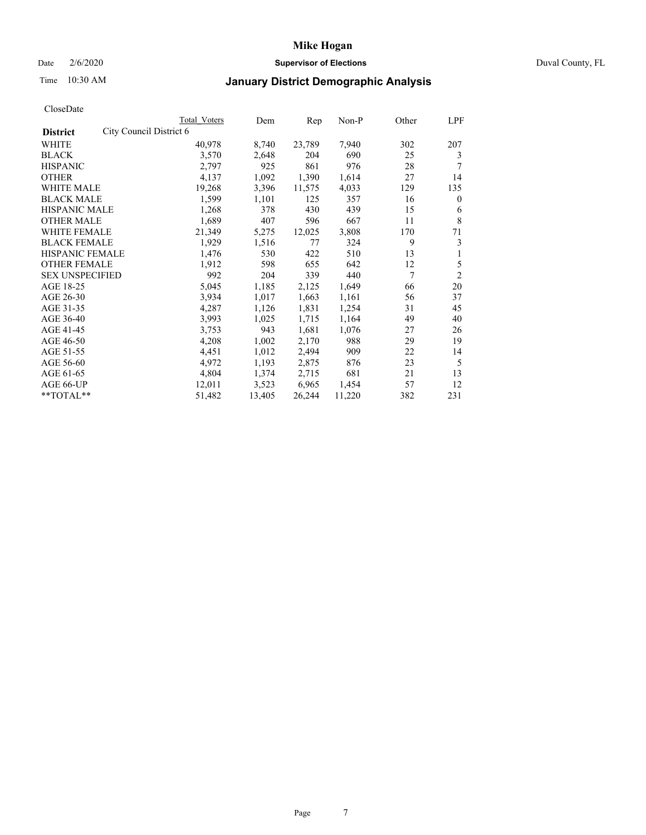## Date 2/6/2020 **Supervisor of Elections** Duval County, FL

## Time 10:30 AM **January District Demographic Analysis**

|                                            | Total Voters | Dem    | Rep    | Non-P  | Other | LPF            |
|--------------------------------------------|--------------|--------|--------|--------|-------|----------------|
| City Council District 6<br><b>District</b> |              |        |        |        |       |                |
| <b>WHITE</b>                               | 40,978       | 8,740  | 23,789 | 7,940  | 302   | 207            |
| <b>BLACK</b>                               | 3,570        | 2,648  | 204    | 690    | 25    | 3              |
| <b>HISPANIC</b>                            | 2,797        | 925    | 861    | 976    | 28    | 7              |
| <b>OTHER</b>                               | 4,137        | 1,092  | 1,390  | 1,614  | 27    | 14             |
| WHITE MALE                                 | 19,268       | 3,396  | 11,575 | 4,033  | 129   | 135            |
| <b>BLACK MALE</b>                          | 1,599        | 1,101  | 125    | 357    | 16    | $\mathbf{0}$   |
| HISPANIC MALE                              | 1,268        | 378    | 430    | 439    | 15    | 6              |
| <b>OTHER MALE</b>                          | 1,689        | 407    | 596    | 667    | 11    | 8              |
| <b>WHITE FEMALE</b>                        | 21,349       | 5,275  | 12,025 | 3,808  | 170   | 71             |
| <b>BLACK FEMALE</b>                        | 1,929        | 1,516  | 77     | 324    | 9     | 3              |
| HISPANIC FEMALE                            | 1,476        | 530    | 422    | 510    | 13    | 1              |
| <b>OTHER FEMALE</b>                        | 1,912        | 598    | 655    | 642    | 12    | 5              |
| <b>SEX UNSPECIFIED</b>                     | 992          | 204    | 339    | 440    | 7     | $\overline{2}$ |
| AGE 18-25                                  | 5,045        | 1,185  | 2,125  | 1,649  | 66    | 20             |
| AGE 26-30                                  | 3.934        | 1,017  | 1,663  | 1,161  | 56    | 37             |
| AGE 31-35                                  | 4,287        | 1,126  | 1,831  | 1,254  | 31    | 45             |
| AGE 36-40                                  | 3,993        | 1,025  | 1,715  | 1,164  | 49    | 40             |
| AGE 41-45                                  | 3,753        | 943    | 1,681  | 1,076  | 27    | 26             |
| AGE 46-50                                  | 4,208        | 1,002  | 2,170  | 988    | 29    | 19             |
| AGE 51-55                                  | 4,451        | 1,012  | 2,494  | 909    | 22    | 14             |
| AGE 56-60                                  | 4,972        | 1,193  | 2,875  | 876    | 23    | 5              |
| AGE 61-65                                  | 4,804        | 1,374  | 2,715  | 681    | 21    | 13             |
| AGE 66-UP                                  | 12,011       | 3,523  | 6,965  | 1,454  | 57    | 12             |
| **TOTAL**                                  | 51,482       | 13,405 | 26,244 | 11,220 | 382   | 231            |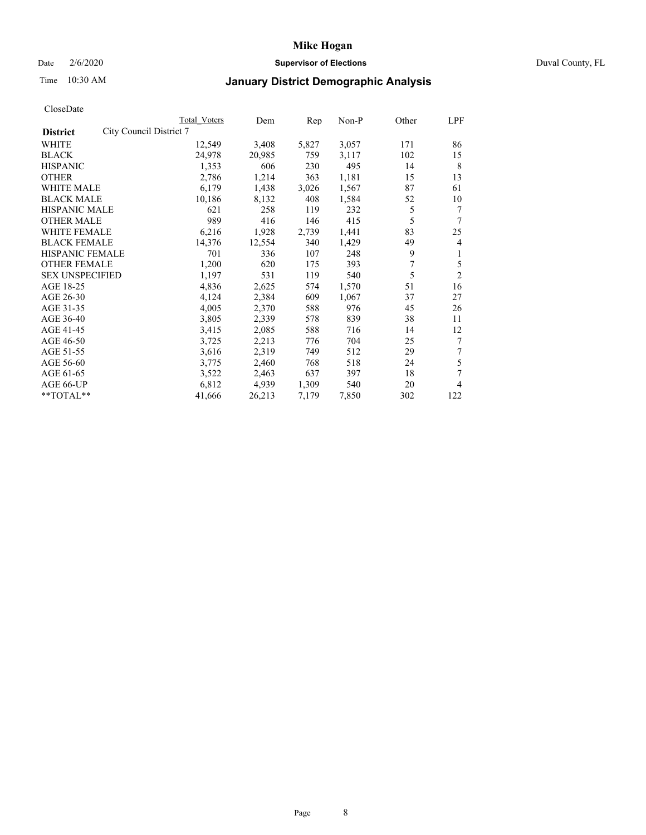## Date 2/6/2020 **Supervisor of Elections** Duval County, FL

# Time 10:30 AM **January District Demographic Analysis**

|                                            | Total Voters | Dem    | Rep   | Non-P | Other | LPF            |
|--------------------------------------------|--------------|--------|-------|-------|-------|----------------|
| City Council District 7<br><b>District</b> |              |        |       |       |       |                |
| WHITE                                      | 12,549       | 3,408  | 5,827 | 3,057 | 171   | 86             |
| <b>BLACK</b>                               | 24,978       | 20,985 | 759   | 3,117 | 102   | 15             |
| <b>HISPANIC</b>                            | 1,353        | 606    | 230   | 495   | 14    | 8              |
| <b>OTHER</b>                               | 2,786        | 1,214  | 363   | 1,181 | 15    | 13             |
| WHITE MALE                                 | 6,179        | 1,438  | 3,026 | 1,567 | 87    | 61             |
| <b>BLACK MALE</b>                          | 10,186       | 8,132  | 408   | 1,584 | 52    | 10             |
| HISPANIC MALE                              | 621          | 258    | 119   | 232   | 5     | 7              |
| <b>OTHER MALE</b>                          | 989          | 416    | 146   | 415   | 5     |                |
| <b>WHITE FEMALE</b>                        | 6,216        | 1,928  | 2,739 | 1,441 | 83    | 25             |
| <b>BLACK FEMALE</b>                        | 14,376       | 12,554 | 340   | 1,429 | 49    | 4              |
| <b>HISPANIC FEMALE</b>                     | 701          | 336    | 107   | 248   | 9     | 1              |
| <b>OTHER FEMALE</b>                        | 1,200        | 620    | 175   | 393   | 7     | 5              |
| <b>SEX UNSPECIFIED</b>                     | 1,197        | 531    | 119   | 540   | 5     | $\overline{2}$ |
| AGE 18-25                                  | 4,836        | 2,625  | 574   | 1,570 | 51    | 16             |
| AGE 26-30                                  | 4,124        | 2,384  | 609   | 1,067 | 37    | 27             |
| AGE 31-35                                  | 4,005        | 2,370  | 588   | 976   | 45    | 26             |
| AGE 36-40                                  | 3,805        | 2,339  | 578   | 839   | 38    | 11             |
| AGE 41-45                                  | 3,415        | 2,085  | 588   | 716   | 14    | 12             |
| AGE 46-50                                  | 3,725        | 2,213  | 776   | 704   | 25    | 7              |
| AGE 51-55                                  | 3,616        | 2,319  | 749   | 512   | 29    | 7              |
| AGE 56-60                                  | 3,775        | 2,460  | 768   | 518   | 24    | 5              |
| AGE 61-65                                  | 3,522        | 2,463  | 637   | 397   | 18    | 7              |
| AGE 66-UP                                  | 6,812        | 4,939  | 1,309 | 540   | 20    | 4              |
| **TOTAL**                                  | 41,666       | 26,213 | 7,179 | 7,850 | 302   | 122            |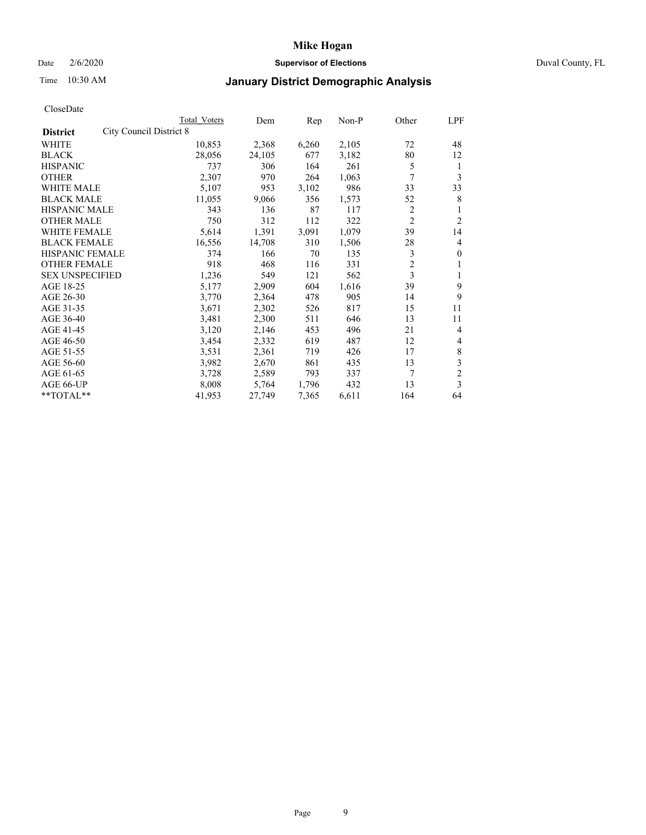## Date 2/6/2020 **Supervisor of Elections** Duval County, FL

# Time 10:30 AM **January District Demographic Analysis**

|                                            | Total Voters | Dem    | Rep   | Non-P | Other          | LPF            |
|--------------------------------------------|--------------|--------|-------|-------|----------------|----------------|
| City Council District 8<br><b>District</b> |              |        |       |       |                |                |
| <b>WHITE</b>                               | 10,853       | 2,368  | 6,260 | 2,105 | 72             | 48             |
| <b>BLACK</b>                               | 28,056       | 24,105 | 677   | 3,182 | 80             | 12             |
| <b>HISPANIC</b>                            | 737          | 306    | 164   | 261   | 5              | 1              |
| <b>OTHER</b>                               | 2,307        | 970    | 264   | 1,063 | 7              | 3              |
| WHITE MALE                                 | 5,107        | 953    | 3,102 | 986   | 33             | 33             |
| <b>BLACK MALE</b>                          | 11,055       | 9,066  | 356   | 1,573 | 52             | 8              |
| HISPANIC MALE                              | 343          | 136    | 87    | 117   | 2              |                |
| <b>OTHER MALE</b>                          | 750          | 312    | 112   | 322   | $\overline{2}$ | 2              |
| <b>WHITE FEMALE</b>                        | 5,614        | 1,391  | 3,091 | 1,079 | 39             | 14             |
| <b>BLACK FEMALE</b>                        | 16,556       | 14,708 | 310   | 1,506 | 28             | 4              |
| <b>HISPANIC FEMALE</b>                     | 374          | 166    | 70    | 135   | 3              | $\theta$       |
| <b>OTHER FEMALE</b>                        | 918          | 468    | 116   | 331   | $\overline{c}$ | 1              |
| <b>SEX UNSPECIFIED</b>                     | 1,236        | 549    | 121   | 562   | 3              | 1              |
| AGE 18-25                                  | 5,177        | 2,909  | 604   | 1,616 | 39             | 9              |
| AGE 26-30                                  | 3,770        | 2,364  | 478   | 905   | 14             | 9              |
| AGE 31-35                                  | 3,671        | 2,302  | 526   | 817   | 15             | 11             |
| AGE 36-40                                  | 3,481        | 2,300  | 511   | 646   | 13             | 11             |
| AGE 41-45                                  | 3,120        | 2,146  | 453   | 496   | 21             | 4              |
| AGE 46-50                                  | 3,454        | 2,332  | 619   | 487   | 12             | 4              |
| AGE 51-55                                  | 3,531        | 2,361  | 719   | 426   | 17             | $\,$ 8 $\,$    |
| AGE 56-60                                  | 3,982        | 2,670  | 861   | 435   | 13             | 3              |
| AGE 61-65                                  | 3,728        | 2,589  | 793   | 337   | 7              | $\overline{c}$ |
| AGE 66-UP                                  | 8,008        | 5,764  | 1,796 | 432   | 13             | 3              |
| **TOTAL**                                  | 41,953       | 27,749 | 7,365 | 6,611 | 164            | 64             |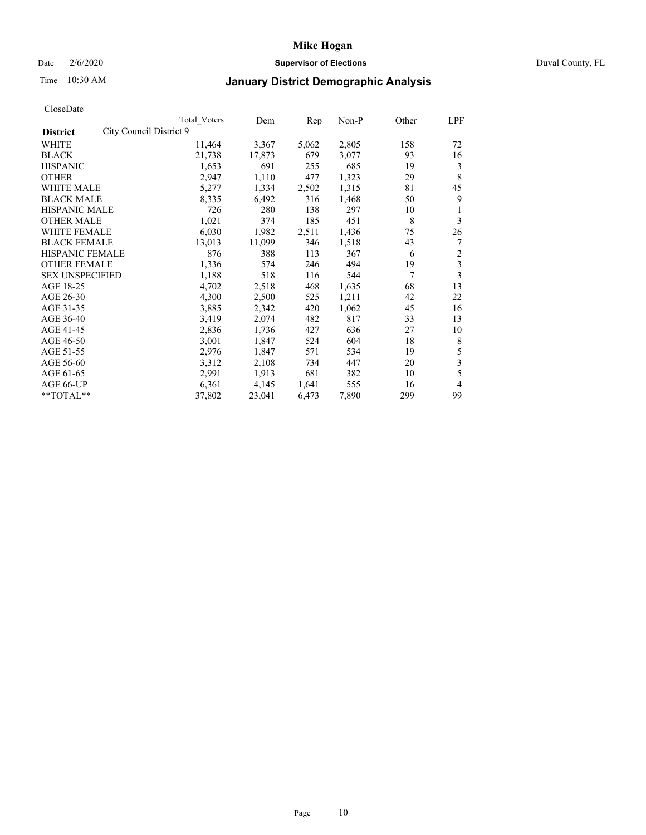## Date 2/6/2020 **Supervisor of Elections** Duval County, FL

# Time 10:30 AM **January District Demographic Analysis**

|                                            | Total Voters | Dem    | Rep   | Non-P | Other | LPF                     |
|--------------------------------------------|--------------|--------|-------|-------|-------|-------------------------|
| City Council District 9<br><b>District</b> |              |        |       |       |       |                         |
| WHITE                                      | 11,464       | 3,367  | 5,062 | 2,805 | 158   | 72                      |
| <b>BLACK</b>                               | 21,738       | 17,873 | 679   | 3,077 | 93    | 16                      |
| <b>HISPANIC</b>                            | 1,653        | 691    | 255   | 685   | 19    | 3                       |
| <b>OTHER</b>                               | 2,947        | 1,110  | 477   | 1,323 | 29    | 8                       |
| WHITE MALE                                 | 5,277        | 1,334  | 2,502 | 1,315 | 81    | 45                      |
| <b>BLACK MALE</b>                          | 8,335        | 6,492  | 316   | 1,468 | 50    | 9                       |
| <b>HISPANIC MALE</b>                       | 726          | 280    | 138   | 297   | 10    | 1                       |
| <b>OTHER MALE</b>                          | 1,021        | 374    | 185   | 451   | 8     | 3                       |
| WHITE FEMALE                               | 6,030        | 1,982  | 2,511 | 1,436 | 75    | 26                      |
| <b>BLACK FEMALE</b>                        | 13,013       | 11,099 | 346   | 1,518 | 43    | 7                       |
| <b>HISPANIC FEMALE</b>                     | 876          | 388    | 113   | 367   | 6     | $\overline{\mathbf{c}}$ |
| <b>OTHER FEMALE</b>                        | 1,336        | 574    | 246   | 494   | 19    | $\overline{\mathbf{3}}$ |
| <b>SEX UNSPECIFIED</b>                     | 1,188        | 518    | 116   | 544   | 7     | 3                       |
| AGE 18-25                                  | 4,702        | 2,518  | 468   | 1,635 | 68    | 13                      |
| AGE 26-30                                  | 4,300        | 2,500  | 525   | 1,211 | 42    | 22                      |
| AGE 31-35                                  | 3,885        | 2,342  | 420   | 1,062 | 45    | 16                      |
| AGE 36-40                                  | 3,419        | 2,074  | 482   | 817   | 33    | 13                      |
| AGE 41-45                                  | 2,836        | 1,736  | 427   | 636   | 27    | 10                      |
| AGE 46-50                                  | 3,001        | 1,847  | 524   | 604   | 18    | 8                       |
| AGE 51-55                                  | 2,976        | 1,847  | 571   | 534   | 19    | 5                       |
| AGE 56-60                                  | 3,312        | 2,108  | 734   | 447   | 20    | 3                       |
| AGE 61-65                                  | 2,991        | 1,913  | 681   | 382   | 10    | 5                       |
| AGE 66-UP                                  | 6,361        | 4,145  | 1,641 | 555   | 16    | $\overline{4}$          |
| **TOTAL**                                  | 37,802       | 23,041 | 6,473 | 7,890 | 299   | 99                      |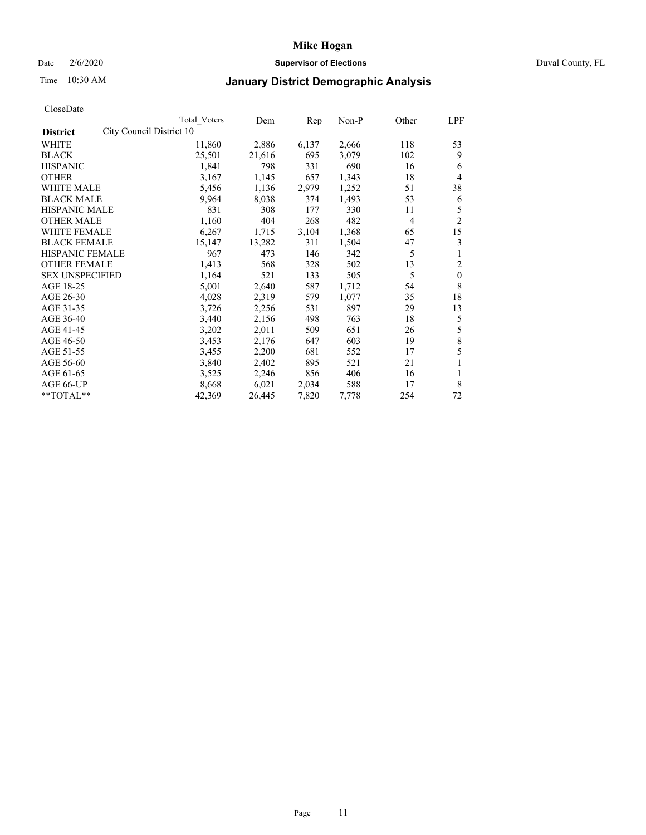## Date 2/6/2020 **Supervisor of Elections** Duval County, FL

# Time 10:30 AM **January District Demographic Analysis**

|                                             | Total Voters | Dem    | Rep   | Non-P | Other          | LPF            |
|---------------------------------------------|--------------|--------|-------|-------|----------------|----------------|
| City Council District 10<br><b>District</b> |              |        |       |       |                |                |
| <b>WHITE</b>                                | 11,860       | 2,886  | 6,137 | 2,666 | 118            | 53             |
| <b>BLACK</b>                                | 25,501       | 21,616 | 695   | 3,079 | 102            | 9              |
| <b>HISPANIC</b>                             | 1,841        | 798    | 331   | 690   | 16             | 6              |
| <b>OTHER</b>                                | 3,167        | 1,145  | 657   | 1,343 | 18             | 4              |
| WHITE MALE                                  | 5,456        | 1,136  | 2,979 | 1,252 | 51             | 38             |
| <b>BLACK MALE</b>                           | 9,964        | 8,038  | 374   | 1,493 | 53             | 6              |
| HISPANIC MALE                               | 831          | 308    | 177   | 330   | 11             | 5              |
| <b>OTHER MALE</b>                           | 1,160        | 404    | 268   | 482   | $\overline{4}$ | $\overline{c}$ |
| <b>WHITE FEMALE</b>                         | 6,267        | 1,715  | 3,104 | 1,368 | 65             | 15             |
| <b>BLACK FEMALE</b>                         | 15,147       | 13,282 | 311   | 1,504 | 47             | 3              |
| <b>HISPANIC FEMALE</b>                      | 967          | 473    | 146   | 342   | 5              | 1              |
| <b>OTHER FEMALE</b>                         | 1,413        | 568    | 328   | 502   | 13             | 2              |
| <b>SEX UNSPECIFIED</b>                      | 1,164        | 521    | 133   | 505   | 5              | $\mathbf{0}$   |
| AGE 18-25                                   | 5,001        | 2,640  | 587   | 1,712 | 54             | 8              |
| AGE 26-30                                   | 4,028        | 2,319  | 579   | 1,077 | 35             | 18             |
| AGE 31-35                                   | 3,726        | 2,256  | 531   | 897   | 29             | 13             |
| AGE 36-40                                   | 3,440        | 2,156  | 498   | 763   | 18             | 5              |
| AGE 41-45                                   | 3,202        | 2,011  | 509   | 651   | 26             | 5              |
| AGE 46-50                                   | 3,453        | 2,176  | 647   | 603   | 19             | $\,8\,$        |
| AGE 51-55                                   | 3,455        | 2,200  | 681   | 552   | 17             | 5              |
| AGE 56-60                                   | 3,840        | 2,402  | 895   | 521   | 21             |                |
| AGE 61-65                                   | 3,525        | 2,246  | 856   | 406   | 16             | 1              |
| AGE 66-UP                                   | 8,668        | 6,021  | 2,034 | 588   | 17             | 8              |
| **TOTAL**                                   | 42,369       | 26,445 | 7,820 | 7,778 | 254            | 72             |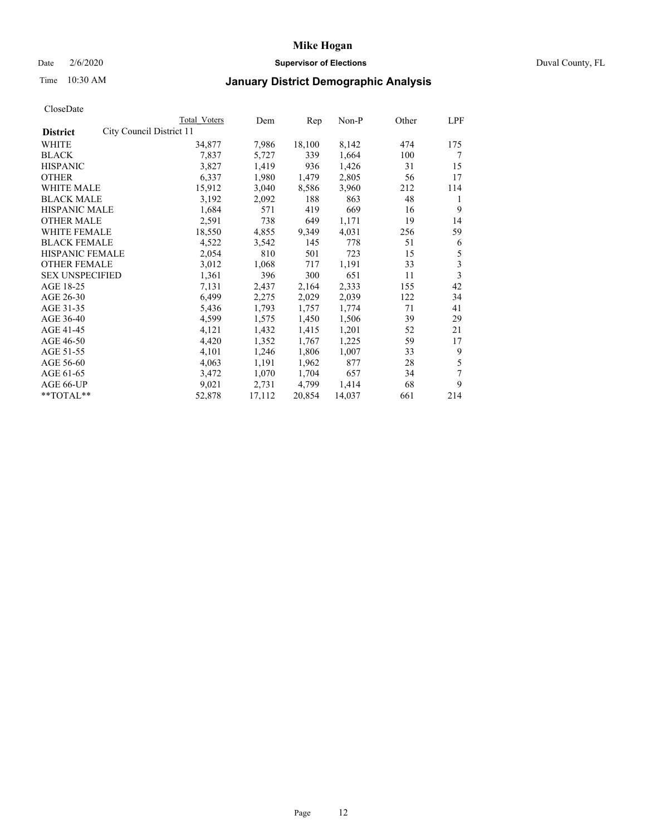## Date 2/6/2020 **Supervisor of Elections** Duval County, FL

# Time 10:30 AM **January District Demographic Analysis**

|                                             | <b>Total Voters</b> | Dem    | Rep    | Non-P  | Other | LPF |
|---------------------------------------------|---------------------|--------|--------|--------|-------|-----|
| City Council District 11<br><b>District</b> |                     |        |        |        |       |     |
| <b>WHITE</b>                                | 34,877              | 7,986  | 18,100 | 8,142  | 474   | 175 |
| <b>BLACK</b>                                | 7,837               | 5,727  | 339    | 1,664  | 100   | 7   |
| <b>HISPANIC</b>                             | 3,827               | 1,419  | 936    | 1,426  | 31    | 15  |
| <b>OTHER</b>                                | 6,337               | 1,980  | 1,479  | 2,805  | 56    | 17  |
| WHITE MALE                                  | 15,912              | 3,040  | 8,586  | 3,960  | 212   | 114 |
| <b>BLACK MALE</b>                           | 3,192               | 2,092  | 188    | 863    | 48    | 1   |
| HISPANIC MALE                               | 1,684               | 571    | 419    | 669    | 16    | 9   |
| <b>OTHER MALE</b>                           | 2,591               | 738    | 649    | 1,171  | 19    | 14  |
| <b>WHITE FEMALE</b>                         | 18,550              | 4,855  | 9,349  | 4,031  | 256   | 59  |
| <b>BLACK FEMALE</b>                         | 4,522               | 3,542  | 145    | 778    | 51    | 6   |
| HISPANIC FEMALE                             | 2,054               | 810    | 501    | 723    | 15    | 5   |
| <b>OTHER FEMALE</b>                         | 3,012               | 1,068  | 717    | 1,191  | 33    | 3   |
| <b>SEX UNSPECIFIED</b>                      | 1,361               | 396    | 300    | 651    | 11    | 3   |
| AGE 18-25                                   | 7,131               | 2,437  | 2,164  | 2,333  | 155   | 42  |
| AGE 26-30                                   | 6,499               | 2,275  | 2,029  | 2,039  | 122   | 34  |
| AGE 31-35                                   | 5,436               | 1,793  | 1,757  | 1,774  | 71    | 41  |
| AGE 36-40                                   | 4,599               | 1,575  | 1,450  | 1,506  | 39    | 29  |
| AGE 41-45                                   | 4,121               | 1,432  | 1,415  | 1,201  | 52    | 21  |
| AGE 46-50                                   | 4,420               | 1,352  | 1,767  | 1,225  | 59    | 17  |
| AGE 51-55                                   | 4,101               | 1,246  | 1,806  | 1,007  | 33    | 9   |
| AGE 56-60                                   | 4,063               | 1,191  | 1,962  | 877    | 28    | 5   |
| AGE 61-65                                   | 3,472               | 1,070  | 1,704  | 657    | 34    | 7   |
| AGE 66-UP                                   | 9,021               | 2,731  | 4,799  | 1,414  | 68    | 9   |
| **TOTAL**                                   | 52,878              | 17,112 | 20,854 | 14,037 | 661   | 214 |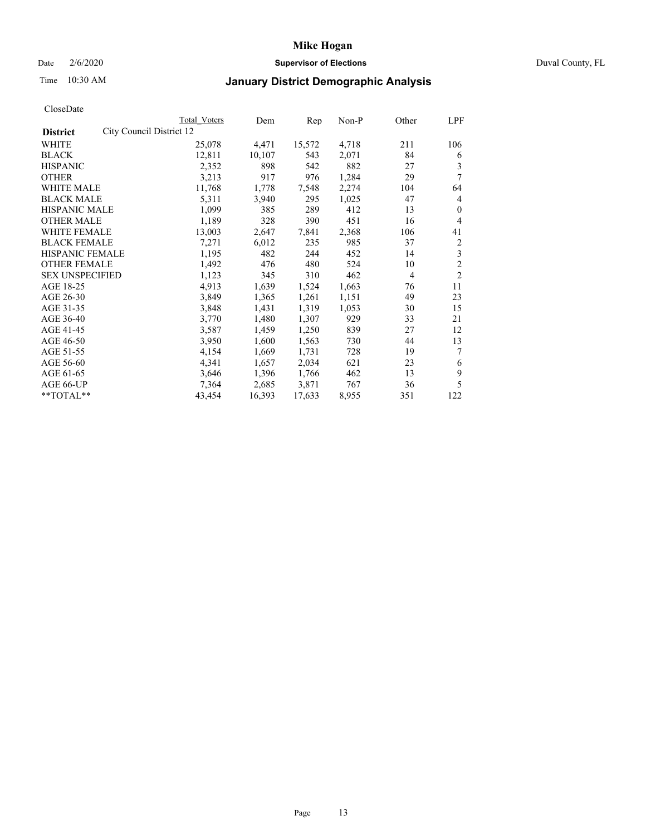## Date 2/6/2020 **Supervisor of Elections** Duval County, FL

# Time 10:30 AM **January District Demographic Analysis**

|                                             | <b>Total Voters</b> | Dem    | Rep    | Non-P | Other          | LPF            |
|---------------------------------------------|---------------------|--------|--------|-------|----------------|----------------|
| City Council District 12<br><b>District</b> |                     |        |        |       |                |                |
| <b>WHITE</b>                                | 25,078              | 4,471  | 15,572 | 4,718 | 211            | 106            |
| <b>BLACK</b>                                | 12,811              | 10,107 | 543    | 2,071 | 84             | 6              |
| <b>HISPANIC</b>                             | 2,352               | 898    | 542    | 882   | 27             | 3              |
| <b>OTHER</b>                                | 3,213               | 917    | 976    | 1,284 | 29             | 7              |
| WHITE MALE                                  | 11,768              | 1,778  | 7,548  | 2,274 | 104            | 64             |
| <b>BLACK MALE</b>                           | 5,311               | 3,940  | 295    | 1,025 | 47             | 4              |
| HISPANIC MALE                               | 1,099               | 385    | 289    | 412   | 13             | $\mathbf{0}$   |
| <b>OTHER MALE</b>                           | 1,189               | 328    | 390    | 451   | 16             | 4              |
| <b>WHITE FEMALE</b>                         | 13,003              | 2,647  | 7,841  | 2,368 | 106            | 41             |
| <b>BLACK FEMALE</b>                         | 7,271               | 6,012  | 235    | 985   | 37             | $\overline{c}$ |
| HISPANIC FEMALE                             | 1,195               | 482    | 244    | 452   | 14             | 3              |
| <b>OTHER FEMALE</b>                         | 1,492               | 476    | 480    | 524   | 10             | $\overline{2}$ |
| <b>SEX UNSPECIFIED</b>                      | 1,123               | 345    | 310    | 462   | $\overline{4}$ | $\overline{2}$ |
| AGE 18-25                                   | 4,913               | 1,639  | 1,524  | 1,663 | 76             | 11             |
| AGE 26-30                                   | 3,849               | 1,365  | 1,261  | 1,151 | 49             | 23             |
| AGE 31-35                                   | 3,848               | 1,431  | 1,319  | 1,053 | 30             | 15             |
| AGE 36-40                                   | 3,770               | 1,480  | 1,307  | 929   | 33             | 21             |
| AGE 41-45                                   | 3,587               | 1,459  | 1,250  | 839   | 27             | 12             |
| AGE 46-50                                   | 3,950               | 1,600  | 1,563  | 730   | 44             | 13             |
| AGE 51-55                                   | 4,154               | 1,669  | 1,731  | 728   | 19             | 7              |
| AGE 56-60                                   | 4,341               | 1,657  | 2,034  | 621   | 23             | 6              |
| AGE 61-65                                   | 3,646               | 1,396  | 1,766  | 462   | 13             | 9              |
| AGE 66-UP                                   | 7,364               | 2,685  | 3,871  | 767   | 36             | 5              |
| **TOTAL**                                   | 43,454              | 16,393 | 17,633 | 8,955 | 351            | 122            |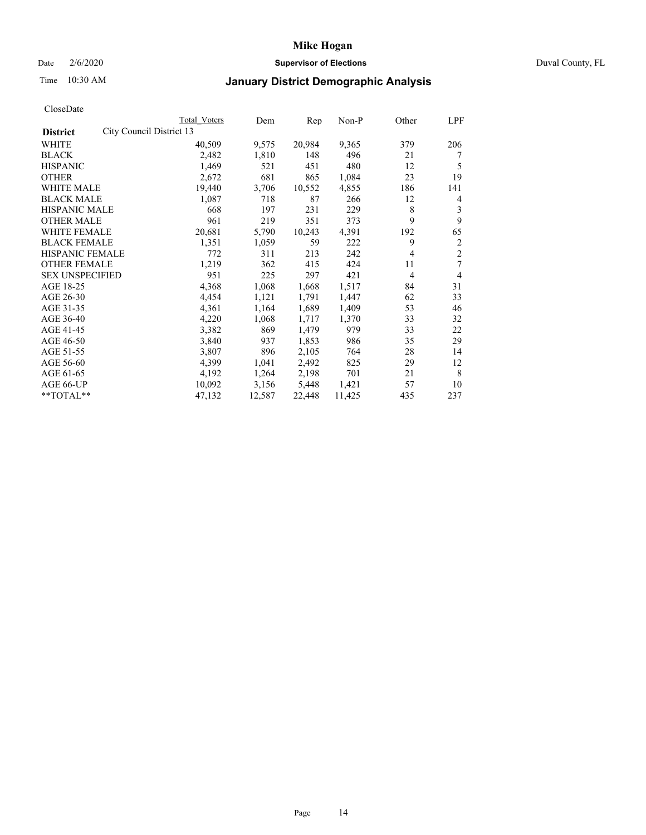## Date 2/6/2020 **Supervisor of Elections** Duval County, FL

## Time 10:30 AM **January District Demographic Analysis**

|                                             | Total Voters | Dem    | Rep    | Non-P  | Other          | LPF            |
|---------------------------------------------|--------------|--------|--------|--------|----------------|----------------|
| City Council District 13<br><b>District</b> |              |        |        |        |                |                |
| WHITE                                       | 40,509       | 9,575  | 20,984 | 9,365  | 379            | 206            |
| <b>BLACK</b>                                | 2,482        | 1,810  | 148    | 496    | 21             |                |
| <b>HISPANIC</b>                             | 1,469        | 521    | 451    | 480    | 12             | 5              |
| <b>OTHER</b>                                | 2,672        | 681    | 865    | 1,084  | 23             | 19             |
| WHITE MALE                                  | 19,440       | 3,706  | 10,552 | 4,855  | 186            | 141            |
| <b>BLACK MALE</b>                           | 1,087        | 718    | 87     | 266    | 12             | 4              |
| HISPANIC MALE                               | 668          | 197    | 231    | 229    | 8              | 3              |
| <b>OTHER MALE</b>                           | 961          | 219    | 351    | 373    | 9              | 9              |
| <b>WHITE FEMALE</b>                         | 20,681       | 5,790  | 10,243 | 4,391  | 192            | 65             |
| <b>BLACK FEMALE</b>                         | 1,351        | 1,059  | 59     | 222    | 9              | $\overline{c}$ |
| HISPANIC FEMALE                             | 772          | 311    | 213    | 242    | 4              | $\overline{c}$ |
| <b>OTHER FEMALE</b>                         | 1,219        | 362    | 415    | 424    | 11             | 7              |
| <b>SEX UNSPECIFIED</b>                      | 951          | 225    | 297    | 421    | $\overline{4}$ | 4              |
| AGE 18-25                                   | 4,368        | 1,068  | 1,668  | 1,517  | 84             | 31             |
| AGE 26-30                                   | 4,454        | 1,121  | 1,791  | 1,447  | 62             | 33             |
| AGE 31-35                                   | 4,361        | 1,164  | 1,689  | 1,409  | 53             | 46             |
| AGE 36-40                                   | 4,220        | 1,068  | 1,717  | 1,370  | 33             | 32             |
| AGE 41-45                                   | 3,382        | 869    | 1,479  | 979    | 33             | 22             |
| AGE 46-50                                   | 3,840        | 937    | 1,853  | 986    | 35             | 29             |
| AGE 51-55                                   | 3,807        | 896    | 2,105  | 764    | 28             | 14             |
| AGE 56-60                                   | 4,399        | 1,041  | 2,492  | 825    | 29             | 12             |
| AGE 61-65                                   | 4,192        | 1,264  | 2,198  | 701    | 21             | 8              |
| AGE 66-UP                                   | 10,092       | 3,156  | 5,448  | 1,421  | 57             | 10             |
| **TOTAL**                                   | 47,132       | 12,587 | 22,448 | 11,425 | 435            | 237            |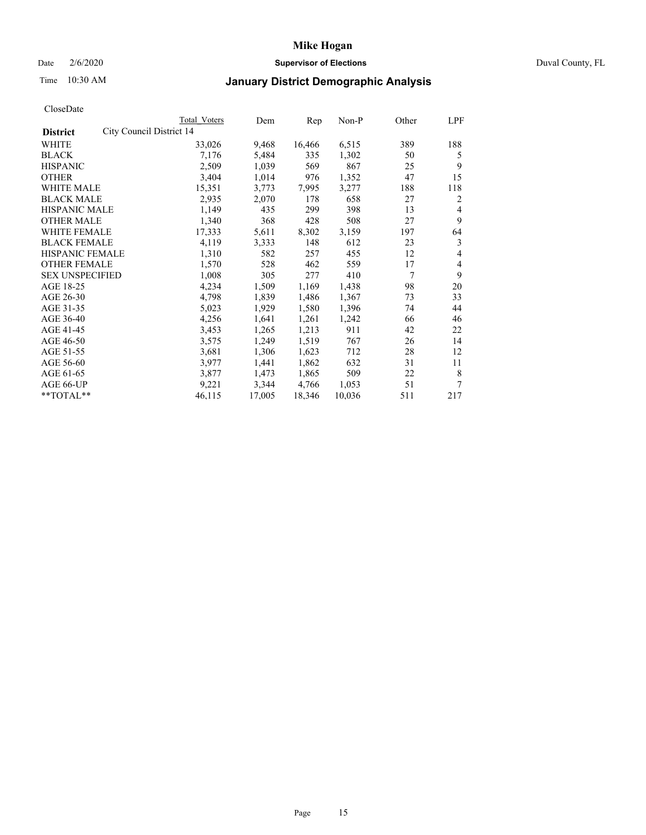## Date 2/6/2020 **Supervisor of Elections** Duval County, FL

# Time 10:30 AM **January District Demographic Analysis**

|                                             | <b>Total Voters</b> | Dem    | Rep    | Non-P  | Other | LPF |
|---------------------------------------------|---------------------|--------|--------|--------|-------|-----|
| City Council District 14<br><b>District</b> |                     |        |        |        |       |     |
| <b>WHITE</b>                                | 33,026              | 9,468  | 16,466 | 6,515  | 389   | 188 |
| <b>BLACK</b>                                | 7,176               | 5,484  | 335    | 1,302  | 50    | 5   |
| <b>HISPANIC</b>                             | 2,509               | 1,039  | 569    | 867    | 25    | 9   |
| <b>OTHER</b>                                | 3,404               | 1,014  | 976    | 1,352  | 47    | 15  |
| WHITE MALE                                  | 15,351              | 3,773  | 7,995  | 3,277  | 188   | 118 |
| <b>BLACK MALE</b>                           | 2,935               | 2,070  | 178    | 658    | 27    | 2   |
| HISPANIC MALE                               | 1,149               | 435    | 299    | 398    | 13    | 4   |
| <b>OTHER MALE</b>                           | 1,340               | 368    | 428    | 508    | 27    | 9   |
| <b>WHITE FEMALE</b>                         | 17,333              | 5,611  | 8,302  | 3,159  | 197   | 64  |
| <b>BLACK FEMALE</b>                         | 4,119               | 3,333  | 148    | 612    | 23    | 3   |
| HISPANIC FEMALE                             | 1,310               | 582    | 257    | 455    | 12    | 4   |
| <b>OTHER FEMALE</b>                         | 1,570               | 528    | 462    | 559    | 17    | 4   |
| <b>SEX UNSPECIFIED</b>                      | 1,008               | 305    | 277    | 410    | 7     | 9   |
| AGE 18-25                                   | 4,234               | 1,509  | 1,169  | 1,438  | 98    | 20  |
| AGE 26-30                                   | 4,798               | 1,839  | 1,486  | 1,367  | 73    | 33  |
| AGE 31-35                                   | 5,023               | 1,929  | 1,580  | 1,396  | 74    | 44  |
| AGE 36-40                                   | 4,256               | 1,641  | 1,261  | 1,242  | 66    | 46  |
| AGE 41-45                                   | 3,453               | 1,265  | 1,213  | 911    | 42    | 22  |
| AGE 46-50                                   | 3,575               | 1,249  | 1,519  | 767    | 26    | 14  |
| AGE 51-55                                   | 3,681               | 1,306  | 1,623  | 712    | 28    | 12  |
| AGE 56-60                                   | 3,977               | 1,441  | 1,862  | 632    | 31    | 11  |
| AGE 61-65                                   | 3,877               | 1,473  | 1,865  | 509    | 22    | 8   |
| AGE 66-UP                                   | 9,221               | 3,344  | 4,766  | 1,053  | 51    | 7   |
| **TOTAL**                                   | 46,115              | 17,005 | 18,346 | 10,036 | 511   | 217 |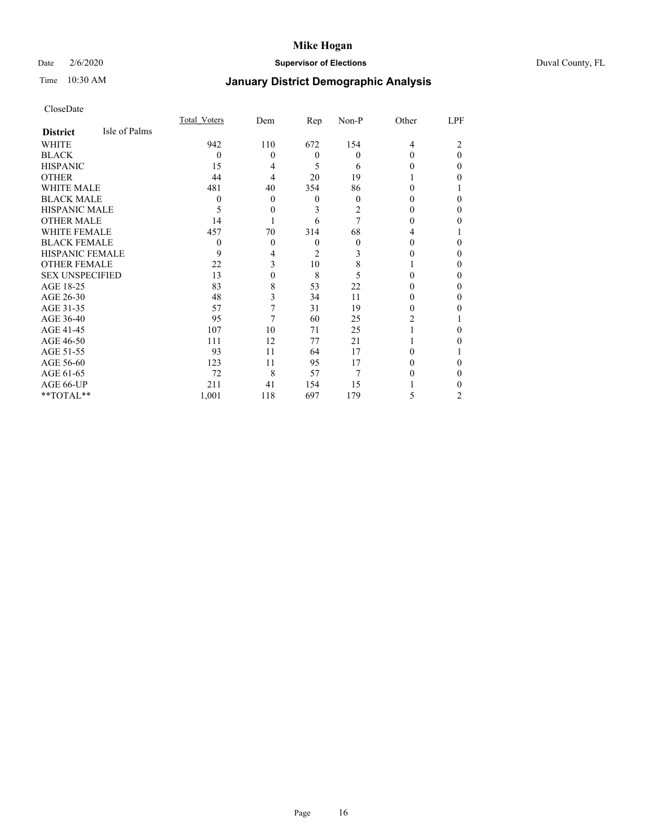## Date 2/6/2020 **Supervisor of Elections** Duval County, FL

# Time 10:30 AM **January District Demographic Analysis**

|                        |               | <b>Total Voters</b> | Dem      | Rep            | Non-P | Other          | LPF |
|------------------------|---------------|---------------------|----------|----------------|-------|----------------|-----|
| <b>District</b>        | Isle of Palms |                     |          |                |       |                |     |
| WHITE                  |               | 942                 | 110      | 672            | 154   | $\overline{4}$ |     |
| <b>BLACK</b>           |               | $\Omega$            | $\Omega$ | $\theta$       | 0     | 0              | 0   |
| <b>HISPANIC</b>        |               | 15                  | 4        | 5              | 6     | 0              | 0   |
| <b>OTHER</b>           |               | 44                  | 4        | 20             | 19    |                | 0   |
| WHITE MALE             |               | 481                 | 40       | 354            | 86    | 0              |     |
| <b>BLACK MALE</b>      |               | 0                   | $\theta$ | $\theta$       | 0     | 0              | 0   |
| <b>HISPANIC MALE</b>   |               | 5                   | $\theta$ | 3              | 2     | 0              | 0   |
| <b>OTHER MALE</b>      |               | 14                  |          | 6              | 7     | 0              | 0   |
| WHITE FEMALE           |               | 457                 | 70       | 314            | 68    | 4              |     |
| <b>BLACK FEMALE</b>    |               | $\theta$            | $\theta$ | $\theta$       | 0     | 0              | 0   |
| <b>HISPANIC FEMALE</b> |               | 9                   | 4        | $\overline{2}$ | 3     |                | 0   |
| <b>OTHER FEMALE</b>    |               | 22                  | 3        | 10             | 8     |                | 0   |
| <b>SEX UNSPECIFIED</b> |               | 13                  | 0        | 8              | 5     | 0              | 0   |
| AGE 18-25              |               | 83                  | 8        | 53             | 22    | 0              | 0   |
| AGE 26-30              |               | 48                  | 3        | 34             | 11    | 0              | 0   |
| AGE 31-35              |               | 57                  | 7        | 31             | 19    | 0              | 0   |
| AGE 36-40              |               | 95                  | 7        | 60             | 25    | 2              |     |
| AGE 41-45              |               | 107                 | 10       | 71             | 25    |                | 0   |
| AGE 46-50              |               | 111                 | 12       | 77             | 21    |                | 0   |
| AGE 51-55              |               | 93                  | 11       | 64             | 17    | 0              |     |
| AGE 56-60              |               | 123                 | 11       | 95             | 17    |                | 0   |
| AGE 61-65              |               | 72                  | 8        | 57             | 7     |                | 0   |
| AGE 66-UP              |               | 211                 | 41       | 154            | 15    |                |     |
| **TOTAL**              |               | 1,001               | 118      | 697            | 179   | 5              | 2   |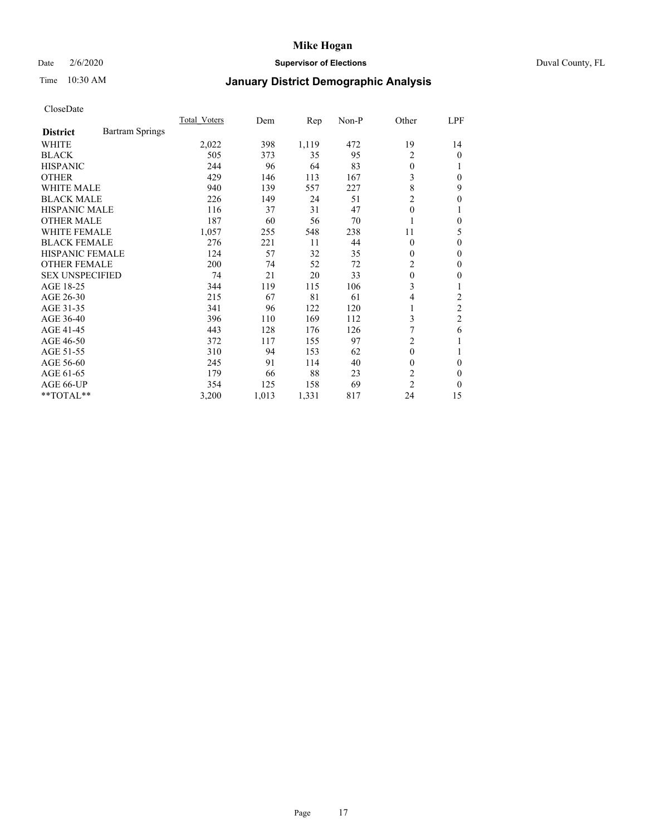## Date 2/6/2020 **Supervisor of Elections** Duval County, FL

# Time 10:30 AM **January District Demographic Analysis**

|                                           | Total Voters | Dem   | Rep   | Non-P | Other          | LPF              |
|-------------------------------------------|--------------|-------|-------|-------|----------------|------------------|
| <b>Bartram Springs</b><br><b>District</b> |              |       |       |       |                |                  |
| WHITE                                     | 2,022        | 398   | 1,119 | 472   | 19             | 14               |
| <b>BLACK</b>                              | 505          | 373   | 35    | 95    | 2              | $\theta$         |
| <b>HISPANIC</b>                           | 244          | 96    | 64    | 83    | $\theta$       |                  |
| <b>OTHER</b>                              | 429          | 146   | 113   | 167   | 3              | $\theta$         |
| <b>WHITE MALE</b>                         | 940          | 139   | 557   | 227   | 8              | 9                |
| <b>BLACK MALE</b>                         | 226          | 149   | 24    | 51    | $\overline{c}$ | $\boldsymbol{0}$ |
| <b>HISPANIC MALE</b>                      | 116          | 37    | 31    | 47    | $\mathbf{0}$   |                  |
| <b>OTHER MALE</b>                         | 187          | 60    | 56    | 70    |                | $\Omega$         |
| <b>WHITE FEMALE</b>                       | 1,057        | 255   | 548   | 238   | 11             | 5                |
| <b>BLACK FEMALE</b>                       | 276          | 221   | 11    | 44    | $\theta$       | $\theta$         |
| <b>HISPANIC FEMALE</b>                    | 124          | 57    | 32    | 35    | $\theta$       | $\mathbf{0}$     |
| <b>OTHER FEMALE</b>                       | 200          | 74    | 52    | 72    | 2              | $\Omega$         |
| <b>SEX UNSPECIFIED</b>                    | 74           | 21    | 20    | 33    | $\theta$       | 0                |
| AGE 18-25                                 | 344          | 119   | 115   | 106   | 3              |                  |
| AGE 26-30                                 | 215          | 67    | 81    | 61    | $\overline{4}$ | 2                |
| AGE 31-35                                 | 341          | 96    | 122   | 120   | 1              | $\overline{c}$   |
| AGE 36-40                                 | 396          | 110   | 169   | 112   | 3              | $\overline{2}$   |
| AGE 41-45                                 | 443          | 128   | 176   | 126   | 7              | 6                |
| AGE 46-50                                 | 372          | 117   | 155   | 97    | $\overline{2}$ |                  |
| AGE 51-55                                 | 310          | 94    | 153   | 62    | $\mathbf{0}$   |                  |
| AGE 56-60                                 | 245          | 91    | 114   | 40    | $\theta$       | $\theta$         |
| AGE 61-65                                 | 179          | 66    | 88    | 23    | $\overline{c}$ | $\theta$         |
| AGE 66-UP                                 | 354          | 125   | 158   | 69    | $\overline{c}$ | $\Omega$         |
| **TOTAL**                                 | 3,200        | 1,013 | 1,331 | 817   | 24             | 15               |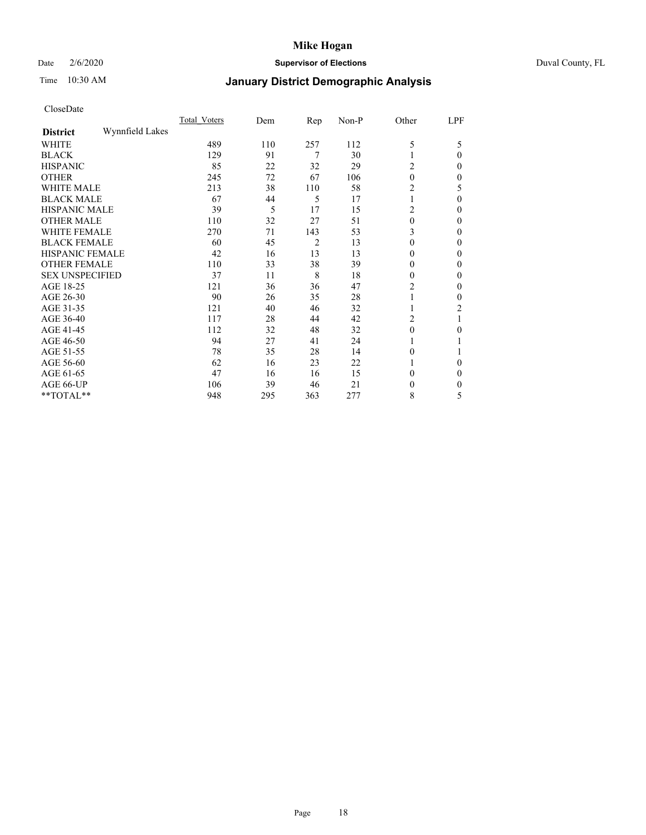## Date 2/6/2020 **Supervisor of Elections** Duval County, FL

# Time 10:30 AM **January District Demographic Analysis**

|                        |                 | Total Voters | Dem | Rep            | Non-P | Other    | LPF      |
|------------------------|-----------------|--------------|-----|----------------|-------|----------|----------|
| <b>District</b>        | Wynnfield Lakes |              |     |                |       |          |          |
| WHITE                  |                 | 489          | 110 | 257            | 112   | 5        | 5        |
| <b>BLACK</b>           |                 | 129          | 91  | 7              | 30    |          | $\theta$ |
| <b>HISPANIC</b>        |                 | 85           | 22  | 32             | 29    | 2        | $\Omega$ |
| <b>OTHER</b>           |                 | 245          | 72  | 67             | 106   | $\theta$ | $\Omega$ |
| WHITE MALE             |                 | 213          | 38  | 110            | 58    | 2        | 5        |
| <b>BLACK MALE</b>      |                 | 67           | 44  | 5              | 17    |          | $\theta$ |
| <b>HISPANIC MALE</b>   |                 | 39           | 5   | 17             | 15    | 2        | 0        |
| <b>OTHER MALE</b>      |                 | 110          | 32  | 27             | 51    | 0        | $\theta$ |
| <b>WHITE FEMALE</b>    |                 | 270          | 71  | 143            | 53    | 3        | 0        |
| <b>BLACK FEMALE</b>    |                 | 60           | 45  | $\overline{c}$ | 13    | 0        | $\Omega$ |
| <b>HISPANIC FEMALE</b> |                 | 42           | 16  | 13             | 13    | 0        | 0        |
| <b>OTHER FEMALE</b>    |                 | 110          | 33  | 38             | 39    | 0        | $\Omega$ |
| <b>SEX UNSPECIFIED</b> |                 | 37           | 11  | 8              | 18    | 0        | $\Omega$ |
| AGE 18-25              |                 | 121          | 36  | 36             | 47    | 2        | $\theta$ |
| AGE 26-30              |                 | 90           | 26  | 35             | 28    |          | 0        |
| AGE 31-35              |                 | 121          | 40  | 46             | 32    |          | 2        |
| AGE 36-40              |                 | 117          | 28  | 44             | 42    | 2        |          |
| AGE 41-45              |                 | 112          | 32  | 48             | 32    | 0        | 0        |
| AGE 46-50              |                 | 94           | 27  | 41             | 24    |          |          |
| AGE 51-55              |                 | 78           | 35  | 28             | 14    | 0        |          |
| AGE 56-60              |                 | 62           | 16  | 23             | 22    |          | 0        |
| AGE 61-65              |                 | 47           | 16  | 16             | 15    | 0        | $\theta$ |
| AGE 66-UP              |                 | 106          | 39  | 46             | 21    | 0        | $_{0}$   |
| **TOTAL**              |                 | 948          | 295 | 363            | 277   | 8        | 5        |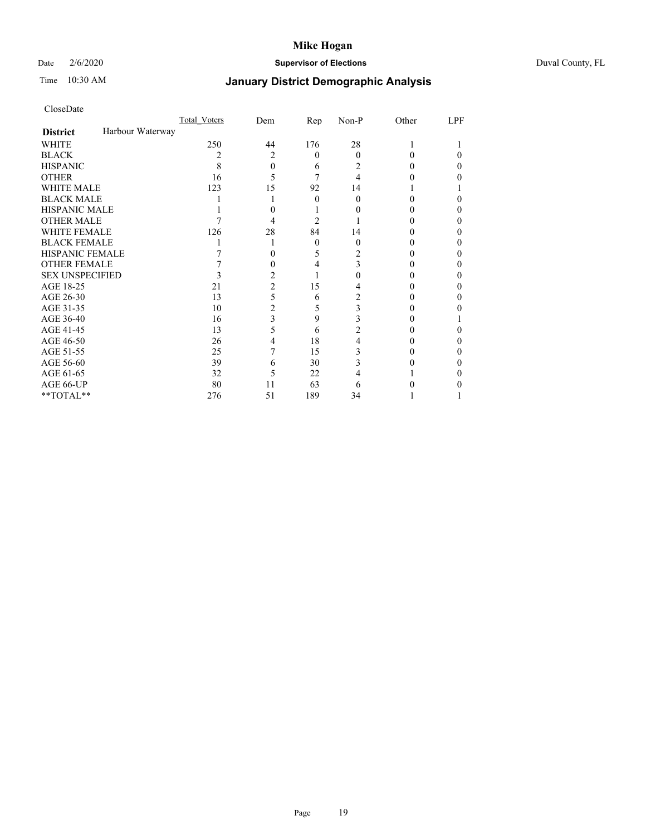## Date 2/6/2020 **Supervisor of Elections** Duval County, FL

## Time 10:30 AM **January District Demographic Analysis**

|                                     | Total Voters | Dem            | Rep      | Non-P | Other | LPF |
|-------------------------------------|--------------|----------------|----------|-------|-------|-----|
| Harbour Waterway<br><b>District</b> |              |                |          |       |       |     |
| <b>WHITE</b>                        | 250          | 44             | 176      | 28    |       |     |
| <b>BLACK</b>                        |              | $\overline{c}$ | $\theta$ | 0     | 0     | 0   |
| <b>HISPANIC</b>                     | 8            | 0              | 6        | 2     | 0     | 0   |
| <b>OTHER</b>                        | 16           | 5              |          | 4     |       |     |
| WHITE MALE                          | 123          | 15             | 92       | 14    |       |     |
| <b>BLACK MALE</b>                   |              |                | $\Omega$ | 0     | 0     |     |
| <b>HISPANIC MALE</b>                |              |                |          |       |       |     |
| <b>OTHER MALE</b>                   |              | 4              | 2        |       |       | 0   |
| <b>WHITE FEMALE</b>                 | 126          | 28             | 84       | 14    |       |     |
| <b>BLACK FEMALE</b>                 |              |                | $\theta$ | 0     | 0     | 0   |
| HISPANIC FEMALE                     |              |                | 5        | 2     |       |     |
| <b>OTHER FEMALE</b>                 |              |                | 4        | 3     |       |     |
| <b>SEX UNSPECIFIED</b>              |              | 2              |          |       |       |     |
| AGE 18-25                           | 21           | $\overline{c}$ | 15       |       |       |     |
| AGE 26-30                           | 13           | 5              | 6        | 2     |       | 0   |
| AGE 31-35                           | 10           | $\overline{c}$ | 5        | 3     |       |     |
| AGE 36-40                           | 16           | 3              | 9        | 3     |       |     |
| AGE 41-45                           | 13           | 5              | 6        | 2     |       |     |
| AGE 46-50                           | 26           | 4              | 18       | 4     |       |     |
| AGE 51-55                           | 25           |                | 15       | 3     |       |     |
| AGE 56-60                           | 39           | 6              | 30       |       |       |     |
| AGE 61-65                           | 32           | 5              | 22       |       |       |     |
| AGE 66-UP                           | 80           | 11             | 63       | 6     |       |     |
| **TOTAL**                           | 276          | 51             | 189      | 34    |       |     |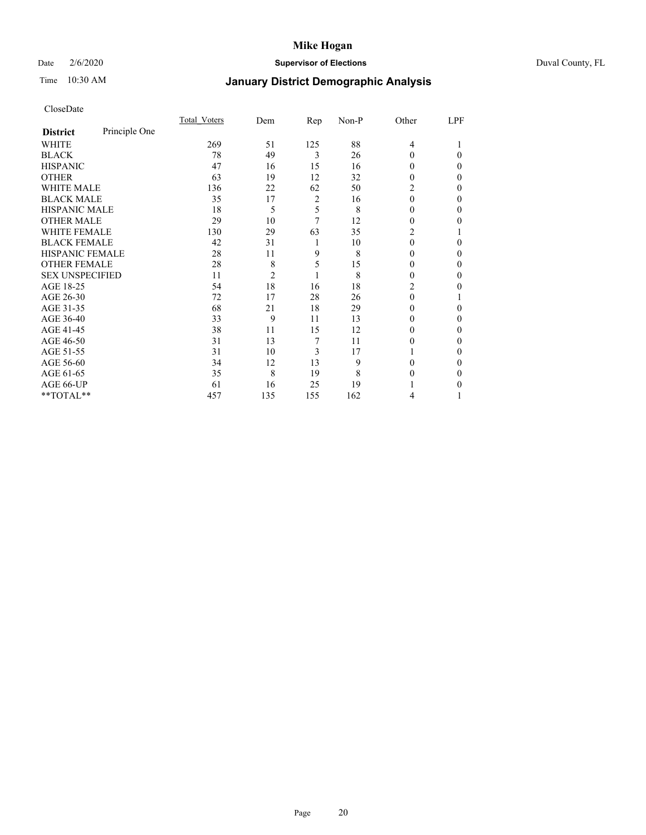## Date 2/6/2020 **Supervisor of Elections** Duval County, FL

# Time 10:30 AM **January District Demographic Analysis**

|                        |               | <b>Total Voters</b> | Dem            | Rep                     | Non-P | Other    | LPF      |
|------------------------|---------------|---------------------|----------------|-------------------------|-------|----------|----------|
| <b>District</b>        | Principle One |                     |                |                         |       |          |          |
| <b>WHITE</b>           |               | 269                 | 51             | 125                     | 88    | 4        |          |
| <b>BLACK</b>           |               | 78                  | 49             | 3                       | 26    | 0        | 0        |
| <b>HISPANIC</b>        |               | 47                  | 16             | 15                      | 16    | 0        | 0        |
| <b>OTHER</b>           |               | 63                  | 19             | 12                      | 32    | 0        | $\Omega$ |
| <b>WHITE MALE</b>      |               | 136                 | 22             | 62                      | 50    | 2        | $\Omega$ |
| <b>BLACK MALE</b>      |               | 35                  | 17             | $\overline{\mathbf{c}}$ | 16    | $\theta$ | $\Omega$ |
| <b>HISPANIC MALE</b>   |               | 18                  | 5              | 5                       | 8     | $\theta$ | $\Omega$ |
| <b>OTHER MALE</b>      |               | 29                  | 10             | 7                       | 12    | $\Omega$ | $\Omega$ |
| <b>WHITE FEMALE</b>    |               | 130                 | 29             | 63                      | 35    | 2        |          |
| <b>BLACK FEMALE</b>    |               | 42                  | 31             | 1                       | 10    | 0        | 0        |
| HISPANIC FEMALE        |               | 28                  | 11             | 9                       | 8     | 0        | $\Omega$ |
| <b>OTHER FEMALE</b>    |               | 28                  | 8              | 5                       | 15    | 0        | $\Omega$ |
| <b>SEX UNSPECIFIED</b> |               | 11                  | $\overline{2}$ | 1                       | 8     | $\theta$ | $\Omega$ |
| AGE 18-25              |               | 54                  | 18             | 16                      | 18    | 2        | 0        |
| AGE 26-30              |               | 72                  | 17             | 28                      | 26    | $\theta$ |          |
| AGE 31-35              |               | 68                  | 21             | 18                      | 29    | 0        | 0        |
| AGE 36-40              |               | 33                  | 9              | 11                      | 13    | 0        | 0        |
| AGE 41-45              |               | 38                  | 11             | 15                      | 12    | 0        | 0        |
| AGE 46-50              |               | 31                  | 13             | 7                       | 11    | 0        | $\Omega$ |
| AGE 51-55              |               | 31                  | 10             | 3                       | 17    |          | $\Omega$ |
| AGE 56-60              |               | 34                  | 12             | 13                      | 9     | 0        | 0        |
| AGE 61-65              |               | 35                  | 8              | 19                      | 8     | 0        | $\Omega$ |
| AGE 66-UP              |               | 61                  | 16             | 25                      | 19    |          | 0        |
| **TOTAL**              |               | 457                 | 135            | 155                     | 162   | 4        |          |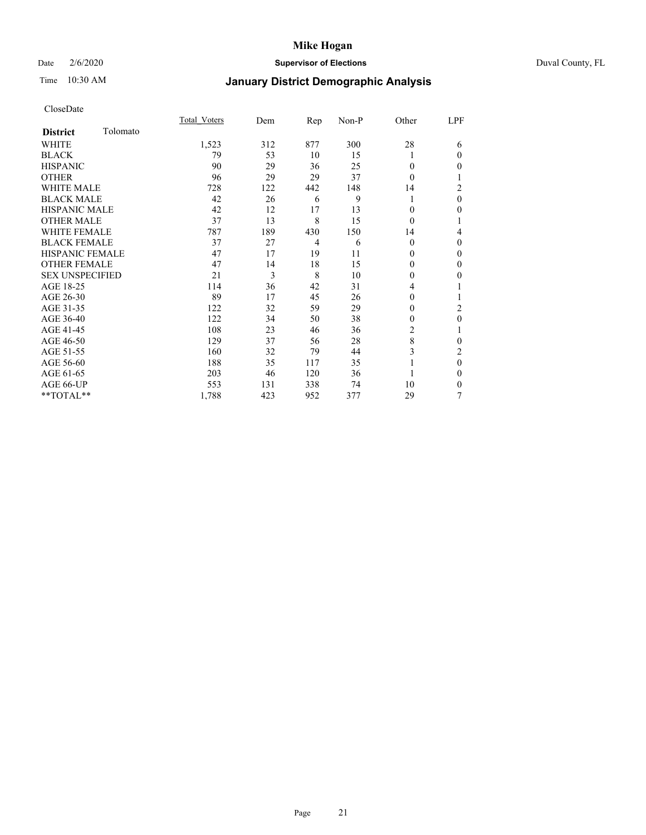## Date 2/6/2020 **Supervisor of Elections** Duval County, FL

# Time 10:30 AM **January District Demographic Analysis**

|                        |          | Total Voters | Dem | Rep            | Non-P | Other          | LPF          |
|------------------------|----------|--------------|-----|----------------|-------|----------------|--------------|
| <b>District</b>        | Tolomato |              |     |                |       |                |              |
| WHITE                  |          | 1,523        | 312 | 877            | 300   | 28             | 6            |
| <b>BLACK</b>           |          | 79           | 53  | 10             | 15    |                | $\mathbf{0}$ |
| <b>HISPANIC</b>        |          | 90           | 29  | 36             | 25    | $\Omega$       | $\theta$     |
| <b>OTHER</b>           |          | 96           | 29  | 29             | 37    | $\theta$       | 1            |
| <b>WHITE MALE</b>      |          | 728          | 122 | 442            | 148   | 14             | 2            |
| <b>BLACK MALE</b>      |          | 42           | 26  | 6              | 9     |                | $\theta$     |
| <b>HISPANIC MALE</b>   |          | 42           | 12  | 17             | 13    | $\mathbf{0}$   | $\theta$     |
| <b>OTHER MALE</b>      |          | 37           | 13  | 8              | 15    | $\theta$       | 1            |
| <b>WHITE FEMALE</b>    |          | 787          | 189 | 430            | 150   | 14             | 4            |
| <b>BLACK FEMALE</b>    |          | 37           | 27  | $\overline{4}$ | 6     | $\theta$       | $\theta$     |
| HISPANIC FEMALE        |          | 47           | 17  | 19             | 11    | $\Omega$       | $\Omega$     |
| <b>OTHER FEMALE</b>    |          | 47           | 14  | 18             | 15    | $\Omega$       | $\theta$     |
| <b>SEX UNSPECIFIED</b> |          | 21           | 3   | 8              | 10    | $\theta$       | $\theta$     |
| AGE 18-25              |          | 114          | 36  | 42             | 31    | 4              |              |
| AGE 26-30              |          | 89           | 17  | 45             | 26    | $\overline{0}$ | 1            |
| AGE 31-35              |          | 122          | 32  | 59             | 29    | 0              | 2            |
| AGE 36-40              |          | 122          | 34  | 50             | 38    | 0              | $\mathbf{0}$ |
| AGE 41-45              |          | 108          | 23  | 46             | 36    | 2              |              |
| AGE 46-50              |          | 129          | 37  | 56             | 28    | 8              | $\theta$     |
| AGE 51-55              |          | 160          | 32  | 79             | 44    | 3              | 2            |
| AGE 56-60              |          | 188          | 35  | 117            | 35    |                | $\theta$     |
| AGE 61-65              |          | 203          | 46  | 120            | 36    |                | $\theta$     |
| AGE 66-UP              |          | 553          | 131 | 338            | 74    | 10             | $\mathbf{0}$ |
| **TOTAL**              |          | 1,788        | 423 | 952            | 377   | 29             | 7            |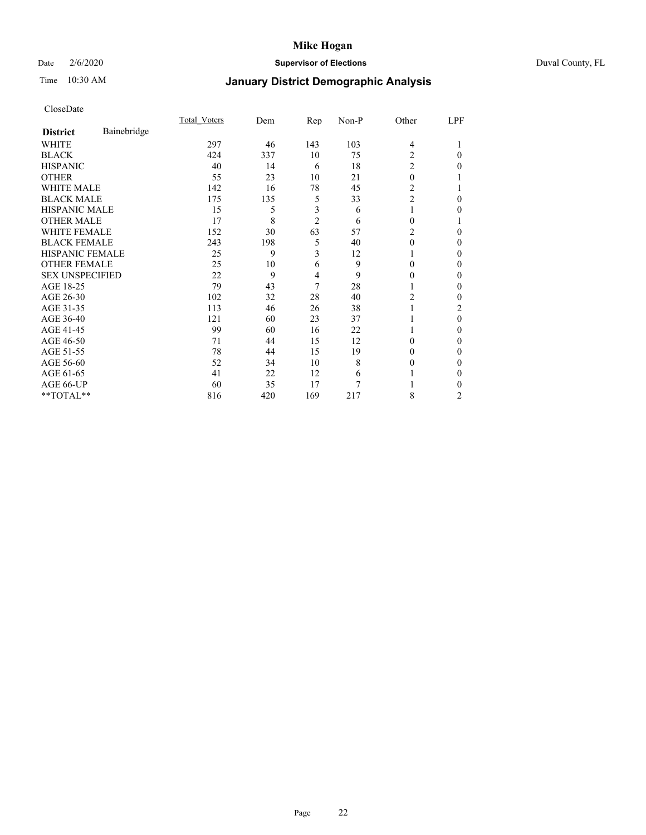## Date 2/6/2020 **Supervisor of Elections** Duval County, FL

# Time 10:30 AM **January District Demographic Analysis**

|                        |             | Total Voters | Dem | Rep            | Non-P | Other          | LPF            |
|------------------------|-------------|--------------|-----|----------------|-------|----------------|----------------|
| <b>District</b>        | Bainebridge |              |     |                |       |                |                |
| WHITE                  |             | 297          | 46  | 143            | 103   | $\overline{4}$ |                |
| <b>BLACK</b>           |             | 424          | 337 | 10             | 75    | 2              | $\Omega$       |
| <b>HISPANIC</b>        |             | 40           | 14  | 6              | 18    | $\overline{c}$ | 0              |
| <b>OTHER</b>           |             | 55           | 23  | 10             | 21    | $\theta$       |                |
| WHITE MALE             |             | 142          | 16  | 78             | 45    | 2              |                |
| <b>BLACK MALE</b>      |             | 175          | 135 | 5              | 33    | $\overline{2}$ | 0              |
| <b>HISPANIC MALE</b>   |             | 15           | 5   | 3              | 6     | 1              | 0              |
| <b>OTHER MALE</b>      |             | 17           | 8   | $\overline{2}$ | 6     | 0              |                |
| <b>WHITE FEMALE</b>    |             | 152          | 30  | 63             | 57    | 2              | 0              |
| <b>BLACK FEMALE</b>    |             | 243          | 198 | 5              | 40    | $\theta$       | 0              |
| HISPANIC FEMALE        |             | 25           | 9   | 3              | 12    |                | 0              |
| <b>OTHER FEMALE</b>    |             | 25           | 10  | 6              | 9     | 0              | 0              |
| <b>SEX UNSPECIFIED</b> |             | 22           | 9   | 4              | 9     | 0              | 0              |
| AGE 18-25              |             | 79           | 43  | 7              | 28    |                | 0              |
| AGE 26-30              |             | 102          | 32  | 28             | 40    | 2              | 0              |
| AGE 31-35              |             | 113          | 46  | 26             | 38    |                | 2              |
| AGE 36-40              |             | 121          | 60  | 23             | 37    |                | $\theta$       |
| AGE 41-45              |             | 99           | 60  | 16             | 22    |                | 0              |
| AGE 46-50              |             | 71           | 44  | 15             | 12    | 0              | 0              |
| AGE 51-55              |             | 78           | 44  | 15             | 19    | 0              | 0              |
| AGE 56-60              |             | 52           | 34  | 10             | 8     | 0              | 0              |
| AGE 61-65              |             | 41           | 22  | 12             | 6     |                | 0              |
| AGE 66-UP              |             | 60           | 35  | 17             | 7     |                | 0              |
| **TOTAL**              |             | 816          | 420 | 169            | 217   | 8              | $\overline{c}$ |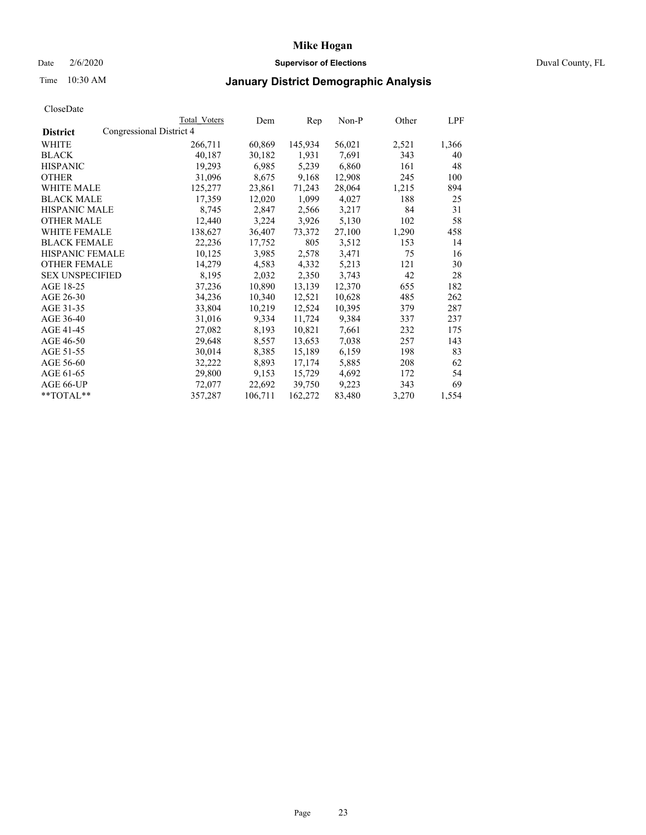## Date 2/6/2020 **Supervisor of Elections** Duval County, FL

## Time 10:30 AM **January District Demographic Analysis**

|                        | Total Voters             | Dem     | Rep     | Non-P  | Other | LPF   |
|------------------------|--------------------------|---------|---------|--------|-------|-------|
| <b>District</b>        | Congressional District 4 |         |         |        |       |       |
| WHITE                  | 266,711                  | 60,869  | 145,934 | 56,021 | 2,521 | 1,366 |
| <b>BLACK</b>           | 40,187                   | 30,182  | 1,931   | 7,691  | 343   | 40    |
| <b>HISPANIC</b>        | 19,293                   | 6,985   | 5,239   | 6,860  | 161   | 48    |
| <b>OTHER</b>           | 31,096                   | 8,675   | 9,168   | 12,908 | 245   | 100   |
| WHITE MALE             | 125,277                  | 23,861  | 71,243  | 28,064 | 1,215 | 894   |
| <b>BLACK MALE</b>      | 17,359                   | 12,020  | 1,099   | 4,027  | 188   | 25    |
| <b>HISPANIC MALE</b>   | 8,745                    | 2,847   | 2,566   | 3,217  | 84    | 31    |
| <b>OTHER MALE</b>      | 12,440                   | 3,224   | 3,926   | 5,130  | 102   | 58    |
| <b>WHITE FEMALE</b>    | 138,627                  | 36,407  | 73,372  | 27,100 | 1,290 | 458   |
| <b>BLACK FEMALE</b>    | 22,236                   | 17,752  | 805     | 3,512  | 153   | 14    |
| HISPANIC FEMALE        | 10,125                   | 3,985   | 2,578   | 3,471  | 75    | 16    |
| <b>OTHER FEMALE</b>    | 14,279                   | 4,583   | 4,332   | 5,213  | 121   | 30    |
| <b>SEX UNSPECIFIED</b> | 8,195                    | 2,032   | 2,350   | 3,743  | 42    | 28    |
| AGE 18-25              | 37,236                   | 10,890  | 13,139  | 12,370 | 655   | 182   |
| AGE 26-30              | 34,236                   | 10,340  | 12,521  | 10,628 | 485   | 262   |
| AGE 31-35              | 33,804                   | 10,219  | 12,524  | 10,395 | 379   | 287   |
| AGE 36-40              | 31,016                   | 9,334   | 11,724  | 9,384  | 337   | 237   |
| AGE 41-45              | 27,082                   | 8,193   | 10,821  | 7,661  | 232   | 175   |
| AGE 46-50              | 29,648                   | 8,557   | 13,653  | 7,038  | 257   | 143   |
| AGE 51-55              | 30,014                   | 8,385   | 15,189  | 6,159  | 198   | 83    |
| AGE 56-60              | 32,222                   | 8,893   | 17,174  | 5,885  | 208   | 62    |
| AGE 61-65              | 29,800                   | 9,153   | 15,729  | 4,692  | 172   | 54    |
| AGE 66-UP              | 72,077                   | 22,692  | 39,750  | 9,223  | 343   | 69    |
| $*$ TOTAL $*$          | 357,287                  | 106,711 | 162,272 | 83,480 | 3,270 | 1,554 |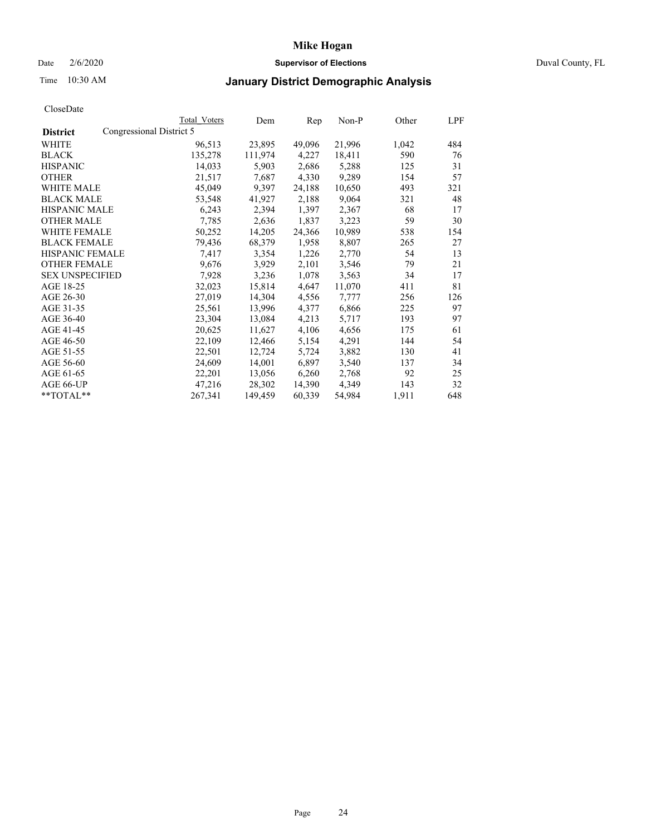## Date 2/6/2020 **Supervisor of Elections** Duval County, FL

## Time 10:30 AM **January District Demographic Analysis**

|                                             | Total Voters | Dem     | Rep    | Non-P  | Other | LPF |
|---------------------------------------------|--------------|---------|--------|--------|-------|-----|
| Congressional District 5<br><b>District</b> |              |         |        |        |       |     |
| WHITE                                       | 96,513       | 23,895  | 49,096 | 21,996 | 1,042 | 484 |
| <b>BLACK</b>                                | 135,278      | 111,974 | 4,227  | 18,411 | 590   | 76  |
| <b>HISPANIC</b>                             | 14,033       | 5,903   | 2,686  | 5,288  | 125   | 31  |
| <b>OTHER</b>                                | 21,517       | 7,687   | 4,330  | 9,289  | 154   | 57  |
| WHITE MALE                                  | 45,049       | 9,397   | 24,188 | 10,650 | 493   | 321 |
| <b>BLACK MALE</b>                           | 53,548       | 41,927  | 2,188  | 9,064  | 321   | 48  |
| <b>HISPANIC MALE</b>                        | 6,243        | 2,394   | 1,397  | 2,367  | 68    | 17  |
| <b>OTHER MALE</b>                           | 7,785        | 2,636   | 1,837  | 3,223  | 59    | 30  |
| <b>WHITE FEMALE</b>                         | 50,252       | 14,205  | 24,366 | 10,989 | 538   | 154 |
| <b>BLACK FEMALE</b>                         | 79,436       | 68,379  | 1,958  | 8,807  | 265   | 27  |
| <b>HISPANIC FEMALE</b>                      | 7.417        | 3,354   | 1,226  | 2,770  | 54    | 13  |
| <b>OTHER FEMALE</b>                         | 9,676        | 3,929   | 2,101  | 3,546  | 79    | 21  |
| <b>SEX UNSPECIFIED</b>                      | 7,928        | 3,236   | 1,078  | 3,563  | 34    | 17  |
| AGE 18-25                                   | 32,023       | 15,814  | 4,647  | 11,070 | 411   | 81  |
| AGE 26-30                                   | 27,019       | 14,304  | 4,556  | 7,777  | 256   | 126 |
| AGE 31-35                                   | 25,561       | 13,996  | 4,377  | 6,866  | 225   | 97  |
| AGE 36-40                                   | 23,304       | 13,084  | 4,213  | 5,717  | 193   | 97  |
| AGE 41-45                                   | 20,625       | 11,627  | 4,106  | 4,656  | 175   | 61  |
| AGE 46-50                                   | 22,109       | 12,466  | 5,154  | 4,291  | 144   | 54  |
| AGE 51-55                                   | 22,501       | 12,724  | 5,724  | 3,882  | 130   | 41  |
| AGE 56-60                                   | 24,609       | 14,001  | 6,897  | 3,540  | 137   | 34  |
| AGE 61-65                                   | 22,201       | 13,056  | 6,260  | 2,768  | 92    | 25  |
| AGE 66-UP                                   | 47,216       | 28,302  | 14,390 | 4,349  | 143   | 32  |
| **TOTAL**                                   | 267,341      | 149,459 | 60,339 | 54,984 | 1,911 | 648 |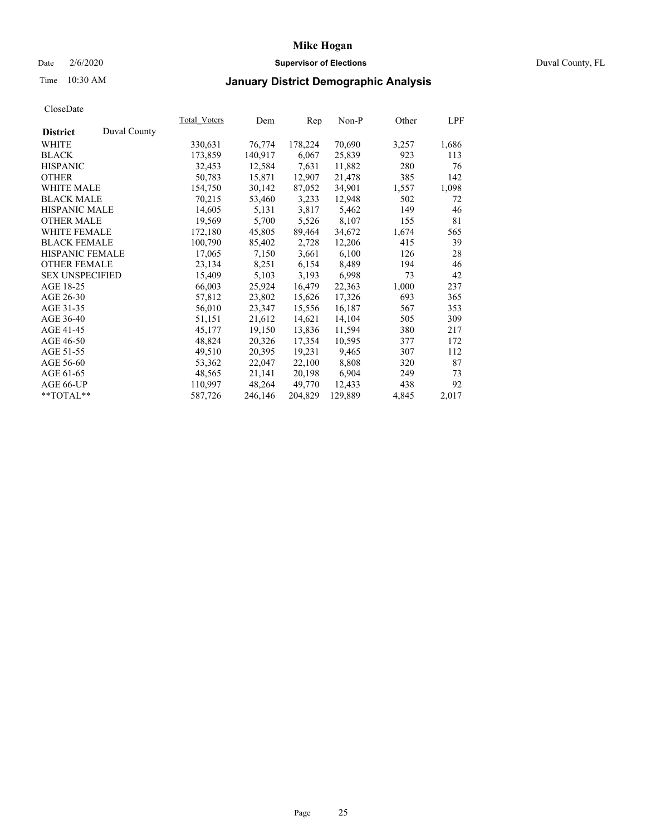## Date 2/6/2020 **Supervisor of Elections** Duval County, FL

# Time 10:30 AM **January District Demographic Analysis**

|                        |              | Total Voters | Dem     | Rep     | Non-P   | Other | LPF   |
|------------------------|--------------|--------------|---------|---------|---------|-------|-------|
| <b>District</b>        | Duval County |              |         |         |         |       |       |
| WHITE                  |              | 330,631      | 76,774  | 178,224 | 70,690  | 3,257 | 1,686 |
| <b>BLACK</b>           |              | 173,859      | 140,917 | 6,067   | 25,839  | 923   | 113   |
| <b>HISPANIC</b>        |              | 32,453       | 12,584  | 7,631   | 11,882  | 280   | 76    |
| <b>OTHER</b>           |              | 50,783       | 15,871  | 12,907  | 21,478  | 385   | 142   |
| WHITE MALE             |              | 154,750      | 30,142  | 87,052  | 34,901  | 1,557 | 1,098 |
| <b>BLACK MALE</b>      |              | 70,215       | 53,460  | 3,233   | 12,948  | 502   | 72    |
| <b>HISPANIC MALE</b>   |              | 14,605       | 5,131   | 3,817   | 5,462   | 149   | 46    |
| <b>OTHER MALE</b>      |              | 19,569       | 5,700   | 5,526   | 8,107   | 155   | 81    |
| <b>WHITE FEMALE</b>    |              | 172,180      | 45,805  | 89,464  | 34,672  | 1,674 | 565   |
| <b>BLACK FEMALE</b>    |              | 100,790      | 85,402  | 2,728   | 12,206  | 415   | 39    |
| HISPANIC FEMALE        |              | 17,065       | 7,150   | 3,661   | 6,100   | 126   | 28    |
| <b>OTHER FEMALE</b>    |              | 23,134       | 8,251   | 6,154   | 8,489   | 194   | 46    |
| <b>SEX UNSPECIFIED</b> |              | 15,409       | 5,103   | 3,193   | 6,998   | 73    | 42    |
| AGE 18-25              |              | 66,003       | 25,924  | 16,479  | 22,363  | 1,000 | 237   |
| AGE 26-30              |              | 57,812       | 23,802  | 15,626  | 17,326  | 693   | 365   |
| AGE 31-35              |              | 56,010       | 23,347  | 15,556  | 16,187  | 567   | 353   |
| AGE 36-40              |              | 51,151       | 21,612  | 14,621  | 14,104  | 505   | 309   |
| AGE 41-45              |              | 45,177       | 19,150  | 13,836  | 11,594  | 380   | 217   |
| AGE 46-50              |              | 48,824       | 20,326  | 17,354  | 10,595  | 377   | 172   |
| AGE 51-55              |              | 49,510       | 20,395  | 19,231  | 9,465   | 307   | 112   |
| AGE 56-60              |              | 53,362       | 22,047  | 22,100  | 8,808   | 320   | 87    |
| AGE 61-65              |              | 48,565       | 21,141  | 20,198  | 6,904   | 249   | 73    |
| AGE 66-UP              |              | 110,997      | 48,264  | 49.770  | 12,433  | 438   | 92    |
| $*$ TOTAL $*$          |              | 587,726      | 246,146 | 204,829 | 129,889 | 4,845 | 2,017 |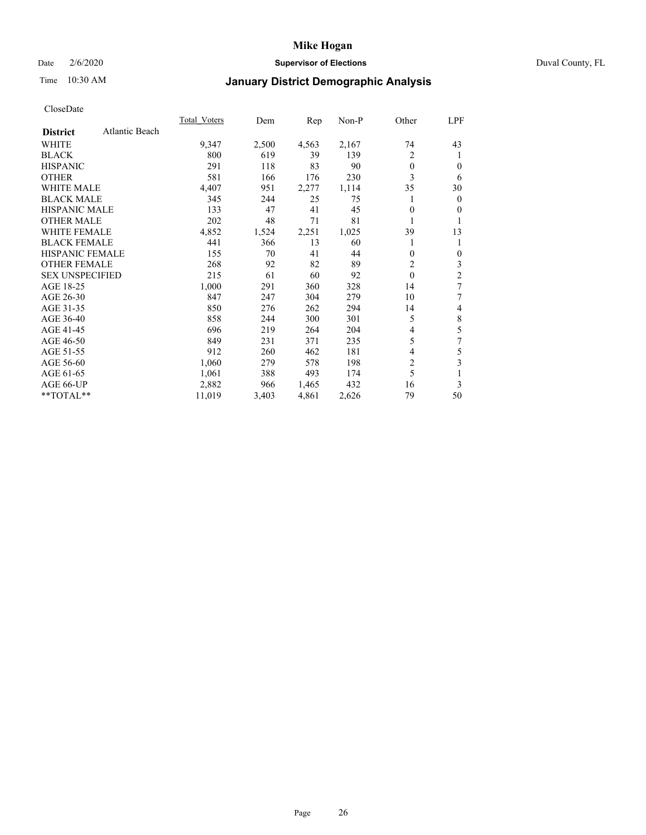## Date 2/6/2020 **Supervisor of Elections** Duval County, FL

# Time 10:30 AM **January District Demographic Analysis**

|                                   | Total Voters | Dem   | Rep   | Non-P | Other        | LPF |
|-----------------------------------|--------------|-------|-------|-------|--------------|-----|
| Atlantic Beach<br><b>District</b> |              |       |       |       |              |     |
| WHITE                             | 9,347        | 2,500 | 4,563 | 2,167 | 74           | 43  |
| <b>BLACK</b>                      | 800          | 619   | 39    | 139   | 2            | 1   |
| <b>HISPANIC</b>                   | 291          | 118   | 83    | 90    | $\theta$     | 0   |
| <b>OTHER</b>                      | 581          | 166   | 176   | 230   | 3            | 6   |
| <b>WHITE MALE</b>                 | 4,407        | 951   | 2,277 | 1,114 | 35           | 30  |
| <b>BLACK MALE</b>                 | 345          | 244   | 25    | 75    | 1            | 0   |
| HISPANIC MALE                     | 133          | 47    | 41    | 45    | $\theta$     | 0   |
| <b>OTHER MALE</b>                 | 202          | 48    | 71    | 81    |              |     |
| WHITE FEMALE                      | 4,852        | 1,524 | 2,251 | 1,025 | 39           | 13  |
| <b>BLACK FEMALE</b>               | 441          | 366   | 13    | 60    | 1            |     |
| <b>HISPANIC FEMALE</b>            | 155          | 70    | 41    | 44    | $\mathbf{0}$ | 0   |
| <b>OTHER FEMALE</b>               | 268          | 92    | 82    | 89    | 2            | 3   |
| <b>SEX UNSPECIFIED</b>            | 215          | 61    | 60    | 92    | $\theta$     | 2   |
| AGE 18-25                         | 1,000        | 291   | 360   | 328   | 14           | 7   |
| AGE 26-30                         | 847          | 247   | 304   | 279   | 10           | 7   |
| AGE 31-35                         | 850          | 276   | 262   | 294   | 14           | 4   |
| AGE 36-40                         | 858          | 244   | 300   | 301   | 5            | 8   |
| AGE 41-45                         | 696          | 219   | 264   | 204   | 4            | 5   |
| AGE 46-50                         | 849          | 231   | 371   | 235   | 5            | 7   |
| AGE 51-55                         | 912          | 260   | 462   | 181   | 4            | 5   |
| AGE 56-60                         | 1,060        | 279   | 578   | 198   | 2            | 3   |
| AGE 61-65                         | 1,061        | 388   | 493   | 174   | 5            | 1   |
| AGE 66-UP                         | 2,882        | 966   | 1,465 | 432   | 16           | 3   |
| **TOTAL**                         | 11,019       | 3,403 | 4,861 | 2,626 | 79           | 50  |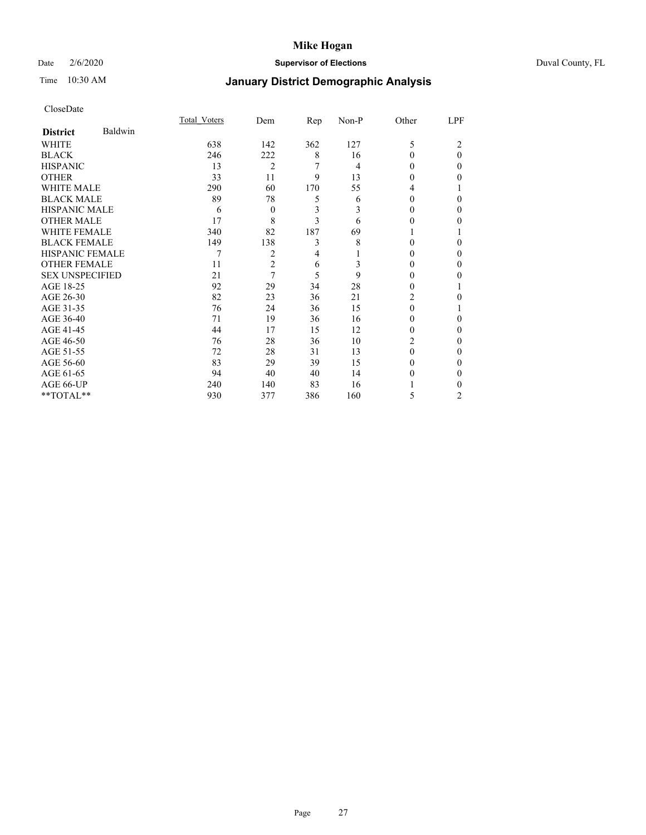## Date 2/6/2020 **Supervisor of Elections** Duval County, FL

# Time 10:30 AM **January District Demographic Analysis**

|                        |         | Total Voters | Dem            | Rep | Non-P          | Other    | LPF      |
|------------------------|---------|--------------|----------------|-----|----------------|----------|----------|
| <b>District</b>        | Baldwin |              |                |     |                |          |          |
| WHITE                  |         | 638          | 142            | 362 | 127            | 5        | 2        |
| <b>BLACK</b>           |         | 246          | 222            | 8   | 16             | $\Omega$ | $\Omega$ |
| <b>HISPANIC</b>        |         | 13           | $\overline{2}$ | 7   | $\overline{4}$ | $\theta$ | $_{0}$   |
| <b>OTHER</b>           |         | 33           | 11             | 9   | 13             | 0        | 0        |
| WHITE MALE             |         | 290          | 60             | 170 | 55             | 4        |          |
| <b>BLACK MALE</b>      |         | 89           | 78             | 5   | 6              | 0        | 0        |
| <b>HISPANIC MALE</b>   |         | 6            | $\theta$       | 3   | 3              | $\theta$ | 0        |
| <b>OTHER MALE</b>      |         | 17           | 8              | 3   | 6              | $_{0}$   | 0        |
| <b>WHITE FEMALE</b>    |         | 340          | 82             | 187 | 69             |          |          |
| <b>BLACK FEMALE</b>    |         | 149          | 138            | 3   | 8              | 0        | 0        |
| HISPANIC FEMALE        |         | 7            | 2              | 4   |                | 0        | 0        |
| <b>OTHER FEMALE</b>    |         | 11           | $\overline{c}$ | 6   | 3              | $\theta$ | 0        |
| <b>SEX UNSPECIFIED</b> |         | 21           | 7              | 5   | 9              | 0        | 0        |
| AGE 18-25              |         | 92           | 29             | 34  | 28             | 0        |          |
| AGE 26-30              |         | 82           | 23             | 36  | 21             | 2        | 0        |
| AGE 31-35              |         | 76           | 24             | 36  | 15             | 0        |          |
| AGE 36-40              |         | 71           | 19             | 36  | 16             | 0        | 0        |
| AGE 41-45              |         | 44           | 17             | 15  | 12             | 0        | 0        |
| AGE 46-50              |         | 76           | 28             | 36  | 10             | 2        | $_{0}$   |
| AGE 51-55              |         | 72           | 28             | 31  | 13             | 0        | 0        |
| AGE 56-60              |         | 83           | 29             | 39  | 15             | $\theta$ | 0        |
| AGE 61-65              |         | 94           | 40             | 40  | 14             | $\theta$ | 0        |
| AGE 66-UP              |         | 240          | 140            | 83  | 16             |          | 0        |
| $**TOTAL**$            |         | 930          | 377            | 386 | 160            | 5        | 2        |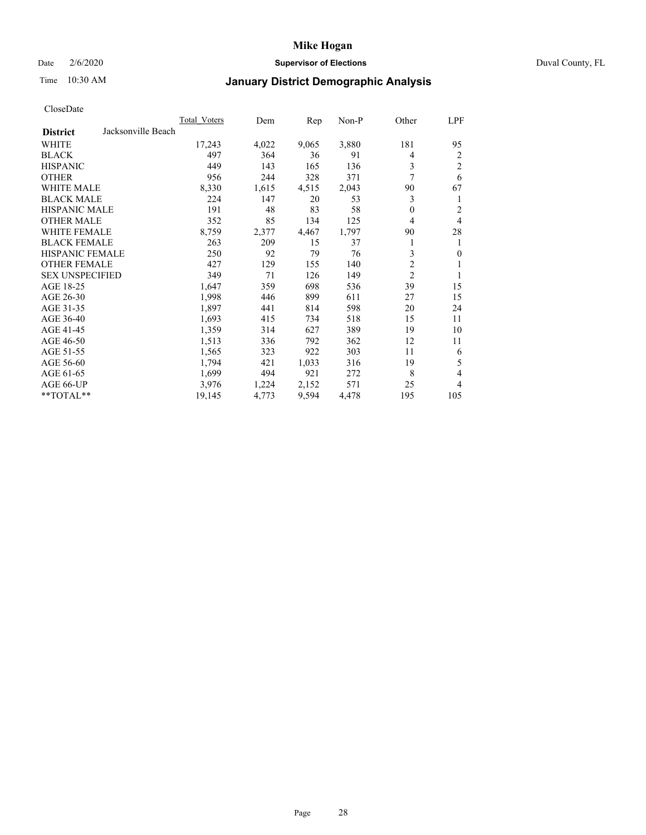## Date 2/6/2020 **Supervisor of Elections** Duval County, FL

## Time 10:30 AM **January District Demographic Analysis**

| Total Voters       | Dem   | Rep   | Non-P | Other          | LPF            |
|--------------------|-------|-------|-------|----------------|----------------|
| Jacksonville Beach |       |       |       |                |                |
| 17,243             | 4,022 | 9,065 | 3,880 | 181            | 95             |
| 497                | 364   | 36    | 91    | 4              | 2              |
| 449                | 143   | 165   | 136   | 3              | $\overline{c}$ |
| 956                | 244   | 328   | 371   | 7              | 6              |
| 8,330              | 1,615 | 4,515 | 2,043 | 90             | 67             |
| 224                | 147   | 20    | 53    | 3              | 1              |
| 191                | 48    | 83    | 58    | $\theta$       | 2              |
| 352                | 85    | 134   | 125   | $\overline{4}$ | $\overline{4}$ |
| 8,759              | 2,377 | 4,467 | 1,797 | 90             | 28             |
| 263                | 209   | 15    | 37    |                | 1              |
| 250                | 92    | 79    | 76    | 3              | $\mathbf{0}$   |
| 427                | 129   | 155   | 140   | $\overline{c}$ | 1              |
| 349                | 71    | 126   | 149   | $\overline{c}$ | 1              |
| 1,647              | 359   | 698   | 536   | 39             | 15             |
| 1,998              | 446   | 899   | 611   | 27             | 15             |
| 1,897              | 441   | 814   | 598   | 20             | 24             |
| 1,693              | 415   | 734   | 518   | 15             | 11             |
| 1,359              | 314   | 627   | 389   | 19             | 10             |
| 1,513              | 336   | 792   | 362   | 12             | 11             |
| 1,565              | 323   | 922   | 303   | 11             | 6              |
| 1,794              | 421   | 1,033 | 316   | 19             | 5              |
| 1,699              | 494   | 921   | 272   | 8              | $\overline{4}$ |
| 3,976              | 1,224 | 2,152 | 571   | 25             | 4              |
| 19,145             | 4,773 | 9,594 | 4,478 | 195            | 105            |
|                    |       |       |       |                |                |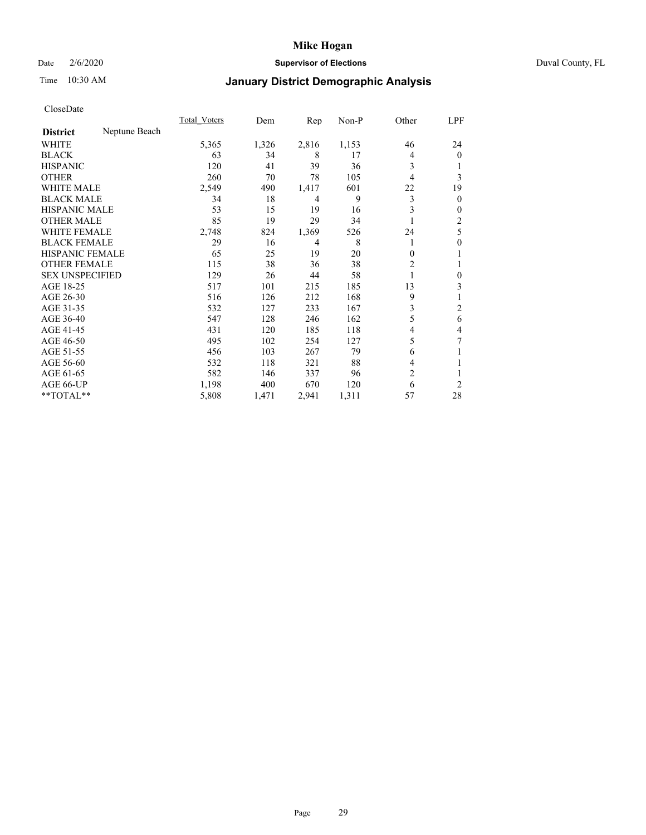## Date 2/6/2020 **Supervisor of Elections** Duval County, FL

## Time 10:30 AM **January District Demographic Analysis**

|                        |               | Total Voters | Dem   | Rep   | Non-P | Other          | LPF            |
|------------------------|---------------|--------------|-------|-------|-------|----------------|----------------|
| <b>District</b>        | Neptune Beach |              |       |       |       |                |                |
| WHITE                  |               | 5,365        | 1,326 | 2,816 | 1,153 | 46             | 24             |
| <b>BLACK</b>           |               | 63           | 34    | 8     | 17    | 4              | $\mathbf{0}$   |
| <b>HISPANIC</b>        |               | 120          | 41    | 39    | 36    | 3              |                |
| <b>OTHER</b>           |               | 260          | 70    | 78    | 105   | 4              | 3              |
| <b>WHITE MALE</b>      |               | 2,549        | 490   | 1,417 | 601   | 22             | 19             |
| <b>BLACK MALE</b>      |               | 34           | 18    | 4     | 9     | 3              | $\mathbf{0}$   |
| <b>HISPANIC MALE</b>   |               | 53           | 15    | 19    | 16    | 3              | $\mathbf{0}$   |
| <b>OTHER MALE</b>      |               | 85           | 19    | 29    | 34    |                | 2              |
| <b>WHITE FEMALE</b>    |               | 2,748        | 824   | 1,369 | 526   | 24             | 5              |
| <b>BLACK FEMALE</b>    |               | 29           | 16    | 4     | 8     |                | $\theta$       |
| <b>HISPANIC FEMALE</b> |               | 65           | 25    | 19    | 20    | $\Omega$       |                |
| <b>OTHER FEMALE</b>    |               | 115          | 38    | 36    | 38    | 2              |                |
| <b>SEX UNSPECIFIED</b> |               | 129          | 26    | 44    | 58    |                | $\theta$       |
| AGE 18-25              |               | 517          | 101   | 215   | 185   | 13             | 3              |
| AGE 26-30              |               | 516          | 126   | 212   | 168   | 9              |                |
| AGE 31-35              |               | 532          | 127   | 233   | 167   | 3              | $\overline{c}$ |
| AGE 36-40              |               | 547          | 128   | 246   | 162   | 5              | 6              |
| AGE 41-45              |               | 431          | 120   | 185   | 118   | 4              | 4              |
| AGE 46-50              |               | 495          | 102   | 254   | 127   | 5              | 7              |
| AGE 51-55              |               | 456          | 103   | 267   | 79    | 6              |                |
| AGE 56-60              |               | 532          | 118   | 321   | 88    | 4              |                |
| AGE 61-65              |               | 582          | 146   | 337   | 96    | $\overline{c}$ |                |
| AGE 66-UP              |               | 1,198        | 400   | 670   | 120   | 6              | 2              |
| **TOTAL**              |               | 5,808        | 1,471 | 2,941 | 1,311 | 57             | 28             |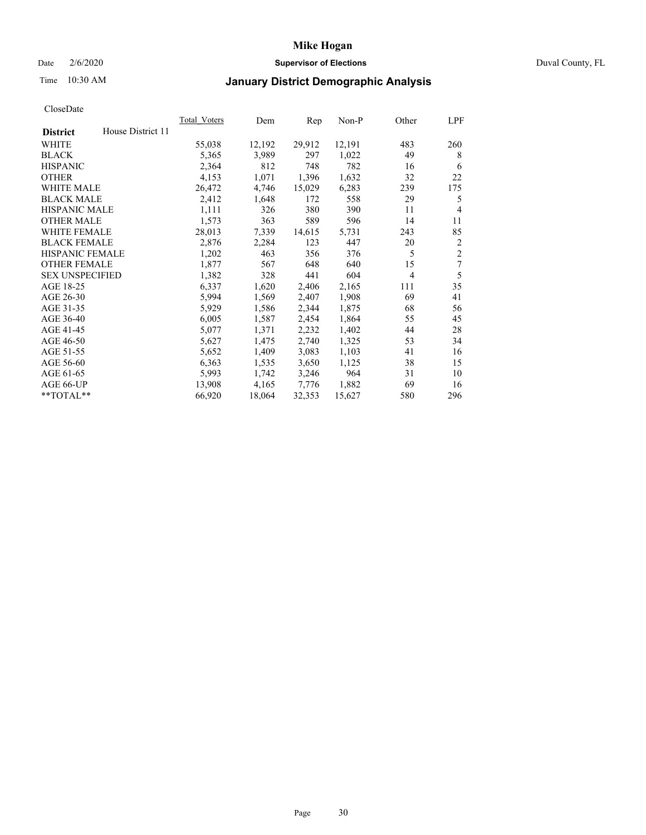## Date 2/6/2020 **Supervisor of Elections** Duval County, FL

## Time 10:30 AM **January District Demographic Analysis**

|                                      | Total Voters | Dem    | Rep    | Non-P  | Other          | LPF            |
|--------------------------------------|--------------|--------|--------|--------|----------------|----------------|
| House District 11<br><b>District</b> |              |        |        |        |                |                |
| WHITE                                | 55,038       | 12,192 | 29,912 | 12,191 | 483            | 260            |
| <b>BLACK</b>                         | 5,365        | 3,989  | 297    | 1,022  | 49             | 8              |
| <b>HISPANIC</b>                      | 2,364        | 812    | 748    | 782    | 16             | 6              |
| <b>OTHER</b>                         | 4,153        | 1,071  | 1,396  | 1,632  | 32             | 22             |
| WHITE MALE                           | 26,472       | 4,746  | 15,029 | 6,283  | 239            | 175            |
| <b>BLACK MALE</b>                    | 2,412        | 1,648  | 172    | 558    | 29             | 5              |
| <b>HISPANIC MALE</b>                 | 1,111        | 326    | 380    | 390    | 11             | 4              |
| <b>OTHER MALE</b>                    | 1,573        | 363    | 589    | 596    | 14             | 11             |
| <b>WHITE FEMALE</b>                  | 28,013       | 7,339  | 14,615 | 5,731  | 243            | 85             |
| <b>BLACK FEMALE</b>                  | 2,876        | 2,284  | 123    | 447    | 20             | $\overline{c}$ |
| HISPANIC FEMALE                      | 1,202        | 463    | 356    | 376    | 5              | $\overline{2}$ |
| <b>OTHER FEMALE</b>                  | 1,877        | 567    | 648    | 640    | 15             | 7              |
| <b>SEX UNSPECIFIED</b>               | 1,382        | 328    | 441    | 604    | $\overline{4}$ | 5              |
| AGE 18-25                            | 6,337        | 1,620  | 2,406  | 2,165  | 111            | 35             |
| AGE 26-30                            | 5,994        | 1,569  | 2,407  | 1,908  | 69             | 41             |
| AGE 31-35                            | 5,929        | 1,586  | 2,344  | 1,875  | 68             | 56             |
| AGE 36-40                            | 6,005        | 1,587  | 2,454  | 1,864  | 55             | 45             |
| AGE 41-45                            | 5,077        | 1,371  | 2,232  | 1,402  | 44             | 28             |
| AGE 46-50                            | 5,627        | 1,475  | 2,740  | 1,325  | 53             | 34             |
| AGE 51-55                            | 5,652        | 1,409  | 3,083  | 1,103  | 41             | 16             |
| AGE 56-60                            | 6,363        | 1,535  | 3,650  | 1,125  | 38             | 15             |
| AGE 61-65                            | 5,993        | 1,742  | 3,246  | 964    | 31             | 10             |
| AGE 66-UP                            | 13,908       | 4,165  | 7,776  | 1,882  | 69             | 16             |
| **TOTAL**                            | 66,920       | 18,064 | 32,353 | 15,627 | 580            | 296            |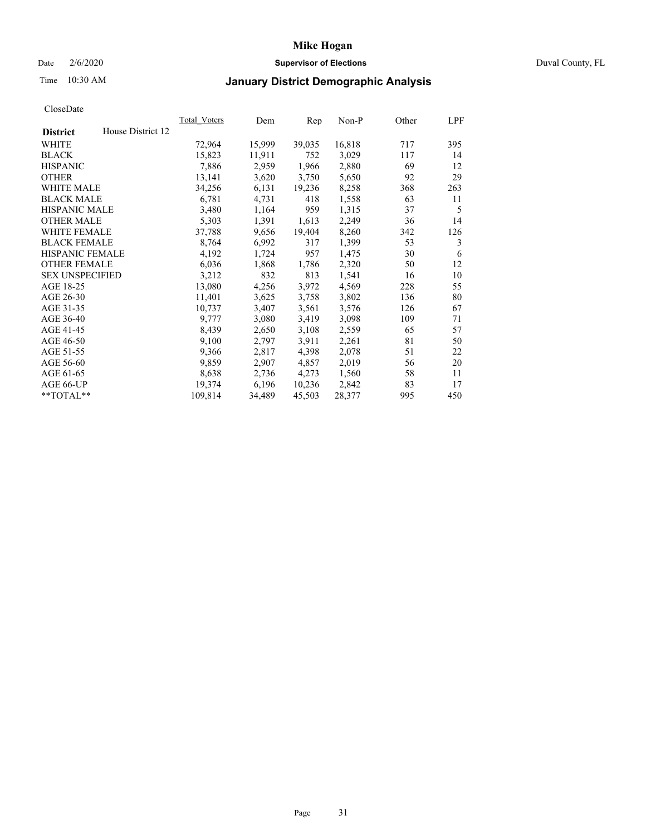## Date 2/6/2020 **Supervisor of Elections** Duval County, FL

# Time 10:30 AM **January District Demographic Analysis**

|                                      | Total Voters | Dem    | Rep    | Non-P  | Other | LPF |
|--------------------------------------|--------------|--------|--------|--------|-------|-----|
| House District 12<br><b>District</b> |              |        |        |        |       |     |
| WHITE                                | 72,964       | 15,999 | 39,035 | 16,818 | 717   | 395 |
| <b>BLACK</b>                         | 15,823       | 11,911 | 752    | 3,029  | 117   | 14  |
| <b>HISPANIC</b>                      | 7,886        | 2,959  | 1,966  | 2,880  | 69    | 12  |
| <b>OTHER</b>                         | 13,141       | 3,620  | 3,750  | 5,650  | 92    | 29  |
| WHITE MALE                           | 34,256       | 6,131  | 19,236 | 8,258  | 368   | 263 |
| <b>BLACK MALE</b>                    | 6,781        | 4,731  | 418    | 1,558  | 63    | 11  |
| <b>HISPANIC MALE</b>                 | 3,480        | 1,164  | 959    | 1,315  | 37    | 5   |
| <b>OTHER MALE</b>                    | 5,303        | 1,391  | 1,613  | 2,249  | 36    | 14  |
| <b>WHITE FEMALE</b>                  | 37,788       | 9,656  | 19,404 | 8,260  | 342   | 126 |
| <b>BLACK FEMALE</b>                  | 8,764        | 6,992  | 317    | 1,399  | 53    | 3   |
| HISPANIC FEMALE                      | 4,192        | 1,724  | 957    | 1,475  | 30    | 6   |
| <b>OTHER FEMALE</b>                  | 6,036        | 1,868  | 1,786  | 2,320  | 50    | 12  |
| <b>SEX UNSPECIFIED</b>               | 3,212        | 832    | 813    | 1,541  | 16    | 10  |
| AGE 18-25                            | 13,080       | 4,256  | 3,972  | 4,569  | 228   | 55  |
| AGE 26-30                            | 11,401       | 3,625  | 3,758  | 3,802  | 136   | 80  |
| AGE 31-35                            | 10,737       | 3,407  | 3,561  | 3,576  | 126   | 67  |
| AGE 36-40                            | 9,777        | 3,080  | 3,419  | 3,098  | 109   | 71  |
| AGE 41-45                            | 8,439        | 2,650  | 3,108  | 2,559  | 65    | 57  |
| AGE 46-50                            | 9,100        | 2,797  | 3,911  | 2,261  | 81    | 50  |
| AGE 51-55                            | 9,366        | 2,817  | 4,398  | 2,078  | 51    | 22  |
| AGE 56-60                            | 9,859        | 2,907  | 4,857  | 2,019  | 56    | 20  |
| AGE 61-65                            | 8,638        | 2,736  | 4,273  | 1,560  | 58    | 11  |
| AGE 66-UP                            | 19,374       | 6,196  | 10,236 | 2,842  | 83    | 17  |
| **TOTAL**                            | 109,814      | 34,489 | 45,503 | 28,377 | 995   | 450 |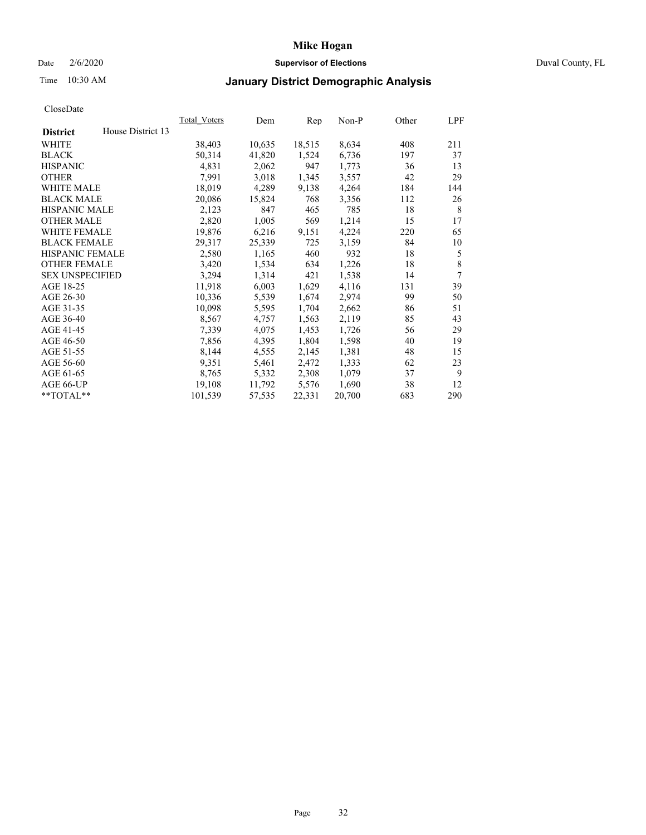## Date 2/6/2020 **Supervisor of Elections** Duval County, FL

# Time 10:30 AM **January District Demographic Analysis**

| House District 13<br><b>District</b><br>WHITE | 38,403<br>50,314<br>4,831 | 10,635<br>41,820 | 18,515 | 8,634  | 408 |             |
|-----------------------------------------------|---------------------------|------------------|--------|--------|-----|-------------|
|                                               |                           |                  |        |        |     |             |
|                                               |                           |                  |        |        |     | 211         |
| <b>BLACK</b>                                  |                           |                  | 1,524  | 6,736  | 197 | 37          |
| <b>HISPANIC</b>                               |                           | 2,062            | 947    | 1,773  | 36  | 13          |
| <b>OTHER</b>                                  | 7,991                     | 3,018            | 1,345  | 3,557  | 42  | 29          |
| WHITE MALE                                    | 18,019                    | 4,289            | 9,138  | 4,264  | 184 | 144         |
| <b>BLACK MALE</b>                             | 20,086                    | 15,824           | 768    | 3,356  | 112 | 26          |
| HISPANIC MALE                                 | 2,123                     | 847              | 465    | 785    | 18  | 8           |
| <b>OTHER MALE</b>                             | 2,820                     | 1,005            | 569    | 1,214  | 15  | 17          |
| <b>WHITE FEMALE</b>                           | 19,876                    | 6,216            | 9,151  | 4,224  | 220 | 65          |
| <b>BLACK FEMALE</b>                           | 29,317                    | 25,339           | 725    | 3,159  | 84  | 10          |
| HISPANIC FEMALE                               | 2,580                     | 1,165            | 460    | 932    | 18  | 5           |
| <b>OTHER FEMALE</b>                           | 3,420                     | 1,534            | 634    | 1,226  | 18  | $\,$ 8 $\,$ |
| <b>SEX UNSPECIFIED</b>                        | 3,294                     | 1,314            | 421    | 1,538  | 14  | 7           |
| AGE 18-25                                     | 11,918                    | 6,003            | 1,629  | 4,116  | 131 | 39          |
| AGE 26-30                                     | 10,336                    | 5,539            | 1,674  | 2,974  | 99  | 50          |
| AGE 31-35                                     | 10,098                    | 5,595            | 1,704  | 2,662  | 86  | 51          |
| AGE 36-40                                     | 8,567                     | 4,757            | 1,563  | 2,119  | 85  | 43          |
| AGE 41-45                                     | 7,339                     | 4,075            | 1,453  | 1,726  | 56  | 29          |
| AGE 46-50                                     | 7,856                     | 4,395            | 1,804  | 1,598  | 40  | 19          |
| AGE 51-55                                     | 8,144                     | 4,555            | 2,145  | 1,381  | 48  | 15          |
| AGE 56-60                                     | 9,351                     | 5,461            | 2,472  | 1,333  | 62  | 23          |
| AGE 61-65                                     | 8,765                     | 5,332            | 2,308  | 1,079  | 37  | 9           |
| AGE 66-UP                                     | 19,108                    | 11,792           | 5,576  | 1,690  | 38  | 12          |
| **TOTAL**                                     | 101,539                   | 57,535           | 22,331 | 20,700 | 683 | 290         |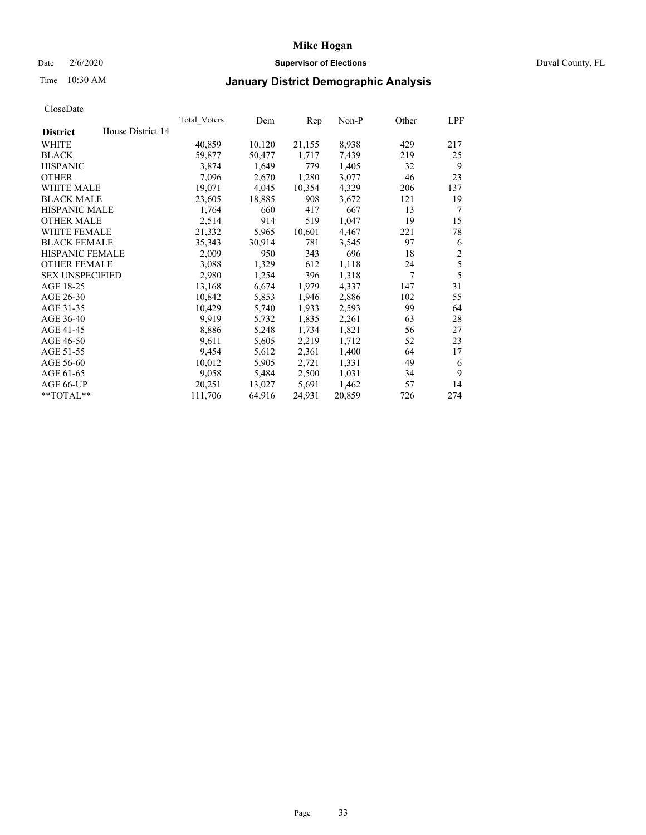## Date 2/6/2020 **Supervisor of Elections** Duval County, FL

# Time 10:30 AM **January District Demographic Analysis**

|                                      | Total Voters | Dem    | Rep    | Non-P  | Other | LPF            |
|--------------------------------------|--------------|--------|--------|--------|-------|----------------|
| House District 14<br><b>District</b> |              |        |        |        |       |                |
| <b>WHITE</b>                         | 40,859       | 10,120 | 21,155 | 8,938  | 429   | 217            |
| <b>BLACK</b>                         | 59,877       | 50,477 | 1,717  | 7.439  | 219   | 25             |
| <b>HISPANIC</b>                      | 3,874        | 1,649  | 779    | 1,405  | 32    | 9              |
| <b>OTHER</b>                         | 7,096        | 2,670  | 1,280  | 3,077  | 46    | 23             |
| WHITE MALE                           | 19,071       | 4,045  | 10,354 | 4,329  | 206   | 137            |
| <b>BLACK MALE</b>                    | 23,605       | 18,885 | 908    | 3,672  | 121   | 19             |
| <b>HISPANIC MALE</b>                 | 1,764        | 660    | 417    | 667    | 13    | 7              |
| <b>OTHER MALE</b>                    | 2,514        | 914    | 519    | 1,047  | 19    | 15             |
| <b>WHITE FEMALE</b>                  | 21,332       | 5,965  | 10,601 | 4,467  | 221   | 78             |
| <b>BLACK FEMALE</b>                  | 35,343       | 30,914 | 781    | 3,545  | 97    | 6              |
| HISPANIC FEMALE                      | 2,009        | 950    | 343    | 696    | 18    | $\overline{c}$ |
| <b>OTHER FEMALE</b>                  | 3,088        | 1,329  | 612    | 1,118  | 24    | 5              |
| <b>SEX UNSPECIFIED</b>               | 2,980        | 1,254  | 396    | 1,318  | 7     | 5              |
| AGE 18-25                            | 13,168       | 6,674  | 1,979  | 4,337  | 147   | 31             |
| AGE 26-30                            | 10,842       | 5,853  | 1,946  | 2,886  | 102   | 55             |
| AGE 31-35                            | 10,429       | 5,740  | 1,933  | 2,593  | 99    | 64             |
| AGE 36-40                            | 9.919        | 5,732  | 1,835  | 2,261  | 63    | 28             |
| AGE 41-45                            | 8,886        | 5,248  | 1,734  | 1,821  | 56    | 27             |
| AGE 46-50                            | 9,611        | 5,605  | 2,219  | 1,712  | 52    | 23             |
| AGE 51-55                            | 9,454        | 5,612  | 2,361  | 1,400  | 64    | 17             |
| AGE 56-60                            | 10,012       | 5,905  | 2,721  | 1,331  | 49    | 6              |
| AGE 61-65                            | 9,058        | 5,484  | 2,500  | 1,031  | 34    | 9              |
| AGE 66-UP                            | 20,251       | 13,027 | 5,691  | 1,462  | 57    | 14             |
| **TOTAL**                            | 111,706      | 64,916 | 24,931 | 20,859 | 726   | 274            |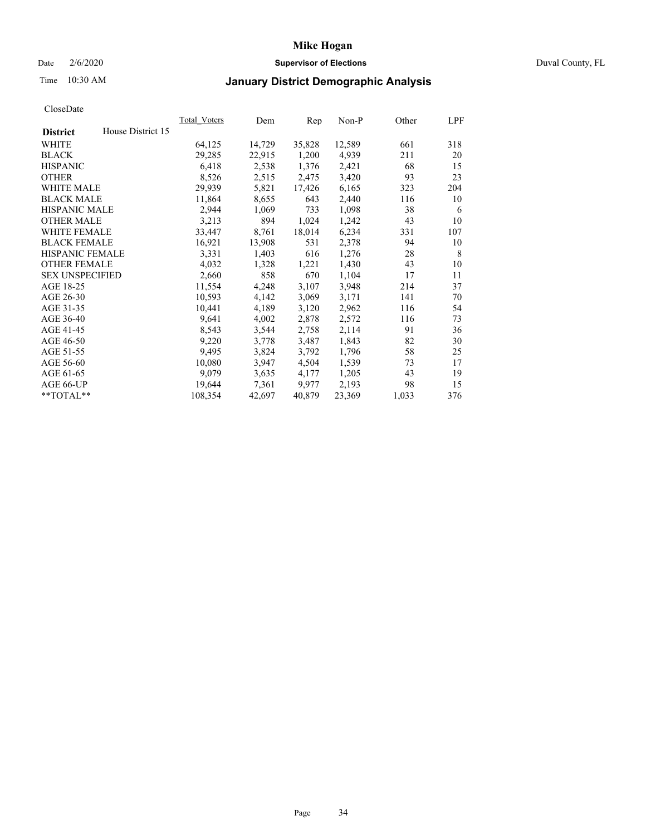## Date 2/6/2020 **Supervisor of Elections** Duval County, FL

# Time 10:30 AM **January District Demographic Analysis**

|                                      | Total Voters | Dem    | Rep    | Non-P  | Other | LPF |
|--------------------------------------|--------------|--------|--------|--------|-------|-----|
| House District 15<br><b>District</b> |              |        |        |        |       |     |
| <b>WHITE</b>                         | 64,125       | 14,729 | 35,828 | 12,589 | 661   | 318 |
| <b>BLACK</b>                         | 29,285       | 22,915 | 1,200  | 4,939  | 211   | 20  |
| <b>HISPANIC</b>                      | 6,418        | 2,538  | 1,376  | 2,421  | 68    | 15  |
| <b>OTHER</b>                         | 8,526        | 2,515  | 2,475  | 3,420  | 93    | 23  |
| WHITE MALE                           | 29,939       | 5,821  | 17,426 | 6,165  | 323   | 204 |
| <b>BLACK MALE</b>                    | 11,864       | 8,655  | 643    | 2,440  | 116   | 10  |
| <b>HISPANIC MALE</b>                 | 2,944        | 1,069  | 733    | 1,098  | 38    | 6   |
| <b>OTHER MALE</b>                    | 3,213        | 894    | 1,024  | 1,242  | 43    | 10  |
| <b>WHITE FEMALE</b>                  | 33,447       | 8,761  | 18,014 | 6,234  | 331   | 107 |
| <b>BLACK FEMALE</b>                  | 16,921       | 13,908 | 531    | 2,378  | 94    | 10  |
| HISPANIC FEMALE                      | 3,331        | 1,403  | 616    | 1,276  | 28    | 8   |
| <b>OTHER FEMALE</b>                  | 4,032        | 1,328  | 1,221  | 1,430  | 43    | 10  |
| <b>SEX UNSPECIFIED</b>               | 2,660        | 858    | 670    | 1,104  | 17    | 11  |
| AGE 18-25                            | 11,554       | 4,248  | 3,107  | 3,948  | 214   | 37  |
| AGE 26-30                            | 10,593       | 4,142  | 3,069  | 3,171  | 141   | 70  |
| AGE 31-35                            | 10,441       | 4,189  | 3,120  | 2,962  | 116   | 54  |
| AGE 36-40                            | 9,641        | 4,002  | 2,878  | 2,572  | 116   | 73  |
| AGE 41-45                            | 8,543        | 3,544  | 2,758  | 2,114  | 91    | 36  |
| AGE 46-50                            | 9,220        | 3,778  | 3,487  | 1,843  | 82    | 30  |
| AGE 51-55                            | 9,495        | 3,824  | 3,792  | 1,796  | 58    | 25  |
| AGE 56-60                            | 10,080       | 3,947  | 4,504  | 1,539  | 73    | 17  |
| AGE 61-65                            | 9,079        | 3,635  | 4,177  | 1,205  | 43    | 19  |
| AGE 66-UP                            | 19,644       | 7,361  | 9.977  | 2,193  | 98    | 15  |
| **TOTAL**                            | 108,354      | 42,697 | 40,879 | 23,369 | 1,033 | 376 |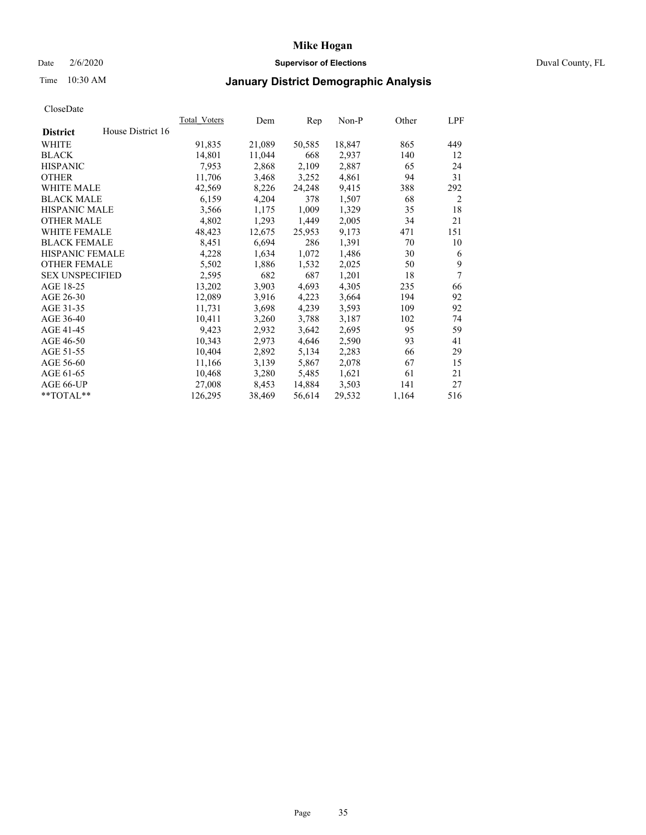## Date 2/6/2020 **Supervisor of Elections** Duval County, FL

# Time 10:30 AM **January District Demographic Analysis**

|                                      | Total Voters | Dem    | Rep    | Non-P  | Other | LPF |
|--------------------------------------|--------------|--------|--------|--------|-------|-----|
| House District 16<br><b>District</b> |              |        |        |        |       |     |
| <b>WHITE</b>                         | 91,835       | 21,089 | 50,585 | 18,847 | 865   | 449 |
| <b>BLACK</b>                         | 14,801       | 11,044 | 668    | 2,937  | 140   | 12  |
| <b>HISPANIC</b>                      | 7,953        | 2,868  | 2,109  | 2,887  | 65    | 24  |
| <b>OTHER</b>                         | 11,706       | 3,468  | 3,252  | 4,861  | 94    | 31  |
| WHITE MALE                           | 42,569       | 8,226  | 24,248 | 9,415  | 388   | 292 |
| <b>BLACK MALE</b>                    | 6,159        | 4,204  | 378    | 1,507  | 68    | 2   |
| <b>HISPANIC MALE</b>                 | 3,566        | 1,175  | 1,009  | 1,329  | 35    | 18  |
| <b>OTHER MALE</b>                    | 4,802        | 1,293  | 1,449  | 2,005  | 34    | 21  |
| <b>WHITE FEMALE</b>                  | 48,423       | 12,675 | 25,953 | 9,173  | 471   | 151 |
| <b>BLACK FEMALE</b>                  | 8,451        | 6,694  | 286    | 1,391  | 70    | 10  |
| <b>HISPANIC FEMALE</b>               | 4,228        | 1,634  | 1,072  | 1,486  | 30    | 6   |
| <b>OTHER FEMALE</b>                  | 5,502        | 1,886  | 1,532  | 2,025  | 50    | 9   |
| <b>SEX UNSPECIFIED</b>               | 2,595        | 682    | 687    | 1,201  | 18    | 7   |
| AGE 18-25                            | 13,202       | 3,903  | 4,693  | 4,305  | 235   | 66  |
| AGE 26-30                            | 12,089       | 3,916  | 4,223  | 3,664  | 194   | 92  |
| AGE 31-35                            | 11,731       | 3,698  | 4,239  | 3,593  | 109   | 92  |
| AGE 36-40                            | 10,411       | 3,260  | 3,788  | 3,187  | 102   | 74  |
| AGE 41-45                            | 9,423        | 2,932  | 3,642  | 2,695  | 95    | 59  |
| AGE 46-50                            | 10,343       | 2,973  | 4,646  | 2,590  | 93    | 41  |
| AGE 51-55                            | 10,404       | 2,892  | 5,134  | 2,283  | 66    | 29  |
| AGE 56-60                            | 11,166       | 3,139  | 5,867  | 2,078  | 67    | 15  |
| AGE 61-65                            | 10,468       | 3,280  | 5,485  | 1,621  | 61    | 21  |
| AGE 66-UP                            | 27,008       | 8,453  | 14,884 | 3,503  | 141   | 27  |
| **TOTAL**                            | 126,295      | 38,469 | 56,614 | 29,532 | 1,164 | 516 |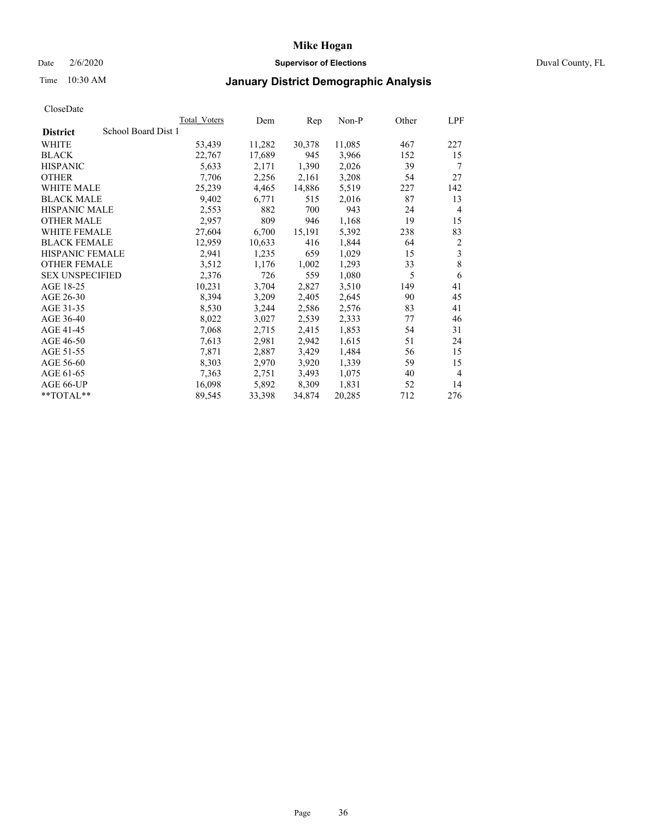## Date 2/6/2020 **Supervisor of Elections** Duval County, FL

## Time 10:30 AM **January District Demographic Analysis**

|                                        | Total Voters | Dem    | Rep    | Non-P  | Other | LPF            |
|----------------------------------------|--------------|--------|--------|--------|-------|----------------|
| School Board Dist 1<br><b>District</b> |              |        |        |        |       |                |
| <b>WHITE</b>                           | 53,439       | 11,282 | 30,378 | 11,085 | 467   | 227            |
| <b>BLACK</b>                           | 22,767       | 17,689 | 945    | 3,966  | 152   | 15             |
| <b>HISPANIC</b>                        | 5,633        | 2,171  | 1,390  | 2,026  | 39    | 7              |
| <b>OTHER</b>                           | 7,706        | 2,256  | 2,161  | 3,208  | 54    | 27             |
| WHITE MALE                             | 25,239       | 4,465  | 14,886 | 5,519  | 227   | 142            |
| <b>BLACK MALE</b>                      | 9,402        | 6,771  | 515    | 2,016  | 87    | 13             |
| <b>HISPANIC MALE</b>                   | 2,553        | 882    | 700    | 943    | 24    | 4              |
| <b>OTHER MALE</b>                      | 2,957        | 809    | 946    | 1,168  | 19    | 15             |
| <b>WHITE FEMALE</b>                    | 27,604       | 6,700  | 15,191 | 5,392  | 238   | 83             |
| <b>BLACK FEMALE</b>                    | 12,959       | 10,633 | 416    | 1,844  | 64    | $\overline{c}$ |
| <b>HISPANIC FEMALE</b>                 | 2,941        | 1,235  | 659    | 1,029  | 15    | 3              |
| <b>OTHER FEMALE</b>                    | 3,512        | 1,176  | 1,002  | 1,293  | 33    | 8              |
| <b>SEX UNSPECIFIED</b>                 | 2,376        | 726    | 559    | 1,080  | 5     | 6              |
| AGE 18-25                              | 10,231       | 3,704  | 2,827  | 3,510  | 149   | 41             |
| AGE 26-30                              | 8,394        | 3,209  | 2,405  | 2,645  | 90    | 45             |
| AGE 31-35                              | 8,530        | 3,244  | 2,586  | 2,576  | 83    | 41             |
| AGE 36-40                              | 8,022        | 3,027  | 2,539  | 2,333  | 77    | 46             |
| AGE 41-45                              | 7,068        | 2,715  | 2,415  | 1,853  | 54    | 31             |
| AGE 46-50                              | 7,613        | 2,981  | 2,942  | 1,615  | 51    | 24             |
| AGE 51-55                              | 7,871        | 2,887  | 3,429  | 1,484  | 56    | 15             |
| AGE 56-60                              | 8,303        | 2,970  | 3,920  | 1,339  | 59    | 15             |
| AGE 61-65                              | 7,363        | 2,751  | 3,493  | 1,075  | 40    | 4              |
| AGE 66-UP                              | 16,098       | 5,892  | 8,309  | 1,831  | 52    | 14             |
| **TOTAL**                              | 89,545       | 33,398 | 34,874 | 20,285 | 712   | 276            |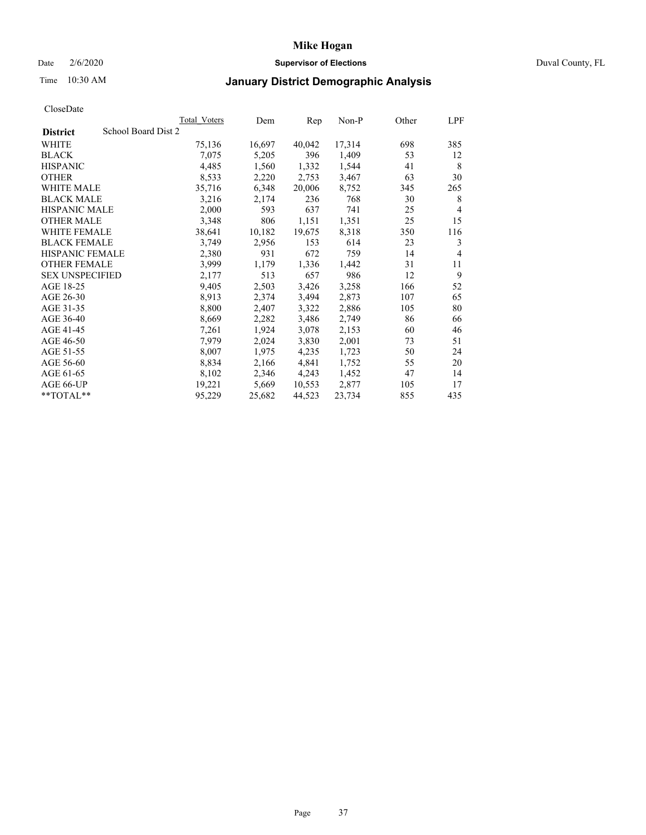## Date 2/6/2020 **Supervisor of Elections** Duval County, FL

## Time 10:30 AM **January District Demographic Analysis**

|                                        | Total Voters | Dem    | Rep    | Non-P  | Other | LPF            |
|----------------------------------------|--------------|--------|--------|--------|-------|----------------|
| School Board Dist 2<br><b>District</b> |              |        |        |        |       |                |
| WHITE                                  | 75,136       | 16,697 | 40,042 | 17,314 | 698   | 385            |
| <b>BLACK</b>                           | 7,075        | 5,205  | 396    | 1,409  | 53    | 12             |
| <b>HISPANIC</b>                        | 4,485        | 1,560  | 1,332  | 1,544  | 41    | 8              |
| <b>OTHER</b>                           | 8,533        | 2,220  | 2,753  | 3,467  | 63    | 30             |
| WHITE MALE                             | 35,716       | 6,348  | 20,006 | 8,752  | 345   | 265            |
| <b>BLACK MALE</b>                      | 3,216        | 2,174  | 236    | 768    | 30    | 8              |
| <b>HISPANIC MALE</b>                   | 2,000        | 593    | 637    | 741    | 25    | $\overline{4}$ |
| <b>OTHER MALE</b>                      | 3,348        | 806    | 1,151  | 1,351  | 25    | 15             |
| WHITE FEMALE                           | 38,641       | 10,182 | 19,675 | 8,318  | 350   | 116            |
| <b>BLACK FEMALE</b>                    | 3,749        | 2,956  | 153    | 614    | 23    | 3              |
| <b>HISPANIC FEMALE</b>                 | 2,380        | 931    | 672    | 759    | 14    | $\overline{4}$ |
| <b>OTHER FEMALE</b>                    | 3,999        | 1,179  | 1,336  | 1,442  | 31    | 11             |
| <b>SEX UNSPECIFIED</b>                 | 2,177        | 513    | 657    | 986    | 12    | 9              |
| AGE 18-25                              | 9,405        | 2,503  | 3,426  | 3,258  | 166   | 52             |
| AGE 26-30                              | 8.913        | 2,374  | 3,494  | 2,873  | 107   | 65             |
| AGE 31-35                              | 8,800        | 2,407  | 3,322  | 2,886  | 105   | 80             |
| AGE 36-40                              | 8,669        | 2,282  | 3,486  | 2,749  | 86    | 66             |
| AGE 41-45                              | 7,261        | 1,924  | 3,078  | 2,153  | 60    | 46             |
| AGE 46-50                              | 7,979        | 2,024  | 3,830  | 2,001  | 73    | 51             |
| AGE 51-55                              | 8,007        | 1,975  | 4,235  | 1,723  | 50    | 24             |
| AGE 56-60                              | 8,834        | 2,166  | 4,841  | 1,752  | 55    | 20             |
| AGE 61-65                              | 8,102        | 2,346  | 4,243  | 1,452  | 47    | 14             |
| AGE 66-UP                              | 19,221       | 5,669  | 10,553 | 2,877  | 105   | 17             |
| $*$ TOTAL $*$                          | 95,229       | 25,682 | 44,523 | 23,734 | 855   | 435            |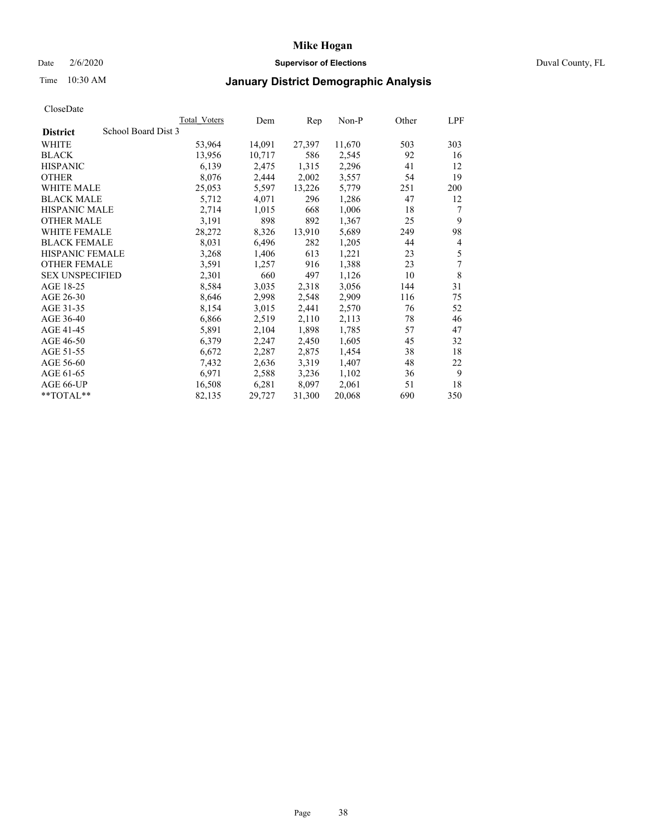## Date 2/6/2020 **Supervisor of Elections** Duval County, FL

# Time 10:30 AM **January District Demographic Analysis**

|                                        | Total Voters | Dem    | Rep    | Non-P  | Other | LPF |
|----------------------------------------|--------------|--------|--------|--------|-------|-----|
| School Board Dist 3<br><b>District</b> |              |        |        |        |       |     |
| WHITE                                  | 53,964       | 14,091 | 27,397 | 11,670 | 503   | 303 |
| <b>BLACK</b>                           | 13,956       | 10,717 | 586    | 2,545  | 92    | 16  |
| <b>HISPANIC</b>                        | 6,139        | 2,475  | 1,315  | 2,296  | 41    | 12  |
| <b>OTHER</b>                           | 8,076        | 2,444  | 2,002  | 3,557  | 54    | 19  |
| WHITE MALE                             | 25,053       | 5,597  | 13,226 | 5,779  | 251   | 200 |
| <b>BLACK MALE</b>                      | 5,712        | 4,071  | 296    | 1,286  | 47    | 12  |
| HISPANIC MALE                          | 2,714        | 1,015  | 668    | 1,006  | 18    | 7   |
| <b>OTHER MALE</b>                      | 3,191        | 898    | 892    | 1,367  | 25    | 9   |
| <b>WHITE FEMALE</b>                    | 28,272       | 8,326  | 13,910 | 5,689  | 249   | 98  |
| <b>BLACK FEMALE</b>                    | 8,031        | 6,496  | 282    | 1,205  | 44    | 4   |
| <b>HISPANIC FEMALE</b>                 | 3,268        | 1,406  | 613    | 1,221  | 23    | 5   |
| <b>OTHER FEMALE</b>                    | 3,591        | 1,257  | 916    | 1,388  | 23    | 7   |
| <b>SEX UNSPECIFIED</b>                 | 2,301        | 660    | 497    | 1,126  | 10    | 8   |
| AGE 18-25                              | 8,584        | 3,035  | 2,318  | 3,056  | 144   | 31  |
| AGE 26-30                              | 8,646        | 2,998  | 2,548  | 2,909  | 116   | 75  |
| AGE 31-35                              | 8,154        | 3,015  | 2,441  | 2,570  | 76    | 52  |
| AGE 36-40                              | 6,866        | 2,519  | 2,110  | 2,113  | 78    | 46  |
| AGE 41-45                              | 5,891        | 2,104  | 1,898  | 1,785  | 57    | 47  |
| AGE 46-50                              | 6,379        | 2,247  | 2,450  | 1,605  | 45    | 32  |
| AGE 51-55                              | 6,672        | 2,287  | 2,875  | 1,454  | 38    | 18  |
| AGE 56-60                              | 7.432        | 2,636  | 3,319  | 1,407  | 48    | 22  |
| AGE 61-65                              | 6,971        | 2,588  | 3,236  | 1,102  | 36    | 9   |
| AGE 66-UP                              | 16,508       | 6,281  | 8,097  | 2,061  | 51    | 18  |
| **TOTAL**                              | 82,135       | 29,727 | 31,300 | 20,068 | 690   | 350 |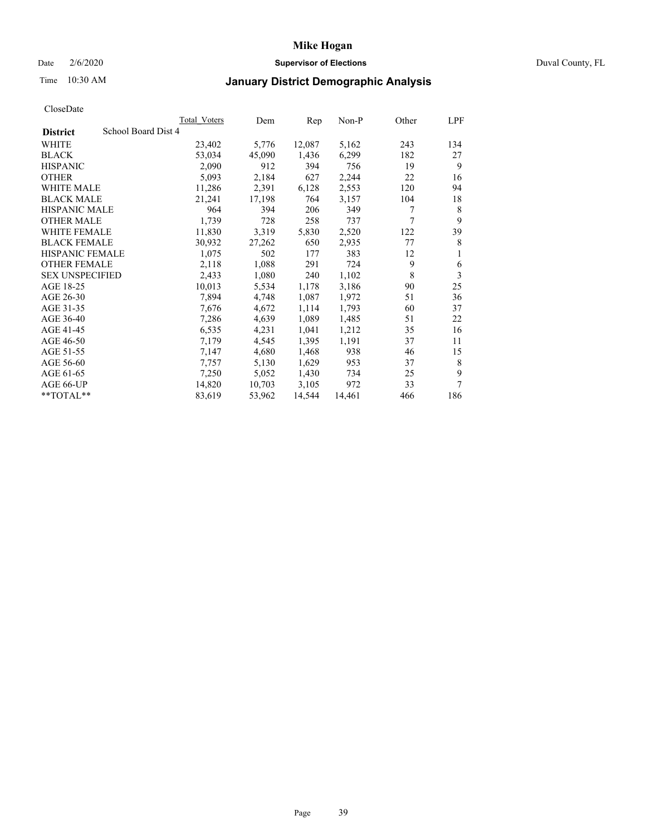## Date 2/6/2020 **Supervisor of Elections** Duval County, FL

# Time 10:30 AM **January District Demographic Analysis**

|                                        | Total Voters | Dem    | Rep    | Non-P  | Other | LPF |
|----------------------------------------|--------------|--------|--------|--------|-------|-----|
| School Board Dist 4<br><b>District</b> |              |        |        |        |       |     |
| <b>WHITE</b>                           | 23,402       | 5,776  | 12,087 | 5,162  | 243   | 134 |
| <b>BLACK</b>                           | 53,034       | 45,090 | 1,436  | 6,299  | 182   | 27  |
| <b>HISPANIC</b>                        | 2,090        | 912    | 394    | 756    | 19    | 9   |
| <b>OTHER</b>                           | 5,093        | 2,184  | 627    | 2,244  | 22    | 16  |
| WHITE MALE                             | 11,286       | 2,391  | 6,128  | 2,553  | 120   | 94  |
| <b>BLACK MALE</b>                      | 21,241       | 17,198 | 764    | 3,157  | 104   | 18  |
| <b>HISPANIC MALE</b>                   | 964          | 394    | 206    | 349    | 7     | 8   |
| <b>OTHER MALE</b>                      | 1,739        | 728    | 258    | 737    | 7     | 9   |
| <b>WHITE FEMALE</b>                    | 11,830       | 3,319  | 5,830  | 2,520  | 122   | 39  |
| <b>BLACK FEMALE</b>                    | 30,932       | 27,262 | 650    | 2,935  | 77    | 8   |
| <b>HISPANIC FEMALE</b>                 | 1,075        | 502    | 177    | 383    | 12    | 1   |
| <b>OTHER FEMALE</b>                    | 2,118        | 1,088  | 291    | 724    | 9     | 6   |
| <b>SEX UNSPECIFIED</b>                 | 2,433        | 1,080  | 240    | 1,102  | 8     | 3   |
| AGE 18-25                              | 10,013       | 5,534  | 1,178  | 3,186  | 90    | 25  |
| AGE 26-30                              | 7,894        | 4,748  | 1,087  | 1,972  | 51    | 36  |
| AGE 31-35                              | 7,676        | 4,672  | 1,114  | 1,793  | 60    | 37  |
| AGE 36-40                              | 7,286        | 4,639  | 1,089  | 1,485  | 51    | 22  |
| AGE 41-45                              | 6,535        | 4,231  | 1,041  | 1,212  | 35    | 16  |
| AGE 46-50                              | 7,179        | 4,545  | 1,395  | 1,191  | 37    | 11  |
| AGE 51-55                              | 7,147        | 4,680  | 1,468  | 938    | 46    | 15  |
| AGE 56-60                              | 7,757        | 5,130  | 1,629  | 953    | 37    | 8   |
| AGE 61-65                              | 7,250        | 5,052  | 1,430  | 734    | 25    | 9   |
| AGE 66-UP                              | 14,820       | 10,703 | 3,105  | 972    | 33    | 7   |
| **TOTAL**                              | 83,619       | 53,962 | 14,544 | 14,461 | 466   | 186 |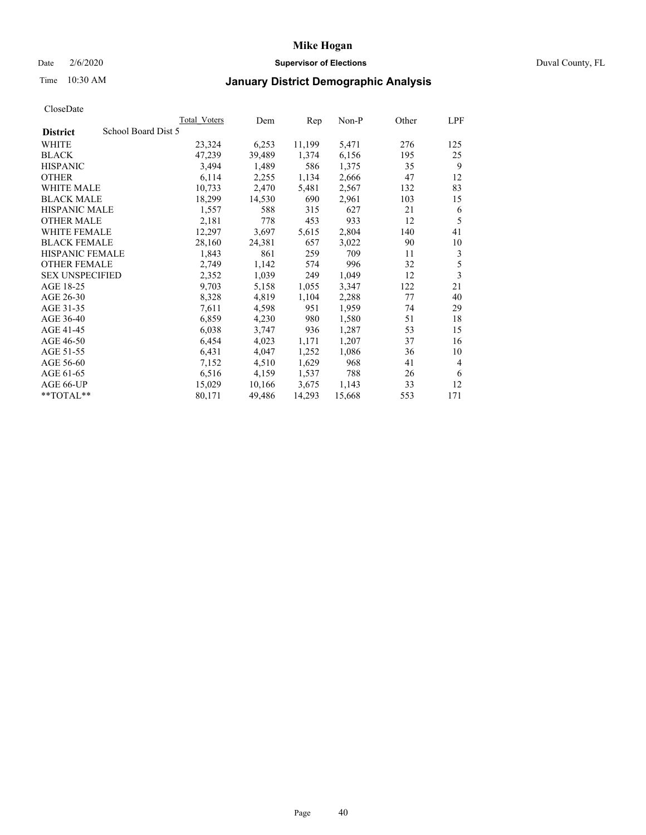## Date 2/6/2020 **Supervisor of Elections** Duval County, FL

## Time 10:30 AM **January District Demographic Analysis**

|                                        | Total Voters | Dem    | Rep    | Non-P  | Other | LPF                     |
|----------------------------------------|--------------|--------|--------|--------|-------|-------------------------|
| School Board Dist 5<br><b>District</b> |              |        |        |        |       |                         |
| WHITE                                  | 23,324       | 6,253  | 11,199 | 5,471  | 276   | 125                     |
| <b>BLACK</b>                           | 47,239       | 39,489 | 1,374  | 6,156  | 195   | 25                      |
| <b>HISPANIC</b>                        | 3,494        | 1,489  | 586    | 1,375  | 35    | 9                       |
| <b>OTHER</b>                           | 6,114        | 2,255  | 1,134  | 2,666  | 47    | 12                      |
| WHITE MALE                             | 10,733       | 2,470  | 5,481  | 2,567  | 132   | 83                      |
| <b>BLACK MALE</b>                      | 18,299       | 14,530 | 690    | 2,961  | 103   | 15                      |
| HISPANIC MALE                          | 1,557        | 588    | 315    | 627    | 21    | 6                       |
| <b>OTHER MALE</b>                      | 2,181        | 778    | 453    | 933    | 12    | 5                       |
| <b>WHITE FEMALE</b>                    | 12,297       | 3,697  | 5,615  | 2,804  | 140   | 41                      |
| <b>BLACK FEMALE</b>                    | 28,160       | 24,381 | 657    | 3,022  | 90    | 10                      |
| HISPANIC FEMALE                        | 1,843        | 861    | 259    | 709    | 11    | 3                       |
| <b>OTHER FEMALE</b>                    | 2,749        | 1,142  | 574    | 996    | 32    | 5                       |
| <b>SEX UNSPECIFIED</b>                 | 2,352        | 1,039  | 249    | 1,049  | 12    | $\overline{\mathbf{3}}$ |
| AGE 18-25                              | 9,703        | 5,158  | 1,055  | 3,347  | 122   | 21                      |
| AGE 26-30                              | 8,328        | 4,819  | 1,104  | 2,288  | 77    | 40                      |
| AGE 31-35                              | 7,611        | 4,598  | 951    | 1,959  | 74    | 29                      |
| AGE 36-40                              | 6,859        | 4,230  | 980    | 1,580  | 51    | 18                      |
| AGE 41-45                              | 6,038        | 3,747  | 936    | 1,287  | 53    | 15                      |
| AGE 46-50                              | 6,454        | 4,023  | 1,171  | 1,207  | 37    | 16                      |
| AGE 51-55                              | 6,431        | 4,047  | 1,252  | 1,086  | 36    | 10                      |
| AGE 56-60                              | 7,152        | 4,510  | 1,629  | 968    | 41    | $\overline{4}$          |
| AGE 61-65                              | 6,516        | 4,159  | 1,537  | 788    | 26    | 6                       |
| AGE 66-UP                              | 15,029       | 10,166 | 3,675  | 1,143  | 33    | 12                      |
| **TOTAL**                              | 80,171       | 49,486 | 14,293 | 15,668 | 553   | 171                     |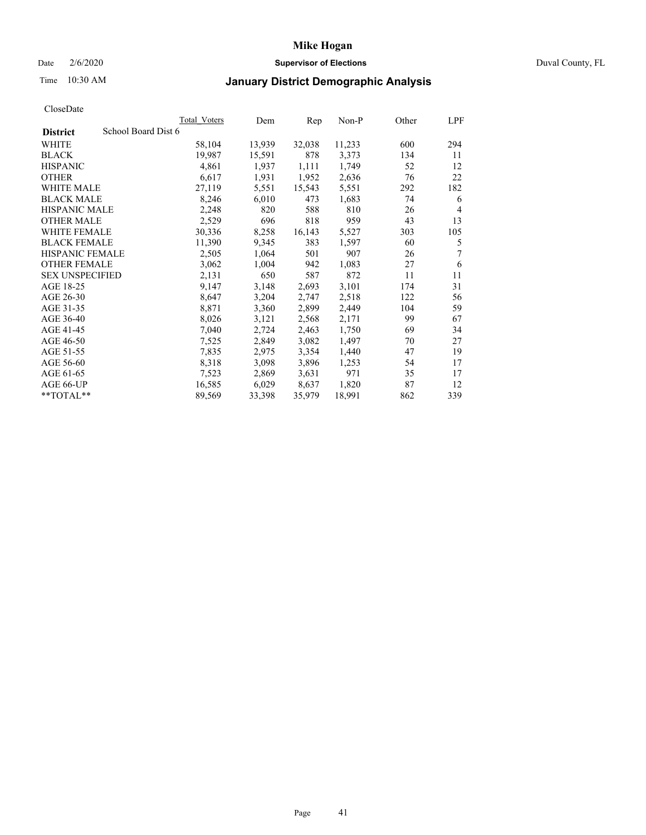## Date 2/6/2020 **Supervisor of Elections** Duval County, FL

## Time 10:30 AM **January District Demographic Analysis**

|                                        | Total Voters | Dem    | Rep    | Non-P  | Other | LPF            |
|----------------------------------------|--------------|--------|--------|--------|-------|----------------|
| School Board Dist 6<br><b>District</b> |              |        |        |        |       |                |
| <b>WHITE</b>                           | 58,104       | 13,939 | 32,038 | 11,233 | 600   | 294            |
| <b>BLACK</b>                           | 19,987       | 15,591 | 878    | 3,373  | 134   | 11             |
| <b>HISPANIC</b>                        | 4,861        | 1,937  | 1,111  | 1,749  | 52    | 12             |
| <b>OTHER</b>                           | 6,617        | 1,931  | 1,952  | 2,636  | 76    | 22             |
| WHITE MALE                             | 27,119       | 5,551  | 15,543 | 5,551  | 292   | 182            |
| <b>BLACK MALE</b>                      | 8,246        | 6,010  | 473    | 1,683  | 74    | 6              |
| <b>HISPANIC MALE</b>                   | 2,248        | 820    | 588    | 810    | 26    | $\overline{4}$ |
| <b>OTHER MALE</b>                      | 2,529        | 696    | 818    | 959    | 43    | 13             |
| <b>WHITE FEMALE</b>                    | 30,336       | 8,258  | 16,143 | 5,527  | 303   | 105            |
| <b>BLACK FEMALE</b>                    | 11,390       | 9,345  | 383    | 1,597  | 60    | 5              |
| <b>HISPANIC FEMALE</b>                 | 2,505        | 1,064  | 501    | 907    | 26    | 7              |
| <b>OTHER FEMALE</b>                    | 3,062        | 1,004  | 942    | 1,083  | 27    | 6              |
| <b>SEX UNSPECIFIED</b>                 | 2,131        | 650    | 587    | 872    | 11    | 11             |
| AGE 18-25                              | 9,147        | 3,148  | 2,693  | 3,101  | 174   | 31             |
| AGE 26-30                              | 8,647        | 3,204  | 2,747  | 2,518  | 122   | 56             |
| AGE 31-35                              | 8,871        | 3,360  | 2,899  | 2,449  | 104   | 59             |
| AGE 36-40                              | 8,026        | 3,121  | 2,568  | 2,171  | 99    | 67             |
| AGE 41-45                              | 7,040        | 2,724  | 2,463  | 1,750  | 69    | 34             |
| AGE 46-50                              | 7,525        | 2,849  | 3,082  | 1,497  | 70    | 27             |
| AGE 51-55                              | 7,835        | 2,975  | 3,354  | 1,440  | 47    | 19             |
| AGE 56-60                              | 8,318        | 3,098  | 3,896  | 1,253  | 54    | 17             |
| AGE 61-65                              | 7,523        | 2,869  | 3,631  | 971    | 35    | 17             |
| AGE 66-UP                              | 16,585       | 6,029  | 8,637  | 1,820  | 87    | 12             |
| $*$ $TOTAL**$                          | 89,569       | 33,398 | 35,979 | 18,991 | 862   | 339            |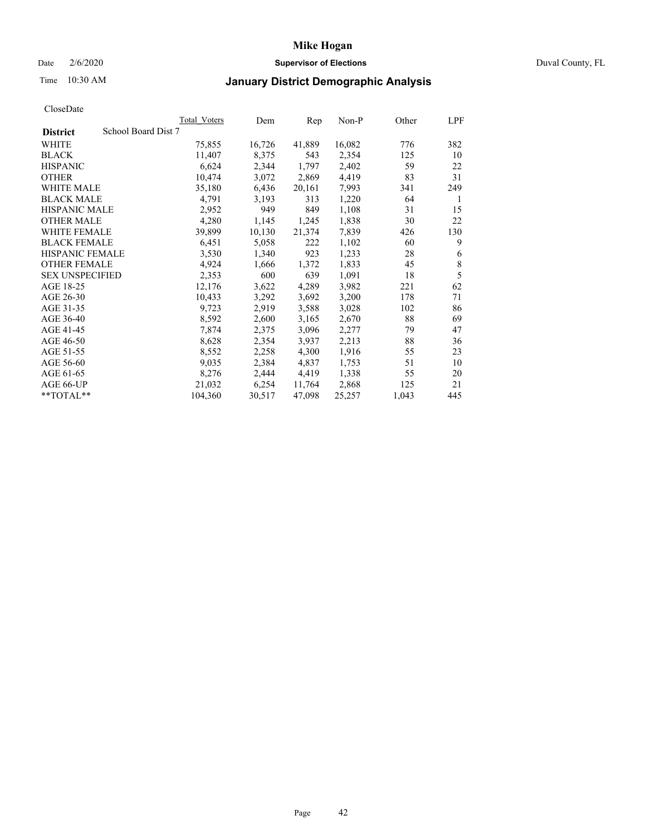## Date 2/6/2020 **Supervisor of Elections** Duval County, FL

## Time 10:30 AM **January District Demographic Analysis**

|                                        | Total Voters | Dem    | Rep    | Non-P  | Other | LPF         |
|----------------------------------------|--------------|--------|--------|--------|-------|-------------|
| School Board Dist 7<br><b>District</b> |              |        |        |        |       |             |
| <b>WHITE</b>                           | 75,855       | 16,726 | 41,889 | 16,082 | 776   | 382         |
| <b>BLACK</b>                           | 11,407       | 8,375  | 543    | 2,354  | 125   | 10          |
| <b>HISPANIC</b>                        | 6,624        | 2,344  | 1,797  | 2,402  | 59    | 22          |
| <b>OTHER</b>                           | 10,474       | 3,072  | 2,869  | 4,419  | 83    | 31          |
| WHITE MALE                             | 35,180       | 6,436  | 20,161 | 7,993  | 341   | 249         |
| <b>BLACK MALE</b>                      | 4,791        | 3,193  | 313    | 1,220  | 64    | 1           |
| <b>HISPANIC MALE</b>                   | 2,952        | 949    | 849    | 1,108  | 31    | 15          |
| <b>OTHER MALE</b>                      | 4,280        | 1,145  | 1,245  | 1,838  | 30    | 22          |
| <b>WHITE FEMALE</b>                    | 39,899       | 10,130 | 21,374 | 7,839  | 426   | 130         |
| <b>BLACK FEMALE</b>                    | 6,451        | 5,058  | 222    | 1,102  | 60    | 9           |
| <b>HISPANIC FEMALE</b>                 | 3,530        | 1,340  | 923    | 1,233  | 28    | 6           |
| <b>OTHER FEMALE</b>                    | 4,924        | 1,666  | 1,372  | 1,833  | 45    | $\,$ 8 $\,$ |
| <b>SEX UNSPECIFIED</b>                 | 2,353        | 600    | 639    | 1,091  | 18    | 5           |
| AGE 18-25                              | 12,176       | 3,622  | 4,289  | 3,982  | 221   | 62          |
| AGE 26-30                              | 10,433       | 3,292  | 3,692  | 3,200  | 178   | 71          |
| AGE 31-35                              | 9,723        | 2,919  | 3,588  | 3,028  | 102   | 86          |
| AGE 36-40                              | 8,592        | 2,600  | 3,165  | 2,670  | 88    | 69          |
| AGE 41-45                              | 7,874        | 2,375  | 3,096  | 2,277  | 79    | 47          |
| AGE 46-50                              | 8,628        | 2,354  | 3,937  | 2,213  | 88    | 36          |
| AGE 51-55                              | 8,552        | 2,258  | 4,300  | 1,916  | 55    | 23          |
| AGE 56-60                              | 9,035        | 2,384  | 4,837  | 1,753  | 51    | 10          |
| AGE 61-65                              | 8,276        | 2,444  | 4,419  | 1,338  | 55    | 20          |
| AGE 66-UP                              | 21,032       | 6,254  | 11,764 | 2,868  | 125   | 21          |
| **TOTAL**                              | 104,360      | 30,517 | 47,098 | 25,257 | 1,043 | 445         |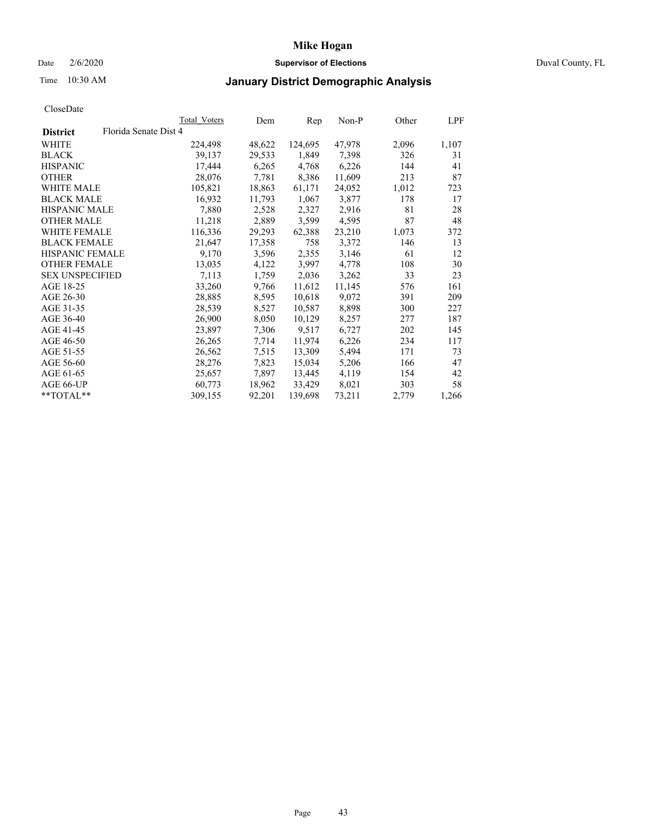## Date 2/6/2020 **Supervisor of Elections** Duval County, FL

## Time 10:30 AM **January District Demographic Analysis**

|                        | Total Voters          | Dem    | Rep     | Non-P  | Other | LPF   |
|------------------------|-----------------------|--------|---------|--------|-------|-------|
| <b>District</b>        | Florida Senate Dist 4 |        |         |        |       |       |
| WHITE                  | 224,498               | 48,622 | 124,695 | 47,978 | 2,096 | 1,107 |
| <b>BLACK</b>           | 39,137                | 29,533 | 1,849   | 7,398  | 326   | 31    |
| <b>HISPANIC</b>        | 17,444                | 6,265  | 4,768   | 6,226  | 144   | 41    |
| <b>OTHER</b>           | 28,076                | 7.781  | 8,386   | 11,609 | 213   | 87    |
| WHITE MALE             | 105,821               | 18,863 | 61,171  | 24,052 | 1,012 | 723   |
| <b>BLACK MALE</b>      | 16,932                | 11,793 | 1,067   | 3,877  | 178   | 17    |
| <b>HISPANIC MALE</b>   | 7,880                 | 2,528  | 2,327   | 2,916  | 81    | 28    |
| <b>OTHER MALE</b>      | 11,218                | 2,889  | 3,599   | 4,595  | 87    | 48    |
| <b>WHITE FEMALE</b>    | 116,336               | 29,293 | 62,388  | 23,210 | 1,073 | 372   |
| <b>BLACK FEMALE</b>    | 21,647                | 17,358 | 758     | 3,372  | 146   | 13    |
| HISPANIC FEMALE        | 9,170                 | 3,596  | 2,355   | 3,146  | 61    | 12    |
| <b>OTHER FEMALE</b>    | 13,035                | 4,122  | 3,997   | 4,778  | 108   | 30    |
| <b>SEX UNSPECIFIED</b> | 7,113                 | 1,759  | 2,036   | 3,262  | 33    | 23    |
| AGE 18-25              | 33,260                | 9,766  | 11,612  | 11,145 | 576   | 161   |
| AGE 26-30              | 28,885                | 8,595  | 10,618  | 9,072  | 391   | 209   |
| AGE 31-35              | 28,539                | 8,527  | 10,587  | 8,898  | 300   | 227   |
| AGE 36-40              | 26,900                | 8,050  | 10,129  | 8,257  | 277   | 187   |
| AGE 41-45              | 23,897                | 7,306  | 9,517   | 6,727  | 202   | 145   |
| AGE 46-50              | 26,265                | 7,714  | 11,974  | 6,226  | 234   | 117   |
| AGE 51-55              | 26,562                | 7.515  | 13,309  | 5,494  | 171   | 73    |
| AGE 56-60              | 28,276                | 7,823  | 15,034  | 5,206  | 166   | 47    |
| AGE 61-65              | 25,657                | 7,897  | 13,445  | 4,119  | 154   | 42    |
| AGE 66-UP              | 60.773                | 18,962 | 33,429  | 8,021  | 303   | 58    |
| $*$ TOTAL $*$          | 309,155               | 92,201 | 139,698 | 73,211 | 2,779 | 1,266 |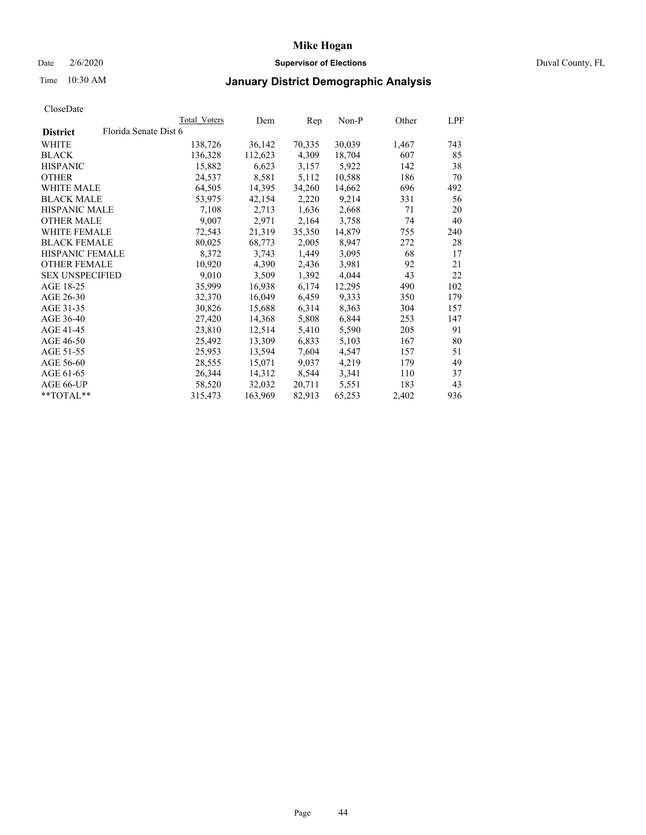## Date 2/6/2020 **Supervisor of Elections** Duval County, FL

## Time 10:30 AM **January District Demographic Analysis**

|                        |                       | Total Voters | Dem     | Rep    | Non-P  | Other | LPF |
|------------------------|-----------------------|--------------|---------|--------|--------|-------|-----|
| <b>District</b>        | Florida Senate Dist 6 |              |         |        |        |       |     |
| WHITE                  |                       | 138,726      | 36,142  | 70,335 | 30,039 | 1,467 | 743 |
| <b>BLACK</b>           |                       | 136,328      | 112,623 | 4,309  | 18,704 | 607   | 85  |
| <b>HISPANIC</b>        |                       | 15,882       | 6,623   | 3,157  | 5,922  | 142   | 38  |
| <b>OTHER</b>           |                       | 24,537       | 8,581   | 5,112  | 10,588 | 186   | 70  |
| WHITE MALE             |                       | 64,505       | 14,395  | 34,260 | 14,662 | 696   | 492 |
| <b>BLACK MALE</b>      |                       | 53,975       | 42,154  | 2,220  | 9,214  | 331   | 56  |
| <b>HISPANIC MALE</b>   |                       | 7,108        | 2,713   | 1,636  | 2,668  | 71    | 20  |
| <b>OTHER MALE</b>      |                       | 9,007        | 2,971   | 2,164  | 3,758  | 74    | 40  |
| WHITE FEMALE           |                       | 72,543       | 21,319  | 35,350 | 14,879 | 755   | 240 |
| <b>BLACK FEMALE</b>    |                       | 80,025       | 68,773  | 2,005  | 8,947  | 272   | 28  |
| <b>HISPANIC FEMALE</b> |                       | 8,372        | 3,743   | 1,449  | 3,095  | 68    | 17  |
| <b>OTHER FEMALE</b>    |                       | 10,920       | 4,390   | 2,436  | 3,981  | 92    | 21  |
| <b>SEX UNSPECIFIED</b> |                       | 9,010        | 3,509   | 1,392  | 4,044  | 43    | 22  |
| AGE 18-25              |                       | 35,999       | 16,938  | 6,174  | 12,295 | 490   | 102 |
| AGE 26-30              |                       | 32,370       | 16,049  | 6,459  | 9,333  | 350   | 179 |
| AGE 31-35              |                       | 30,826       | 15,688  | 6,314  | 8,363  | 304   | 157 |
| AGE 36-40              |                       | 27,420       | 14,368  | 5,808  | 6,844  | 253   | 147 |
| AGE 41-45              |                       | 23,810       | 12,514  | 5,410  | 5,590  | 205   | 91  |
| AGE 46-50              |                       | 25,492       | 13,309  | 6,833  | 5,103  | 167   | 80  |
| AGE 51-55              |                       | 25,953       | 13,594  | 7,604  | 4,547  | 157   | 51  |
| AGE 56-60              |                       | 28,555       | 15,071  | 9,037  | 4,219  | 179   | 49  |
| AGE 61-65              |                       | 26,344       | 14,312  | 8,544  | 3,341  | 110   | 37  |
| AGE 66-UP              |                       | 58,520       | 32,032  | 20,711 | 5,551  | 183   | 43  |
| $*$ TOTAL $*$          |                       | 315,473      | 163,969 | 82,913 | 65,253 | 2,402 | 936 |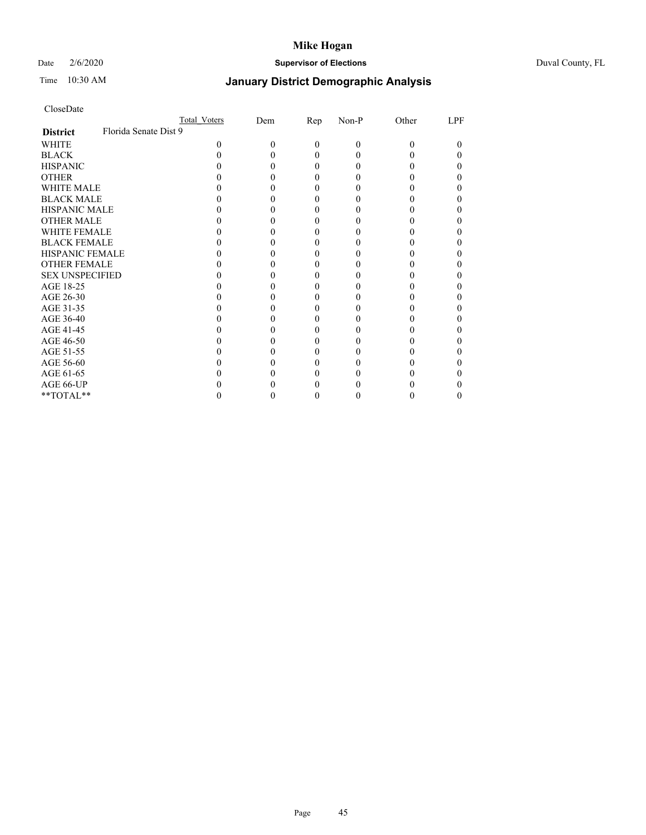## Date 2/6/2020 **Supervisor of Elections** Duval County, FL

# Time 10:30 AM **January District Demographic Analysis**

|                        | <b>Total Voters</b>   | Dem | Rep      | Non-P | Other | LPF |
|------------------------|-----------------------|-----|----------|-------|-------|-----|
| <b>District</b>        | Florida Senate Dist 9 |     |          |       |       |     |
| WHITE                  | 0                     | 0   | $\Omega$ | 0     | 0     | 0   |
| <b>BLACK</b>           |                       |     | $_{0}$   |       |       |     |
| <b>HISPANIC</b>        |                       |     | $_{0}$   |       |       |     |
| <b>OTHER</b>           |                       |     |          |       |       |     |
| <b>WHITE MALE</b>      |                       |     |          |       |       |     |
| <b>BLACK MALE</b>      |                       |     |          |       |       |     |
| <b>HISPANIC MALE</b>   |                       |     |          |       |       |     |
| <b>OTHER MALE</b>      |                       |     |          |       |       |     |
| <b>WHITE FEMALE</b>    |                       |     |          |       |       |     |
| <b>BLACK FEMALE</b>    |                       |     |          |       |       |     |
| <b>HISPANIC FEMALE</b> |                       |     |          |       |       |     |
| <b>OTHER FEMALE</b>    |                       |     |          |       |       |     |
| <b>SEX UNSPECIFIED</b> |                       |     |          |       |       |     |
| AGE 18-25              |                       |     |          |       |       |     |
| AGE 26-30              |                       |     |          |       |       |     |
| AGE 31-35              |                       |     |          |       |       |     |
| AGE 36-40              |                       |     |          |       |       |     |
| AGE 41-45              |                       |     |          |       |       |     |
| AGE 46-50              |                       |     |          |       |       |     |
| AGE 51-55              |                       |     |          |       |       |     |
| AGE 56-60              |                       |     |          |       |       |     |
| AGE 61-65              |                       |     |          |       |       |     |
| AGE 66-UP              |                       |     |          |       |       |     |
| **TOTAL**              |                       |     |          |       |       | 0   |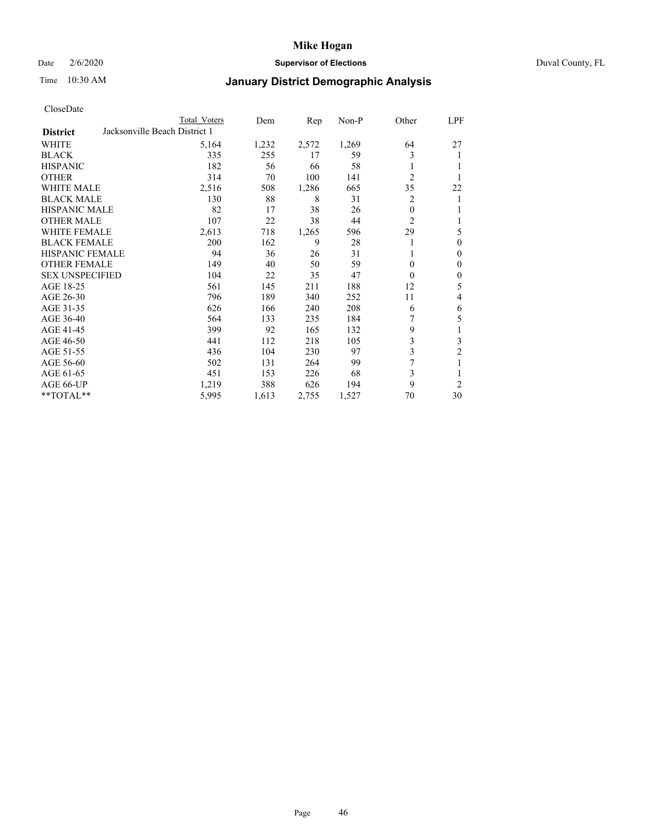## Date 2/6/2020 **Supervisor of Elections** Duval County, FL

# Time 10:30 AM **January District Demographic Analysis**

|                        |                               | <b>Total Voters</b> | Dem   | Rep   | Non-P | Other          | LPF              |
|------------------------|-------------------------------|---------------------|-------|-------|-------|----------------|------------------|
| <b>District</b>        | Jacksonville Beach District 1 |                     |       |       |       |                |                  |
| WHITE                  |                               | 5,164               | 1,232 | 2,572 | 1,269 | 64             | 27               |
| <b>BLACK</b>           |                               | 335                 | 255   | 17    | 59    | 3              | 1                |
| <b>HISPANIC</b>        |                               | 182                 | 56    | 66    | 58    |                |                  |
| <b>OTHER</b>           |                               | 314                 | 70    | 100   | 141   | $\overline{c}$ | 1                |
| <b>WHITE MALE</b>      |                               | 2,516               | 508   | 1,286 | 665   | 35             | 22               |
| <b>BLACK MALE</b>      |                               | 130                 | 88    | 8     | 31    | 2              | 1                |
| HISPANIC MALE          |                               | 82                  | 17    | 38    | 26    | $\theta$       | 1                |
| <b>OTHER MALE</b>      |                               | 107                 | 22    | 38    | 44    | $\overline{2}$ | 1                |
| <b>WHITE FEMALE</b>    |                               | 2,613               | 718   | 1,265 | 596   | 29             | 5                |
| <b>BLACK FEMALE</b>    |                               | 200                 | 162   | 9     | 28    |                | $\theta$         |
| <b>HISPANIC FEMALE</b> |                               | 94                  | 36    | 26    | 31    |                | $\overline{0}$   |
| <b>OTHER FEMALE</b>    |                               | 149                 | 40    | 50    | 59    | $\theta$       | $\boldsymbol{0}$ |
| <b>SEX UNSPECIFIED</b> |                               | 104                 | 22    | 35    | 47    | $\Omega$       | $\boldsymbol{0}$ |
| AGE 18-25              |                               | 561                 | 145   | 211   | 188   | 12             | 5                |
| AGE 26-30              |                               | 796                 | 189   | 340   | 252   | 11             | $\overline{4}$   |
| AGE 31-35              |                               | 626                 | 166   | 240   | 208   | 6              | 6                |
| AGE 36-40              |                               | 564                 | 133   | 235   | 184   | 7              | 5                |
| AGE 41-45              |                               | 399                 | 92    | 165   | 132   | 9              | 1                |
| AGE 46-50              |                               | 441                 | 112   | 218   | 105   | 3              | $\mathfrak{Z}$   |
| AGE 51-55              |                               | 436                 | 104   | 230   | 97    | 3              | $\overline{c}$   |
| AGE 56-60              |                               | 502                 | 131   | 264   | 99    | 7              | 1                |
| AGE 61-65              |                               | 451                 | 153   | 226   | 68    | 3              | 1                |
| AGE 66-UP              |                               | 1,219               | 388   | 626   | 194   | 9              | $\overline{2}$   |
| **TOTAL**              |                               | 5,995               | 1,613 | 2,755 | 1,527 | 70             | 30               |
|                        |                               |                     |       |       |       |                |                  |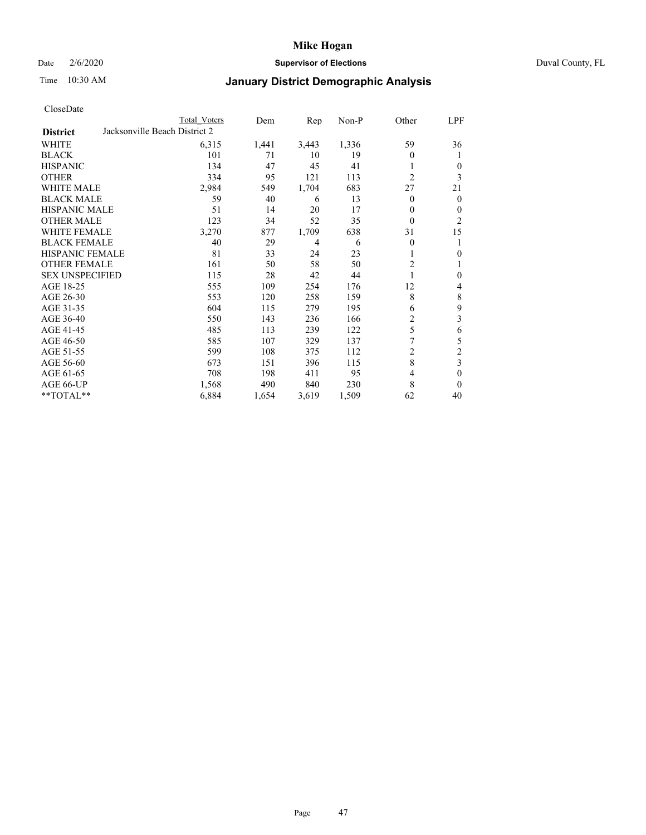## Date 2/6/2020 **Supervisor of Elections** Duval County, FL

# Time 10:30 AM **January District Demographic Analysis**

|                                                  | <b>Total Voters</b> | Dem   | Rep   | Non-P | Other          | LPF            |
|--------------------------------------------------|---------------------|-------|-------|-------|----------------|----------------|
| Jacksonville Beach District 2<br><b>District</b> |                     |       |       |       |                |                |
| WHITE                                            | 6,315               | 1,441 | 3,443 | 1,336 | 59             | 36             |
| <b>BLACK</b>                                     | 101                 | 71    | 10    | 19    | 0              | 1              |
| <b>HISPANIC</b>                                  | 134                 | 47    | 45    | 41    |                | $\mathbf{0}$   |
| <b>OTHER</b>                                     | 334                 | 95    | 121   | 113   | $\overline{c}$ | 3              |
| WHITE MALE                                       | 2,984               | 549   | 1,704 | 683   | 27             | 21             |
| <b>BLACK MALE</b>                                | 59                  | 40    | 6     | 13    | $\mathbf{0}$   | $\mathbf{0}$   |
| <b>HISPANIC MALE</b>                             | 51                  | 14    | 20    | 17    | 0              | $\mathbf{0}$   |
| <b>OTHER MALE</b>                                | 123                 | 34    | 52    | 35    | $\theta$       | $\overline{2}$ |
| <b>WHITE FEMALE</b>                              | 3,270               | 877   | 1,709 | 638   | 31             | 15             |
| <b>BLACK FEMALE</b>                              | 40                  | 29    | 4     | 6     | $\mathbf{0}$   | 1              |
| <b>HISPANIC FEMALE</b>                           | 81                  | 33    | 24    | 23    |                | $\mathbf{0}$   |
| <b>OTHER FEMALE</b>                              | 161                 | 50    | 58    | 50    | $\overline{c}$ | 1              |
| <b>SEX UNSPECIFIED</b>                           | 115                 | 28    | 42    | 44    | 1              | $\mathbf{0}$   |
| AGE 18-25                                        | 555                 | 109   | 254   | 176   | 12             | 4              |
| AGE 26-30                                        | 553                 | 120   | 258   | 159   | 8              | $\,$ $\,$      |
| AGE 31-35                                        | 604                 | 115   | 279   | 195   | 6              | 9              |
| AGE 36-40                                        | 550                 | 143   | 236   | 166   | $\overline{c}$ | $\mathfrak{Z}$ |
| AGE 41-45                                        | 485                 | 113   | 239   | 122   | 5              | 6              |
| AGE 46-50                                        | 585                 | 107   | 329   | 137   | 7              | $\sqrt{5}$     |
| AGE 51-55                                        | 599                 | 108   | 375   | 112   | 2              | $\sqrt{2}$     |
| AGE 56-60                                        | 673                 | 151   | 396   | 115   | 8              | $\overline{3}$ |
| AGE 61-65                                        | 708                 | 198   | 411   | 95    | 4              | $\mathbf{0}$   |
| AGE 66-UP                                        | 1,568               | 490   | 840   | 230   | 8              | $\mathbf{0}$   |
| **TOTAL**                                        | 6,884               | 1,654 | 3,619 | 1,509 | 62             | 40             |